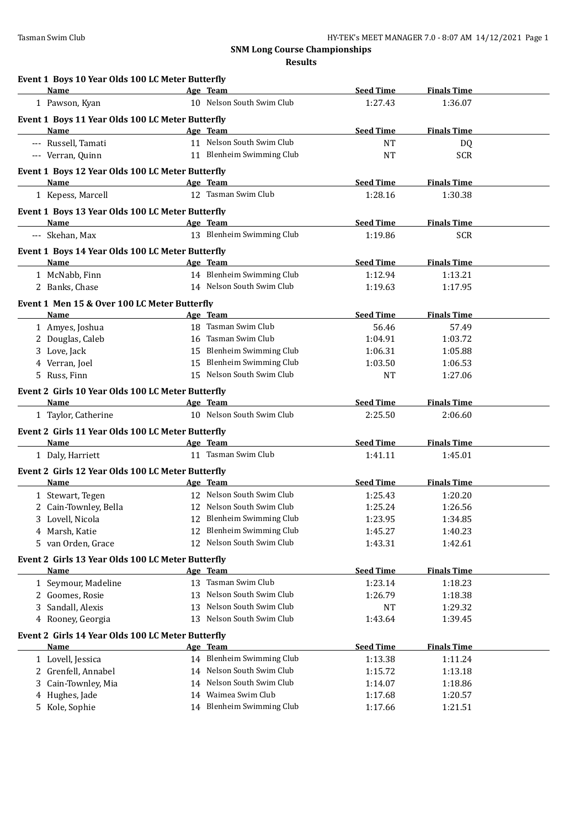**Results**

| Event 1 Boys 10 Year Olds 100 LC Meter Butterfly  |    |                               |                  |                    |  |
|---------------------------------------------------|----|-------------------------------|------------------|--------------------|--|
| Name                                              |    | Age Team                      | <b>Seed Time</b> | <b>Finals Time</b> |  |
| 1 Pawson, Kyan                                    |    | 10 Nelson South Swim Club     | 1:27.43          | 1:36.07            |  |
| Event 1 Boys 11 Year Olds 100 LC Meter Butterfly  |    |                               |                  |                    |  |
| Name                                              |    | Age Team                      | <b>Seed Time</b> | <b>Finals Time</b> |  |
| --- Russell, Tamati                               |    | 11 Nelson South Swim Club     | <b>NT</b>        | DQ                 |  |
| --- Verran, Quinn                                 |    | 11 Blenheim Swimming Club     | <b>NT</b>        | <b>SCR</b>         |  |
| Event 1 Boys 12 Year Olds 100 LC Meter Butterfly  |    |                               |                  |                    |  |
| Name                                              |    | Age Team                      | <b>Seed Time</b> | <b>Finals Time</b> |  |
| 1 Kepess, Marcell                                 |    | 12 Tasman Swim Club           | 1:28.16          | 1:30.38            |  |
| Event 1 Boys 13 Year Olds 100 LC Meter Butterfly  |    |                               |                  |                    |  |
| <b>Name</b>                                       |    | Age Team                      | <b>Seed Time</b> | <b>Finals Time</b> |  |
| --- Skehan, Max                                   |    | 13 Blenheim Swimming Club     | 1:19.86          | <b>SCR</b>         |  |
| Event 1 Boys 14 Year Olds 100 LC Meter Butterfly  |    |                               |                  |                    |  |
| Name                                              |    | Age Team                      | <b>Seed Time</b> | <b>Finals Time</b> |  |
| 1 McNabb, Finn                                    |    | 14 Blenheim Swimming Club     | 1:12.94          | 1:13.21            |  |
| 2 Banks, Chase                                    |    | 14 Nelson South Swim Club     | 1:19.63          | 1:17.95            |  |
| Event 1 Men 15 & Over 100 LC Meter Butterfly      |    |                               |                  |                    |  |
| Name                                              |    | Age Team                      | <b>Seed Time</b> | <b>Finals Time</b> |  |
| 1 Amyes, Joshua                                   |    | 18 Tasman Swim Club           | 56.46            | 57.49              |  |
| 2 Douglas, Caleb                                  |    | 16 Tasman Swim Club           | 1:04.91          | 1:03.72            |  |
| 3 Love, Jack                                      |    | 15 Blenheim Swimming Club     | 1:06.31          | 1:05.88            |  |
| 4 Verran, Joel                                    |    | 15 Blenheim Swimming Club     | 1:03.50          | 1:06.53            |  |
| 5 Russ, Finn                                      |    | 15 Nelson South Swim Club     | <b>NT</b>        | 1:27.06            |  |
| Event 2 Girls 10 Year Olds 100 LC Meter Butterfly |    |                               |                  |                    |  |
| <b>Name</b>                                       |    | Age Team                      | <b>Seed Time</b> | <b>Finals Time</b> |  |
| 1 Taylor, Catherine                               |    | 10 Nelson South Swim Club     | 2:25.50          | 2:06.60            |  |
| Event 2 Girls 11 Year Olds 100 LC Meter Butterfly |    |                               |                  |                    |  |
| Name                                              |    | Age Team                      | <b>Seed Time</b> | <b>Finals Time</b> |  |
| 1 Daly, Harriett                                  |    | 11 Tasman Swim Club           | 1:41.11          | 1:45.01            |  |
| Event 2 Girls 12 Year Olds 100 LC Meter Butterfly |    |                               |                  |                    |  |
| Name                                              |    | Age Team                      | <b>Seed Time</b> | <b>Finals Time</b> |  |
| 1 Stewart, Tegen                                  |    | 12 Nelson South Swim Club     | 1:25.43          | 1:20.20            |  |
| 2 Cain-Townley, Bella                             |    | 12 Nelson South Swim Club     | 1:25.24          | 1:26.56            |  |
| 3 Lovell, Nicola                                  | 12 | <b>Blenheim Swimming Club</b> | 1:23.95          | 1:34.85            |  |
| 4 Marsh, Katie                                    | 12 | <b>Blenheim Swimming Club</b> | 1:45.27          | 1:40.23            |  |
| 5 van Orden, Grace                                |    | 12 Nelson South Swim Club     | 1:43.31          | 1:42.61            |  |
| Event 2 Girls 13 Year Olds 100 LC Meter Butterfly |    |                               |                  |                    |  |
| <b>Name</b>                                       |    | Age Team                      | <b>Seed Time</b> | <b>Finals Time</b> |  |
| 1 Seymour, Madeline                               |    | 13 Tasman Swim Club           | 1:23.14          | 1:18.23            |  |
| 2 Goomes, Rosie                                   | 13 | Nelson South Swim Club        | 1:26.79          | 1:18.38            |  |
| Sandall, Alexis<br>3                              | 13 | Nelson South Swim Club        | NT               | 1:29.32            |  |
| 4 Rooney, Georgia                                 | 13 | Nelson South Swim Club        | 1:43.64          | 1:39.45            |  |
| Event 2 Girls 14 Year Olds 100 LC Meter Butterfly |    |                               |                  |                    |  |
| Name                                              |    | Age Team                      | <b>Seed Time</b> | <b>Finals Time</b> |  |
| 1 Lovell, Jessica                                 |    | 14 Blenheim Swimming Club     | 1:13.38          | 1:11.24            |  |
| 2 Grenfell, Annabel                               |    | 14 Nelson South Swim Club     | 1:15.72          | 1:13.18            |  |
| Cain-Townley, Mia<br>3                            | 14 | Nelson South Swim Club        | 1:14.07          | 1:18.86            |  |
| Hughes, Jade<br>4                                 | 14 | Waimea Swim Club              | 1:17.68          | 1:20.57            |  |
| 5 Kole, Sophie                                    |    | 14 Blenheim Swimming Club     | 1:17.66          | 1:21.51            |  |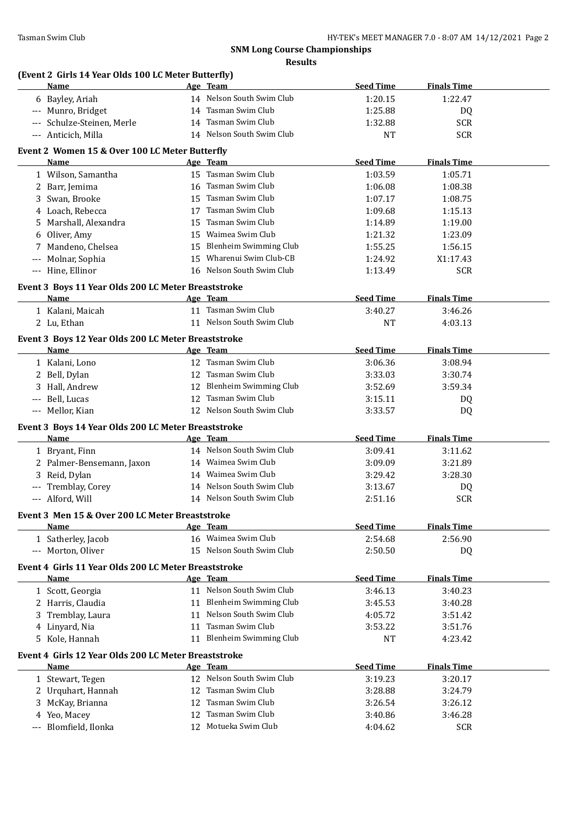# **(Event 2 Girls 14 Year Olds 100 LC Meter Butterfly)**

| Name                                                                | Age Team                  | <b>Seed Time</b> | <b>Finals Time</b> |  |
|---------------------------------------------------------------------|---------------------------|------------------|--------------------|--|
| 6 Bayley, Ariah                                                     | 14 Nelson South Swim Club | 1:20.15          | 1:22.47            |  |
| --- Munro, Bridget                                                  | 14 Tasman Swim Club       | 1:25.88          | DQ                 |  |
| --- Schulze-Steinen, Merle                                          | 14 Tasman Swim Club       | 1:32.88          | <b>SCR</b>         |  |
| --- Anticich, Milla                                                 | 14 Nelson South Swim Club | NT               | <b>SCR</b>         |  |
| Event 2 Women 15 & Over 100 LC Meter Butterfly                      |                           |                  |                    |  |
| Name                                                                | Age Team                  | <b>Seed Time</b> | <b>Finals Time</b> |  |
| 1 Wilson, Samantha                                                  | 15 Tasman Swim Club       | 1:03.59          | 1:05.71            |  |
| 2 Barr, Jemima                                                      | 16 Tasman Swim Club       | 1:06.08          | 1:08.38            |  |
| Swan, Brooke<br>3                                                   | 15 Tasman Swim Club       | 1:07.17          | 1:08.75            |  |
| 4 Loach, Rebecca                                                    | 17 Tasman Swim Club       | 1:09.68          | 1:15.13            |  |
| Marshall, Alexandra<br>5.                                           | 15 Tasman Swim Club       | 1:14.89          | 1:19.00            |  |
| Oliver, Amy<br>6                                                    | 15 Waimea Swim Club       | 1:21.32          | 1:23.09            |  |
| 7 Mandeno, Chelsea                                                  | 15 Blenheim Swimming Club | 1:55.25          | 1:56.15            |  |
| Molnar, Sophia<br>$\scriptstyle\cdots$                              | 15 Wharenui Swim Club-CB  | 1:24.92          | X1:17.43           |  |
| --- Hine, Ellinor                                                   | 16 Nelson South Swim Club | 1:13.49          | <b>SCR</b>         |  |
|                                                                     |                           |                  |                    |  |
| Event 3 Boys 11 Year Olds 200 LC Meter Breaststroke                 |                           |                  |                    |  |
| Name                                                                | Age Team                  | <b>Seed Time</b> | <b>Finals Time</b> |  |
| 1 Kalani, Maicah                                                    | 11 Tasman Swim Club       | 3:40.27          | 3:46.26            |  |
| 2 Lu, Ethan                                                         | 11 Nelson South Swim Club | <b>NT</b>        | 4:03.13            |  |
| Event 3 Boys 12 Year Olds 200 LC Meter Breaststroke                 |                           |                  |                    |  |
| Name                                                                | Age Team                  | <b>Seed Time</b> | <b>Finals Time</b> |  |
| 1 Kalani, Lono                                                      | 12 Tasman Swim Club       | 3:06.36          | 3:08.94            |  |
| 2 Bell, Dylan                                                       | 12 Tasman Swim Club       | 3:33.03          | 3:30.74            |  |
| 3 Hall, Andrew                                                      | 12 Blenheim Swimming Club | 3:52.69          | 3:59.34            |  |
| Bell, Lucas<br>---                                                  | 12 Tasman Swim Club       | 3:15.11          | DQ                 |  |
| --- Mellor, Kian                                                    | 12 Nelson South Swim Club | 3:33.57          | DQ                 |  |
| Event 3 Boys 14 Year Olds 200 LC Meter Breaststroke                 |                           |                  |                    |  |
| Name                                                                | Age Team                  | <b>Seed Time</b> | <b>Finals Time</b> |  |
| 1 Bryant, Finn                                                      | 14 Nelson South Swim Club | 3:09.41          | 3:11.62            |  |
| 2 Palmer-Bensemann, Jaxon                                           | 14 Waimea Swim Club       | 3:09.09          | 3:21.89            |  |
| 3 Reid, Dylan                                                       | 14 Waimea Swim Club       | 3:29.42          | 3:28.30            |  |
| --- Tremblay, Corey                                                 | 14 Nelson South Swim Club | 3:13.67          | DQ                 |  |
| --- Alford, Will                                                    | 14 Nelson South Swim Club | 2:51.16          | <b>SCR</b>         |  |
| Event 3 Men 15 & Over 200 LC Meter Breaststroke                     |                           |                  |                    |  |
| <b>Name</b>                                                         | Age Team                  | <b>Seed Time</b> | <b>Finals Time</b> |  |
| 1 Satherley, Jacob                                                  | 16 Waimea Swim Club       | 2:54.68          | 2:56.90            |  |
| --- Morton, Oliver                                                  | 15 Nelson South Swim Club | 2:50.50          | DQ                 |  |
|                                                                     |                           |                  |                    |  |
| Event 4 Girls 11 Year Olds 200 LC Meter Breaststroke<br><b>Name</b> | Age Team                  | <b>Seed Time</b> | <b>Finals Time</b> |  |
| 1 Scott, Georgia                                                    | 11 Nelson South Swim Club | 3:46.13          | 3:40.23            |  |
| 2 Harris, Claudia                                                   | 11 Blenheim Swimming Club | 3:45.53          | 3:40.28            |  |
| Tremblay, Laura<br>3                                                | 11 Nelson South Swim Club | 4:05.72          | 3:51.42            |  |
| Linyard, Nia                                                        | Tasman Swim Club<br>11    | 3:53.22          |                    |  |
| 4<br>5 Kole, Hannah                                                 | 11 Blenheim Swimming Club | <b>NT</b>        | 3:51.76            |  |
|                                                                     |                           |                  | 4:23.42            |  |
| Event 4 Girls 12 Year Olds 200 LC Meter Breaststroke                |                           |                  |                    |  |
| Name                                                                | Age Team                  | <b>Seed Time</b> | <b>Finals Time</b> |  |
| 1 Stewart, Tegen                                                    | 12 Nelson South Swim Club | 3:19.23          | 3:20.17            |  |
| Urquhart, Hannah<br>2                                               | Tasman Swim Club<br>12    | 3:28.88          | 3:24.79            |  |
| McKay, Brianna<br>3                                                 | Tasman Swim Club<br>12    | 3:26.54          | 3:26.12            |  |
| Yeo, Macey<br>4                                                     | Tasman Swim Club<br>12    | 3:40.86          | 3:46.28            |  |
| Blomfield, Ilonka                                                   | 12 Motueka Swim Club      | 4:04.62          | <b>SCR</b>         |  |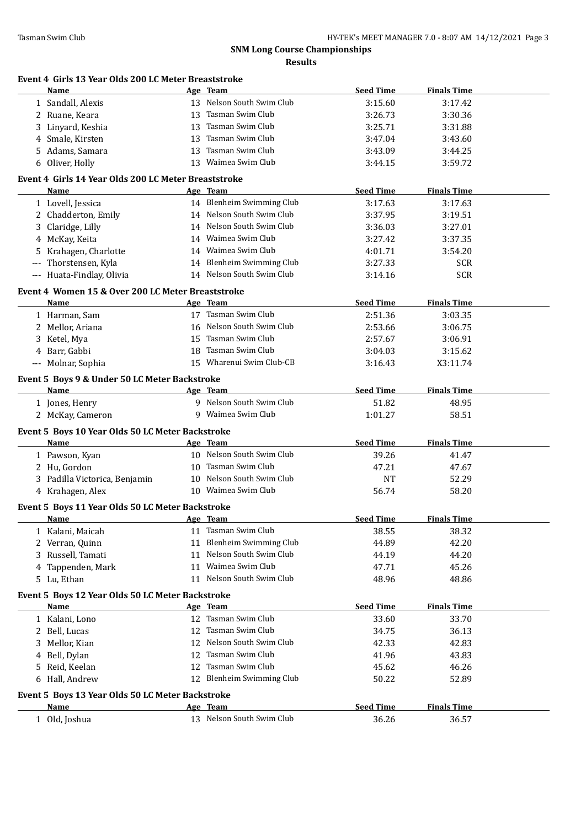| Event 4 Girls 13 Year Olds 200 LC Meter Breaststroke<br>Name    | Age Team                                               | <b>Seed Time</b> | <b>Finals Time</b> |
|-----------------------------------------------------------------|--------------------------------------------------------|------------------|--------------------|
| 1 Sandall, Alexis                                               | 13 Nelson South Swim Club                              | 3:15.60          | 3:17.42            |
| 2 Ruane, Keara                                                  | 13 Tasman Swim Club                                    | 3:26.73          | 3:30.36            |
| 3 Linyard, Keshia                                               | 13 Tasman Swim Club                                    | 3:25.71          | 3:31.88            |
| 4 Smale, Kirsten                                                | 13 Tasman Swim Club                                    | 3:47.04          | 3:43.60            |
| 5 Adams, Samara                                                 | 13 Tasman Swim Club                                    | 3:43.09          | 3:44.25            |
| 6 Oliver, Holly                                                 | 13 Waimea Swim Club                                    | 3:44.15          | 3:59.72            |
| Event 4 Girls 14 Year Olds 200 LC Meter Breaststroke            |                                                        |                  |                    |
| Name                                                            | Age Team                                               | <b>Seed Time</b> | <b>Finals Time</b> |
| 1 Lovell, Jessica                                               | 14 Blenheim Swimming Club                              | 3:17.63          | 3:17.63            |
| 2 Chadderton, Emily                                             | 14 Nelson South Swim Club                              | 3:37.95          | 3:19.51            |
| 3 Claridge, Lilly                                               | 14 Nelson South Swim Club                              | 3:36.03          | 3:27.01            |
|                                                                 | 14 Waimea Swim Club                                    |                  |                    |
| 4 McKay, Keita                                                  | 14 Waimea Swim Club                                    | 3:27.42          | 3:37.35            |
| 5 Krahagen, Charlotte                                           |                                                        | 4:01.71          | 3:54.20            |
| Thorstensen, Kyla                                               | 14 Blenheim Swimming Club<br>14 Nelson South Swim Club | 3:27.33          | <b>SCR</b>         |
| --- Huata-Findlay, Olivia                                       |                                                        | 3:14.16          | <b>SCR</b>         |
| Event 4 Women 15 & Over 200 LC Meter Breaststroke               |                                                        |                  |                    |
| Name                                                            | Age Team                                               | <b>Seed Time</b> | <b>Finals Time</b> |
| 1 Harman, Sam                                                   | 17 Tasman Swim Club                                    | 2:51.36          | 3:03.35            |
| 2 Mellor, Ariana                                                | 16 Nelson South Swim Club                              | 2:53.66          | 3:06.75            |
| 3 Ketel, Mya                                                    | 15 Tasman Swim Club                                    | 2:57.67          | 3:06.91            |
| 4 Barr, Gabbi                                                   | 18 Tasman Swim Club                                    | 3:04.03          | 3:15.62            |
| --- Molnar, Sophia                                              | 15 Wharenui Swim Club-CB                               | 3:16.43          | X3:11.74           |
| Event 5 Boys 9 & Under 50 LC Meter Backstroke                   |                                                        |                  |                    |
| Name                                                            | Age Team                                               | <b>Seed Time</b> | <b>Finals Time</b> |
| 1 Jones, Henry                                                  | 9 Nelson South Swim Club                               | 51.82            | 48.95              |
| 2 McKay, Cameron                                                | 9 Waimea Swim Club                                     | 1:01.27          | 58.51              |
| Event 5 Boys 10 Year Olds 50 LC Meter Backstroke                |                                                        |                  |                    |
| Name                                                            | Age Team                                               | <b>Seed Time</b> | <b>Finals Time</b> |
| 1 Pawson, Kyan                                                  | 10 Nelson South Swim Club                              | 39.26            | 41.47              |
| 2 Hu, Gordon                                                    | 10 Tasman Swim Club                                    | 47.21            | 47.67              |
| 3 Padilla Victorica, Benjamin                                   | 10 Nelson South Swim Club                              | <b>NT</b>        | 52.29              |
| 4 Krahagen, Alex                                                | 10 Waimea Swim Club                                    | 56.74            | 58.20              |
| <b>Event 5 Boys 11 Year Olds 50 LC Meter Backstroke</b>         |                                                        |                  |                    |
| <b>Name</b>                                                     | Age Team                                               | <b>Seed Time</b> | <b>Finals Time</b> |
| 1 Kalani, Maicah                                                | 11 Tasman Swim Club                                    | 38.55            | 38.32              |
| 2 Verran, Quinn                                                 | 11 Blenheim Swimming Club                              | 44.89            | 42.20              |
| 3 Russell, Tamati                                               | 11 Nelson South Swim Club                              | 44.19            | 44.20              |
| Tappenden, Mark<br>4                                            | 11 Waimea Swim Club                                    | 47.71            | 45.26              |
| 5 Lu, Ethan                                                     | 11 Nelson South Swim Club                              | 48.96            | 48.86              |
|                                                                 |                                                        |                  |                    |
| Event 5 Boys 12 Year Olds 50 LC Meter Backstroke<br><b>Name</b> | Age Team                                               | <b>Seed Time</b> | <b>Finals Time</b> |
| 1 Kalani, Lono                                                  | 12 Tasman Swim Club                                    | 33.60            | 33.70              |
| 2 Bell, Lucas                                                   | 12 Tasman Swim Club                                    | 34.75            | 36.13              |
|                                                                 | 12 Nelson South Swim Club                              |                  |                    |
| 3 Mellor, Kian                                                  |                                                        | 42.33            | 42.83              |
| 4 Bell, Dylan                                                   | 12 Tasman Swim Club                                    | 41.96            | 43.83              |
| 5 Reid, Keelan                                                  | 12 Tasman Swim Club                                    | 45.62            | 46.26              |
| 6 Hall, Andrew                                                  | 12 Blenheim Swimming Club                              | 50.22            | 52.89              |
|                                                                 |                                                        |                  |                    |
|                                                                 |                                                        |                  |                    |
| Event 5 Boys 13 Year Olds 50 LC Meter Backstroke<br><b>Name</b> | Age Team                                               | <b>Seed Time</b> | <b>Finals Time</b> |
| 1 Old, Joshua                                                   | 13 Nelson South Swim Club                              | 36.26            | 36.57              |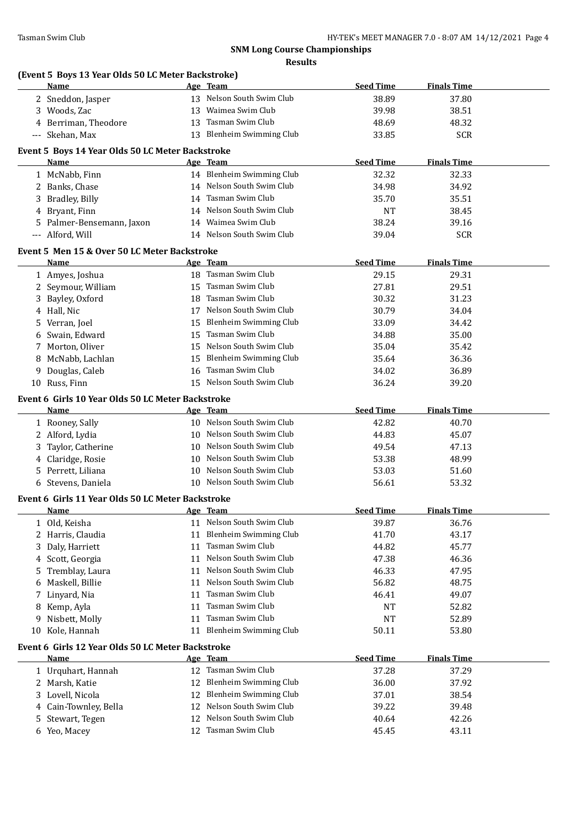|   | (Event 5 Boys 13 Year Olds 50 LC Meter Backstroke)<br>Name |    | Age Team                                      | <b>Seed Time</b> | <b>Finals Time</b> |  |
|---|------------------------------------------------------------|----|-----------------------------------------------|------------------|--------------------|--|
|   | 2 Sneddon, Jasper                                          |    | 13 Nelson South Swim Club                     | 38.89            | 37.80              |  |
|   | 3 Woods, Zac                                               |    | 13 Waimea Swim Club                           | 39.98            | 38.51              |  |
|   | 4 Berriman, Theodore                                       |    | 13 Tasman Swim Club                           | 48.69            | 48.32              |  |
|   | --- Skehan, Max                                            |    | 13 Blenheim Swimming Club                     | 33.85            | <b>SCR</b>         |  |
|   |                                                            |    |                                               |                  |                    |  |
|   | Event 5 Boys 14 Year Olds 50 LC Meter Backstroke<br>Name   |    | Age Team                                      | <b>Seed Time</b> | <b>Finals Time</b> |  |
|   | 1 McNabb, Finn                                             |    | 14 Blenheim Swimming Club                     | 32.32            | 32.33              |  |
|   | 2 Banks, Chase                                             |    | 14 Nelson South Swim Club                     | 34.98            | 34.92              |  |
|   | 3 Bradley, Billy                                           |    | 14 Tasman Swim Club                           | 35.70            | 35.51              |  |
|   | 4 Bryant, Finn                                             |    | 14 Nelson South Swim Club                     | <b>NT</b>        | 38.45              |  |
|   | 5 Palmer-Bensemann, Jaxon                                  |    | 14 Waimea Swim Club                           | 38.24            | 39.16              |  |
|   | --- Alford, Will                                           |    | 14 Nelson South Swim Club                     | 39.04            | <b>SCR</b>         |  |
|   |                                                            |    |                                               |                  |                    |  |
|   | Event 5 Men 15 & Over 50 LC Meter Backstroke               |    |                                               |                  |                    |  |
|   | Name                                                       |    | Age Team                                      | <b>Seed Time</b> | <b>Finals Time</b> |  |
|   | 1 Amyes, Joshua                                            |    | 18 Tasman Swim Club                           | 29.15            | 29.31              |  |
|   | 2 Seymour, William                                         |    | 15 Tasman Swim Club                           | 27.81            | 29.51              |  |
|   | 3 Bayley, Oxford                                           |    | 18 Tasman Swim Club                           | 30.32            | 31.23              |  |
|   | 4 Hall, Nic                                                |    | 17 Nelson South Swim Club                     | 30.79            | 34.04              |  |
|   | 5 Verran, Joel                                             |    | 15 Blenheim Swimming Club                     | 33.09            | 34.42              |  |
|   | 6 Swain, Edward                                            |    | 15 Tasman Swim Club                           | 34.88            | 35.00              |  |
|   | 7 Morton, Oliver                                           |    | 15 Nelson South Swim Club                     | 35.04            | 35.42              |  |
|   | 8 McNabb, Lachlan                                          |    | 15 Blenheim Swimming Club                     | 35.64            | 36.36              |  |
|   | 9 Douglas, Caleb                                           |    | 16 Tasman Swim Club                           | 34.02            | 36.89              |  |
|   | 10 Russ, Finn                                              |    | 15 Nelson South Swim Club                     | 36.24            | 39.20              |  |
|   | Event 6 Girls 10 Year Olds 50 LC Meter Backstroke          |    |                                               |                  |                    |  |
|   | Name                                                       |    | Age Team                                      | <b>Seed Time</b> | <b>Finals Time</b> |  |
|   | 1 Rooney, Sally                                            |    | 10 Nelson South Swim Club                     | 42.82            | 40.70              |  |
|   | 2 Alford, Lydia                                            |    | 10 Nelson South Swim Club                     | 44.83            | 45.07              |  |
|   | 3 Taylor, Catherine                                        |    | 10 Nelson South Swim Club                     | 49.54            | 47.13              |  |
|   | 4 Claridge, Rosie                                          |    | 10 Nelson South Swim Club                     | 53.38            | 48.99              |  |
|   | 5 Perrett, Liliana                                         |    | 10 Nelson South Swim Club                     | 53.03            | 51.60              |  |
|   | 6 Stevens, Daniela                                         |    | 10 Nelson South Swim Club                     | 56.61            | 53.32              |  |
|   | Event 6 Girls 11 Year Olds 50 LC Meter Backstroke          |    |                                               |                  |                    |  |
|   | Name                                                       |    | Age Team                                      | <b>Seed Time</b> | <b>Finals Time</b> |  |
|   | 1 Old, Keisha                                              |    | 11 Nelson South Swim Club                     | 39.87            | 36.76              |  |
|   |                                                            |    |                                               |                  |                    |  |
|   |                                                            | 11 | <b>Blenheim Swimming Club</b>                 | 41.70            | 43.17              |  |
| 3 | 2 Harris, Claudia                                          | 11 | Tasman Swim Club                              | 44.82            | 45.77              |  |
| 4 | Daly, Harriett                                             | 11 | Nelson South Swim Club                        | 47.38            | 46.36              |  |
| 5 | Scott, Georgia                                             | 11 | Nelson South Swim Club                        |                  |                    |  |
| 6 | Tremblay, Laura                                            | 11 | Nelson South Swim Club                        | 46.33            | 47.95              |  |
| 7 | Maskell, Billie                                            | 11 | Tasman Swim Club                              | 56.82            | 48.75              |  |
|   | Linyard, Nia                                               | 11 | Tasman Swim Club                              | 46.41            | 49.07              |  |
|   | 8 Kemp, Ayla                                               | 11 | Tasman Swim Club                              | NT               | 52.82              |  |
|   | 9 Nisbett, Molly<br>10 Kole, Hannah                        |    | 11 Blenheim Swimming Club                     | NT               | 52.89              |  |
|   |                                                            |    |                                               | 50.11            | 53.80              |  |
|   | Event 6 Girls 12 Year Olds 50 LC Meter Backstroke          |    |                                               |                  |                    |  |
|   | <b>Name</b>                                                |    | Age Team                                      | <b>Seed Time</b> | <b>Finals Time</b> |  |
|   | 1 Urquhart, Hannah                                         |    | 12 Tasman Swim Club                           | 37.28            | 37.29              |  |
|   | 2 Marsh, Katie                                             |    | 12 Blenheim Swimming Club                     | 36.00            | 37.92              |  |
|   | 3 Lovell, Nicola                                           |    | 12 Blenheim Swimming Club                     | 37.01            | 38.54              |  |
|   | 4 Cain-Townley, Bella                                      | 12 | Nelson South Swim Club                        | 39.22            | 39.48              |  |
| 5 | Stewart, Tegen<br>6 Yeo, Macey                             | 12 | Nelson South Swim Club<br>12 Tasman Swim Club | 40.64<br>45.45   | 42.26<br>43.11     |  |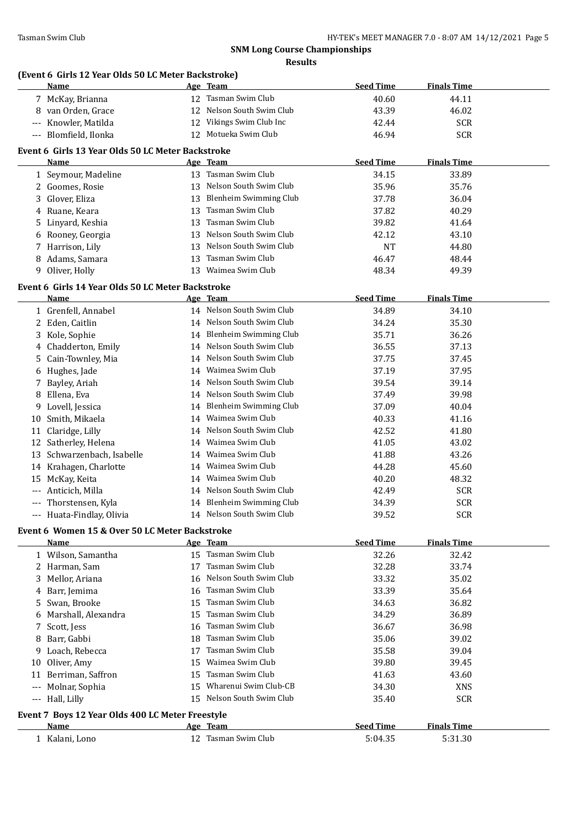**Results**

# **(Event 6 Girls 12 Year Olds 50 LC Meter Backstroke)**

|     | $\frac{1}{2}$ is the case of solution between $\frac{1}{2}$<br>Name |    | Age Team                                         | <b>Seed Time</b> | <b>Finals Time</b> |  |
|-----|---------------------------------------------------------------------|----|--------------------------------------------------|------------------|--------------------|--|
|     | 7 McKay, Brianna                                                    |    | 12 Tasman Swim Club                              | 40.60            | 44.11              |  |
|     | 8 van Orden, Grace                                                  |    | 12 Nelson South Swim Club                        | 43.39            | 46.02              |  |
|     | --- Knowler, Matilda                                                |    | 12 Vikings Swim Club Inc                         | 42.44            | <b>SCR</b>         |  |
|     | --- Blomfield, Ilonka                                               |    | 12 Motueka Swim Club                             | 46.94            | <b>SCR</b>         |  |
|     |                                                                     |    |                                                  |                  |                    |  |
|     | Event 6 Girls 13 Year Olds 50 LC Meter Backstroke                   |    |                                                  |                  |                    |  |
|     | Name                                                                |    | Age Team                                         | <b>Seed Time</b> | <b>Finals Time</b> |  |
|     | 1 Seymour, Madeline                                                 |    | 13 Tasman Swim Club<br>13 Nelson South Swim Club | 34.15            | 33.89              |  |
|     | 2 Goomes, Rosie                                                     |    |                                                  | 35.96            | 35.76              |  |
|     | 3 Glover, Eliza                                                     |    | 13 Blenheim Swimming Club                        | 37.78            | 36.04              |  |
|     | 4 Ruane, Keara                                                      |    | 13 Tasman Swim Club                              | 37.82            | 40.29              |  |
| 5   | Linyard, Keshia                                                     |    | 13 Tasman Swim Club                              | 39.82            | 41.64              |  |
| 6   | Rooney, Georgia                                                     |    | 13 Nelson South Swim Club                        | 42.12            | 43.10              |  |
| 7   | Harrison, Lily                                                      |    | 13 Nelson South Swim Club                        | <b>NT</b>        | 44.80              |  |
| 8   | Adams, Samara                                                       |    | 13 Tasman Swim Club                              | 46.47            | 48.44              |  |
|     | 9 Oliver, Holly                                                     |    | 13 Waimea Swim Club                              | 48.34            | 49.39              |  |
|     | Event 6 Girls 14 Year Olds 50 LC Meter Backstroke                   |    |                                                  |                  |                    |  |
|     | Name                                                                |    | Age Team                                         | <b>Seed Time</b> | <b>Finals Time</b> |  |
|     | 1 Grenfell, Annabel                                                 |    | 14 Nelson South Swim Club                        | 34.89            | 34.10              |  |
|     | 2 Eden, Caitlin                                                     |    | 14 Nelson South Swim Club                        | 34.24            | 35.30              |  |
|     | 3 Kole, Sophie                                                      |    | 14 Blenheim Swimming Club                        | 35.71            | 36.26              |  |
|     | 4 Chadderton, Emily                                                 |    | 14 Nelson South Swim Club                        | 36.55            | 37.13              |  |
| 5   | Cain-Townley, Mia                                                   |    | 14 Nelson South Swim Club                        | 37.75            | 37.45              |  |
| 6   | Hughes, Jade                                                        |    | 14 Waimea Swim Club                              | 37.19            | 37.95              |  |
| 7   | Bayley, Ariah                                                       |    | 14 Nelson South Swim Club                        | 39.54            | 39.14              |  |
| 8   | Ellena, Eva                                                         |    | 14 Nelson South Swim Club                        | 37.49            | 39.98              |  |
| 9.  | Lovell, Jessica                                                     |    | 14 Blenheim Swimming Club                        | 37.09            | 40.04              |  |
| 10  | Smith, Mikaela                                                      |    | 14 Waimea Swim Club                              | 40.33            | 41.16              |  |
|     | 11 Claridge, Lilly                                                  |    | 14 Nelson South Swim Club                        | 42.52            | 41.80              |  |
|     | 12 Satherley, Helena                                                |    | 14 Waimea Swim Club                              | 41.05            | 43.02              |  |
|     | 13 Schwarzenbach, Isabelle                                          |    | 14 Waimea Swim Club                              | 41.88            | 43.26              |  |
|     | 14 Krahagen, Charlotte                                              |    | 14 Waimea Swim Club                              | 44.28            | 45.60              |  |
| 15  | McKay, Keita                                                        |    | 14 Waimea Swim Club                              | 40.20            | 48.32              |  |
|     | Anticich, Milla                                                     |    | 14 Nelson South Swim Club                        | 42.49            | <b>SCR</b>         |  |
| --- | Thorstensen, Kyla                                                   |    | 14 Blenheim Swimming Club                        | 34.39            | <b>SCR</b>         |  |
|     |                                                                     |    | 14 Nelson South Swim Club                        |                  | <b>SCR</b>         |  |
|     | --- Huata-Findlay, Olivia                                           |    |                                                  | 39.52            |                    |  |
|     | Event 6 Women 15 & Over 50 LC Meter Backstroke                      |    |                                                  |                  |                    |  |
|     | <b>Name</b>                                                         |    | Age Team                                         | <b>Seed Time</b> | <b>Finals Time</b> |  |
|     | 1 Wilson, Samantha                                                  |    | 15 Tasman Swim Club                              | 32.26            | 32.42              |  |
|     | 2 Harman, Sam                                                       |    | 17 Tasman Swim Club                              | 32.28            | 33.74              |  |
| 3   | Mellor, Ariana                                                      |    | 16 Nelson South Swim Club                        | 33.32            | 35.02              |  |
| 4   | Barr, Jemima                                                        | 16 | Tasman Swim Club                                 | 33.39            | 35.64              |  |
| 5   | Swan, Brooke                                                        | 15 | Tasman Swim Club                                 | 34.63            | 36.82              |  |
| 6   | Marshall, Alexandra                                                 | 15 | Tasman Swim Club                                 | 34.29            | 36.89              |  |
| 7   | Scott, Jess                                                         | 16 | Tasman Swim Club                                 | 36.67            | 36.98              |  |
| 8   | Barr, Gabbi                                                         | 18 | Tasman Swim Club                                 | 35.06            | 39.02              |  |
| 9   | Loach, Rebecca                                                      | 17 | Tasman Swim Club                                 | 35.58            | 39.04              |  |
| 10  | Oliver, Amy                                                         | 15 | Waimea Swim Club                                 | 39.80            | 39.45              |  |
| 11  | Berriman, Saffron                                                   | 15 | Tasman Swim Club                                 | 41.63            | 43.60              |  |
| --- | Molnar, Sophia                                                      | 15 | Wharenui Swim Club-CB                            | 34.30            | XNS                |  |
|     | --- Hall, Lilly                                                     |    | 15 Nelson South Swim Club                        | 35.40            | SCR                |  |
|     | Event 7 Boys 12 Year Olds 400 LC Meter Freestyle                    |    |                                                  |                  |                    |  |
|     | Name                                                                |    | Age Team                                         | <b>Seed Time</b> | <b>Finals Time</b> |  |
|     | 1 Kalani, Lono                                                      |    | 12 Tasman Swim Club                              | 5:04.35          | 5:31.30            |  |
|     |                                                                     |    |                                                  |                  |                    |  |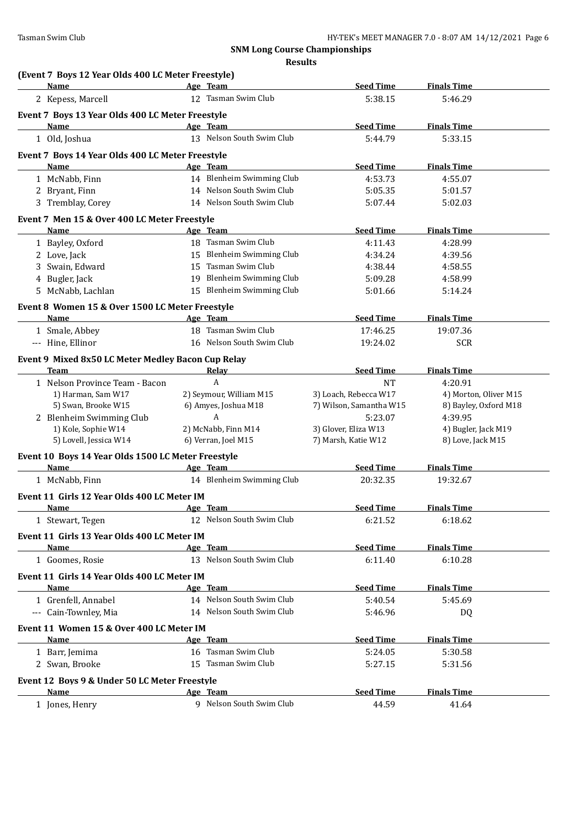| (Event 7 Boys 12 Year Olds 400 LC Meter Freestyle)<br><b>Name</b> | Age Team                                        | <b>Seed Time</b>                                 | <b>Finals Time</b>                             |
|-------------------------------------------------------------------|-------------------------------------------------|--------------------------------------------------|------------------------------------------------|
| 2 Kepess, Marcell                                                 | 12 Tasman Swim Club                             | 5:38.15                                          | 5:46.29                                        |
| Event 7 Boys 13 Year Olds 400 LC Meter Freestyle                  |                                                 |                                                  |                                                |
| Name                                                              | Age Team                                        | <b>Seed Time</b>                                 | <b>Finals Time</b>                             |
| 1 Old, Joshua                                                     | 13 Nelson South Swim Club                       | 5:44.79                                          | 5:33.15                                        |
| Event 7 Boys 14 Year Olds 400 LC Meter Freestyle                  |                                                 |                                                  |                                                |
| Name                                                              | Age Team                                        | <b>Seed Time</b>                                 | <b>Finals Time</b>                             |
| 1 McNabb, Finn                                                    | 14 Blenheim Swimming Club                       | 4:53.73                                          | 4:55.07                                        |
| 2 Bryant, Finn                                                    | 14 Nelson South Swim Club                       | 5:05.35                                          | 5:01.57                                        |
| 3 Tremblay, Corey                                                 | 14 Nelson South Swim Club                       | 5:07.44                                          | 5:02.03                                        |
|                                                                   |                                                 |                                                  |                                                |
| Event 7 Men 15 & Over 400 LC Meter Freestyle<br>Name              | Age Team                                        | <b>Seed Time</b>                                 | <b>Finals Time</b>                             |
| 1 Bayley, Oxford                                                  | 18 Tasman Swim Club                             | 4:11.43                                          | 4:28.99                                        |
| 2 Love, Jack                                                      | 15 Blenheim Swimming Club                       | 4:34.24                                          | 4:39.56                                        |
| 3 Swain, Edward                                                   | 15 Tasman Swim Club                             | 4:38.44                                          | 4:58.55                                        |
| 4 Bugler, Jack                                                    | 19 Blenheim Swimming Club                       | 5:09.28                                          | 4:58.99                                        |
| 5 McNabb, Lachlan                                                 | 15 Blenheim Swimming Club                       | 5:01.66                                          | 5:14.24                                        |
|                                                                   |                                                 |                                                  |                                                |
| Event 8 Women 15 & Over 1500 LC Meter Freestyle<br>Name           | Age Team                                        | <b>Seed Time</b>                                 | <b>Finals Time</b>                             |
| 1 Smale, Abbey                                                    | 18 Tasman Swim Club                             | 17:46.25                                         | 19:07.36                                       |
| --- Hine, Ellinor                                                 | 16 Nelson South Swim Club                       | 19:24.02                                         | <b>SCR</b>                                     |
|                                                                   |                                                 |                                                  |                                                |
| Event 9 Mixed 8x50 LC Meter Medley Bacon Cup Relay                |                                                 |                                                  |                                                |
| Team                                                              | <b>Relay</b>                                    | <b>Seed Time</b>                                 | <b>Finals Time</b>                             |
| 1 Nelson Province Team - Bacon                                    | A                                               | <b>NT</b>                                        | 4:20.91                                        |
| 1) Harman, Sam W17<br>5) Swan, Brooke W15                         | 2) Seymour, William M15<br>6) Amyes, Joshua M18 | 3) Loach, Rebecca W17<br>7) Wilson, Samantha W15 | 4) Morton, Oliver M15<br>8) Bayley, Oxford M18 |
| 2 Blenheim Swimming Club                                          | A                                               | 5:23.07                                          | 4:39.95                                        |
| 1) Kole, Sophie W14                                               | 2) McNabb, Finn M14                             | 3) Glover, Eliza W13                             | 4) Bugler, Jack M19                            |
| 5) Lovell, Jessica W14                                            | 6) Verran, Joel M15                             | 7) Marsh, Katie W12                              | 8) Love, Jack M15                              |
| Event 10 Boys 14 Year Olds 1500 LC Meter Freestyle                |                                                 |                                                  |                                                |
| Name                                                              | Age Team                                        | <b>Seed Time</b>                                 | <b>Finals Time</b>                             |
| 1 McNabb, Finn                                                    | 14 Blenheim Swimming Club                       | 20:32.35                                         | 19:32.67                                       |
|                                                                   |                                                 |                                                  |                                                |
| Event 11 Girls 12 Year Olds 400 LC Meter IM                       |                                                 |                                                  |                                                |
| <u>Name</u>                                                       | <u>Age Team</u><br>12 Nelson South Swim Club    | <b>Seed Time</b>                                 | <b>Finals Time</b>                             |
| 1 Stewart, Tegen                                                  |                                                 | 6:21.52                                          | 6:18.62                                        |
| Event 11 Girls 13 Year Olds 400 LC Meter IM                       |                                                 |                                                  |                                                |
| Name                                                              | Age Team                                        | <b>Seed Time</b>                                 | <b>Finals Time</b>                             |
| 1 Goomes, Rosie                                                   | 13 Nelson South Swim Club                       | 6:11.40                                          | 6:10.28                                        |
| Event 11 Girls 14 Year Olds 400 LC Meter IM                       |                                                 |                                                  |                                                |
| Name                                                              | Age Team                                        | <b>Seed Time</b>                                 | <b>Finals Time</b>                             |
| 1 Grenfell, Annabel                                               | 14 Nelson South Swim Club                       | 5:40.54                                          | 5:45.69                                        |
| --- Cain-Townley, Mia                                             | 14 Nelson South Swim Club                       | 5:46.96                                          | DQ                                             |
| Event 11 Women 15 & Over 400 LC Meter IM                          |                                                 |                                                  |                                                |
| <u>Name</u>                                                       | Age Team                                        | <b>Seed Time</b>                                 | <b>Finals Time</b>                             |
| 1 Barr, Jemima                                                    | 16 Tasman Swim Club                             | 5:24.05                                          | 5:30.58                                        |
| 2 Swan, Brooke                                                    | 15 Tasman Swim Club                             | 5:27.15                                          | 5:31.56                                        |
| Event 12 Boys 9 & Under 50 LC Meter Freestyle                     |                                                 |                                                  |                                                |
| Name                                                              | Age Team                                        | <b>Seed Time</b>                                 | <b>Finals Time</b>                             |
|                                                                   |                                                 |                                                  |                                                |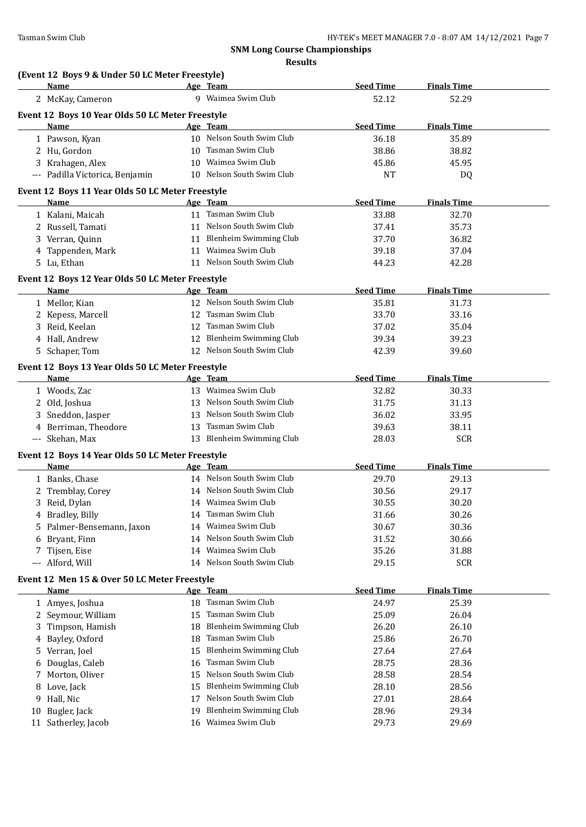**Results**

|     | (Event 12 Boys 9 & Under 50 LC Meter Freestyle)<br>Name  |    | Age Team                      | <b>Seed Time</b> | <b>Finals Time</b> |  |
|-----|----------------------------------------------------------|----|-------------------------------|------------------|--------------------|--|
|     | 2 McKay, Cameron                                         |    | 9 Waimea Swim Club            | 52.12            | 52.29              |  |
|     |                                                          |    |                               |                  |                    |  |
|     | Event 12 Boys 10 Year Olds 50 LC Meter Freestyle<br>Name |    | Age Team                      | <b>Seed Time</b> | <b>Finals Time</b> |  |
|     | 1 Pawson, Kyan                                           |    | 10 Nelson South Swim Club     | 36.18            | 35.89              |  |
|     | 2 Hu, Gordon                                             |    | 10 Tasman Swim Club           | 38.86            | 38.82              |  |
|     | 3 Krahagen, Alex                                         |    | 10 Waimea Swim Club           | 45.86            | 45.95              |  |
|     | --- Padilla Victorica, Benjamin                          |    | 10 Nelson South Swim Club     | <b>NT</b>        | DQ                 |  |
|     |                                                          |    |                               |                  |                    |  |
|     | Event 12 Boys 11 Year Olds 50 LC Meter Freestyle<br>Name |    | Age Team                      | <b>Seed Time</b> | <b>Finals Time</b> |  |
|     | 1 Kalani, Maicah                                         |    | 11 Tasman Swim Club           | 33.88            | 32.70              |  |
|     | 2 Russell, Tamati                                        |    | 11 Nelson South Swim Club     | 37.41            | 35.73              |  |
|     | 3 Verran, Quinn                                          |    | 11 Blenheim Swimming Club     | 37.70            | 36.82              |  |
|     |                                                          |    | 11 Waimea Swim Club           | 39.18            | 37.04              |  |
|     | 4 Tappenden, Mark<br>5 Lu, Ethan                         |    | 11 Nelson South Swim Club     | 44.23            | 42.28              |  |
|     |                                                          |    |                               |                  |                    |  |
|     | Event 12 Boys 12 Year Olds 50 LC Meter Freestyle         |    |                               |                  |                    |  |
|     | Name                                                     |    | Age Team                      | <b>Seed Time</b> | <b>Finals Time</b> |  |
|     | 1 Mellor, Kian                                           |    | 12 Nelson South Swim Club     | 35.81            | 31.73              |  |
|     | 2 Kepess, Marcell                                        |    | 12 Tasman Swim Club           | 33.70            | 33.16              |  |
|     | 3 Reid, Keelan                                           |    | 12 Tasman Swim Club           | 37.02            | 35.04              |  |
|     | 4 Hall, Andrew                                           |    | 12 Blenheim Swimming Club     | 39.34            | 39.23              |  |
|     | 5 Schaper, Tom                                           |    | 12 Nelson South Swim Club     | 42.39            | 39.60              |  |
|     | Event 12 Boys 13 Year Olds 50 LC Meter Freestyle         |    |                               |                  |                    |  |
|     | Name                                                     |    | Age Team                      | <b>Seed Time</b> | <b>Finals Time</b> |  |
|     | 1 Woods, Zac                                             |    | 13 Waimea Swim Club           | 32.82            | 30.33              |  |
|     | 2 Old, Joshua                                            |    | 13 Nelson South Swim Club     | 31.75            | 31.13              |  |
|     | 3 Sneddon, Jasper                                        | 13 | Nelson South Swim Club        | 36.02            | 33.95              |  |
|     | 4 Berriman, Theodore                                     |    | 13 Tasman Swim Club           | 39.63            | 38.11              |  |
|     | --- Skehan, Max                                          |    | 13 Blenheim Swimming Club     | 28.03            | <b>SCR</b>         |  |
|     | Event 12 Boys 14 Year Olds 50 LC Meter Freestyle         |    |                               |                  |                    |  |
|     | Name                                                     |    | Age Team                      | <b>Seed Time</b> | <b>Finals Time</b> |  |
|     | 1 Banks, Chase                                           |    | 14 Nelson South Swim Club     | 29.70            | 29.13              |  |
|     | 2 Tremblay, Corey                                        |    | 14 Nelson South Swim Club     | 30.56            | 29.17              |  |
|     | 3 Reid, Dylan                                            |    | 14 Waimea Swim Club           | 30.55            | 30.20              |  |
|     | 4 Bradley, Billy                                         |    | 14 Tasman Swim Club           | 31.66            | 30.26              |  |
| 5.  | Palmer-Bensemann, Jaxon                                  | 14 | Waimea Swim Club              | 30.67            | 30.36              |  |
| 6   | Bryant, Finn                                             | 14 | Nelson South Swim Club        | 31.52            | 30.66              |  |
| 7   | Tijsen, Eise                                             | 14 | Waimea Swim Club              | 35.26            | 31.88              |  |
| --- | Alford, Will                                             |    | 14 Nelson South Swim Club     | 29.15            | SCR                |  |
|     | Event 12 Men 15 & Over 50 LC Meter Freestyle             |    |                               |                  |                    |  |
|     | <b>Name</b>                                              |    | Age Team                      | <b>Seed Time</b> | <b>Finals Time</b> |  |
|     | 1 Amyes, Joshua                                          | 18 | Tasman Swim Club              | 24.97            | 25.39              |  |
| 2   | Seymour, William                                         | 15 | Tasman Swim Club              | 25.09            | 26.04              |  |
| 3   | Timpson, Hamish                                          | 18 | Blenheim Swimming Club        | 26.20            | 26.10              |  |
| 4   | Bayley, Oxford                                           | 18 | Tasman Swim Club              | 25.86            | 26.70              |  |
| 5.  | Verran, Joel                                             | 15 | <b>Blenheim Swimming Club</b> | 27.64            | 27.64              |  |
| 6   | Douglas, Caleb                                           | 16 | Tasman Swim Club              | 28.75            | 28.36              |  |
| 7   | Morton, Oliver                                           | 15 | Nelson South Swim Club        | 28.58            | 28.54              |  |
| 8   | Love, Jack                                               | 15 | Blenheim Swimming Club        | 28.10            | 28.56              |  |
| 9   | Hall, Nic                                                | 17 | Nelson South Swim Club        | 27.01            | 28.64              |  |
| 10  | Bugler, Jack                                             | 19 | <b>Blenheim Swimming Club</b> | 28.96            | 29.34              |  |
|     | 11 Satherley, Jacob                                      |    | 16 Waimea Swim Club           | 29.73            | 29.69              |  |
|     |                                                          |    |                               |                  |                    |  |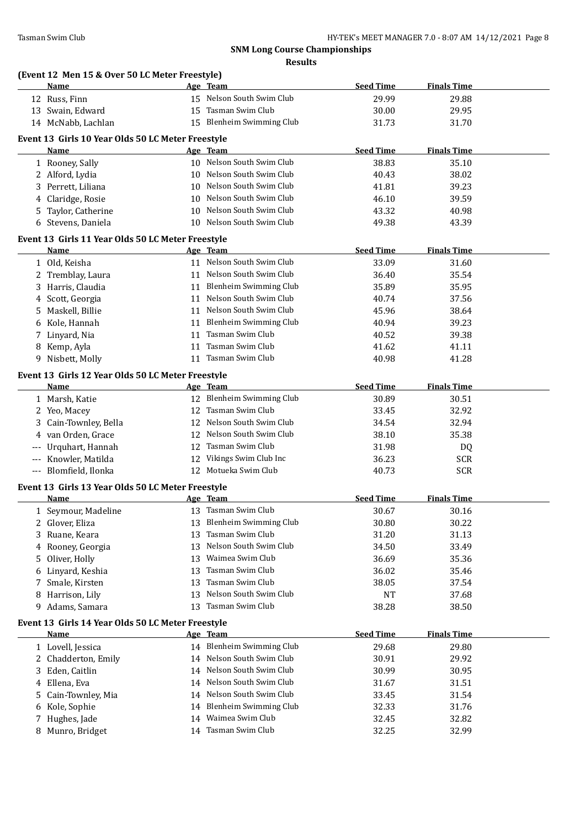#### **(Event 12 Men 15 & Over 50 LC Meter Freestyle)**

|             | <u>Name</u>                                               |    | Age Team                      | <b>Seed Time</b> | <b>Finals Time</b> |
|-------------|-----------------------------------------------------------|----|-------------------------------|------------------|--------------------|
|             | 12 Russ, Finn                                             |    | 15 Nelson South Swim Club     | 29.99            | 29.88              |
|             | 13 Swain, Edward                                          |    | 15 Tasman Swim Club           | 30.00            | 29.95              |
|             | 14 McNabb, Lachlan                                        |    | 15 Blenheim Swimming Club     | 31.73            | 31.70              |
|             | Event 13 Girls 10 Year Olds 50 LC Meter Freestyle         |    |                               |                  |                    |
|             | Name                                                      |    | Age Team                      | <b>Seed Time</b> | <b>Finals Time</b> |
|             | 1 Rooney, Sally                                           |    | 10 Nelson South Swim Club     | 38.83            | 35.10              |
|             | 2 Alford, Lydia                                           |    | 10 Nelson South Swim Club     | 40.43            | 38.02              |
| 3           | Perrett, Liliana                                          |    | 10 Nelson South Swim Club     | 41.81            | 39.23              |
| 4           | Claridge, Rosie                                           | 10 | Nelson South Swim Club        | 46.10            | 39.59              |
| 5           | Taylor, Catherine                                         |    | 10 Nelson South Swim Club     | 43.32            | 40.98              |
| 6           | Stevens, Daniela                                          |    | 10 Nelson South Swim Club     | 49.38            | 43.39              |
|             |                                                           |    |                               |                  |                    |
|             | Event 13 Girls 11 Year Olds 50 LC Meter Freestyle<br>Name |    | Age Team                      | <b>Seed Time</b> | <b>Finals Time</b> |
|             | 1 Old, Keisha                                             |    | 11 Nelson South Swim Club     | 33.09            | 31.60              |
|             | 2 Tremblay, Laura                                         |    | 11 Nelson South Swim Club     | 36.40            | 35.54              |
| 3           | Harris, Claudia                                           |    | 11 Blenheim Swimming Club     | 35.89            | 35.95              |
| 4           | Scott, Georgia                                            |    | 11 Nelson South Swim Club     | 40.74            | 37.56              |
| 5.          | Maskell, Billie                                           |    | 11 Nelson South Swim Club     | 45.96            | 38.64              |
| 6           | Kole, Hannah                                              |    | 11 Blenheim Swimming Club     | 40.94            | 39.23              |
| 7           | Linyard, Nia                                              |    | 11 Tasman Swim Club           | 40.52            | 39.38              |
| 8           | Kemp, Ayla                                                |    | 11 Tasman Swim Club           | 41.62            | 41.11              |
|             | 9 Nisbett, Molly                                          |    | 11 Tasman Swim Club           | 40.98            | 41.28              |
|             |                                                           |    |                               |                  |                    |
|             | Event 13 Girls 12 Year Olds 50 LC Meter Freestyle<br>Name |    | Age Team                      | <b>Seed Time</b> | <b>Finals Time</b> |
|             | 1 Marsh, Katie                                            |    | 12 Blenheim Swimming Club     | 30.89            | 30.51              |
|             | 2 Yeo, Macey                                              |    | 12 Tasman Swim Club           | 33.45            | 32.92              |
| 3           | Cain-Townley, Bella                                       |    | 12 Nelson South Swim Club     | 34.54            | 32.94              |
| 4           | van Orden, Grace                                          |    | 12 Nelson South Swim Club     | 38.10            | 35.38              |
| $---$       | Urquhart, Hannah                                          |    | 12 Tasman Swim Club           | 31.98            | DQ                 |
| $-\, -\, -$ | Knowler, Matilda                                          |    | 12 Vikings Swim Club Inc      | 36.23            | <b>SCR</b>         |
|             | --- Blomfield, Ilonka                                     |    | 12 Motueka Swim Club          | 40.73            | <b>SCR</b>         |
|             |                                                           |    |                               |                  |                    |
|             | Event 13 Girls 13 Year Olds 50 LC Meter Freestyle<br>Name |    | Age Team                      | <b>Seed Time</b> | <b>Finals Time</b> |
|             | 1 Seymour, Madeline                                       |    | 13 Tasman Swim Club           | 30.67            | 30.16              |
| 2           | Glover, Eliza                                             |    | Blenheim Swimming Club        | 30.80            | 30.22              |
| 3           | Ruane, Keara                                              | 13 | Tasman Swim Club              | 31.20            | 31.13              |
| 4           | Rooney, Georgia                                           | 13 | Nelson South Swim Club        | 34.50            | 33.49              |
| 5           | Oliver, Holly                                             | 13 | Waimea Swim Club              | 36.69            | 35.36              |
| 6           | Linyard, Keshia                                           | 13 | Tasman Swim Club              | 36.02            | 35.46              |
| 7           | Smale, Kirsten                                            | 13 | Tasman Swim Club              | 38.05            | 37.54              |
| 8           | Harrison, Lily                                            | 13 | Nelson South Swim Club        | NT               | 37.68              |
| 9           | Adams, Samara                                             | 13 | Tasman Swim Club              | 38.28            | 38.50              |
|             |                                                           |    |                               |                  |                    |
|             | Event 13 Girls 14 Year Olds 50 LC Meter Freestyle<br>Name |    | Age Team                      | <b>Seed Time</b> | <b>Finals Time</b> |
|             | 1 Lovell, Jessica                                         |    | 14 Blenheim Swimming Club     | 29.68            | 29.80              |
|             | 2 Chadderton, Emily                                       |    | 14 Nelson South Swim Club     | 30.91            | 29.92              |
| 3           | Eden, Caitlin                                             | 14 | Nelson South Swim Club        | 30.99            | 30.95              |
| 4           | Ellena, Eva                                               | 14 | Nelson South Swim Club        | 31.67            | 31.51              |
| 5           | Cain-Townley, Mia                                         | 14 | Nelson South Swim Club        | 33.45            | 31.54              |
| 6           | Kole, Sophie                                              | 14 | <b>Blenheim Swimming Club</b> | 32.33            | 31.76              |
| 7           | Hughes, Jade                                              | 14 | Waimea Swim Club              | 32.45            | 32.82              |
|             | 8 Munro, Bridget                                          |    | 14 Tasman Swim Club           | 32.25            | 32.99              |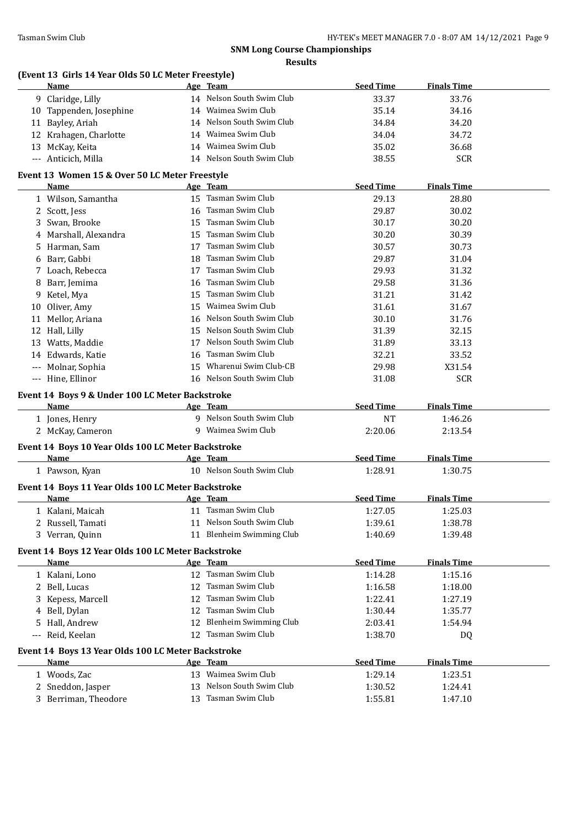# **(Event 13 Girls 14 Year Olds 50 LC Meter Freestyle) Name Age Team Seed Time Finals Time** 9 Claridge, Lilly 14 Nelson South Swim Club 33.37 33.76 10 Tappenden, Josephine 14 Waimea Swim Club 35.14 34.16 11 Bayley, Ariah 14 Nelson South Swim Club 34.84 34.20 12 Krahagen, Charlotte 14 Waimea Swim Club 34.04 34.72 13 McKay, Keita 14 Waimea Swim Club 35.02 36.68 --- Anticich, Milla 14 Nelson South Swim Club 38.55 SCR **Event 13 Women 15 & Over 50 LC Meter Freestyle Age Team Seed Time Finals Time** 1 Wilson, Samantha 15 Tasman Swim Club 29.13 28.80 2 Scott, Jess 16 Tasman Swim Club 29.87 30.02 3 Swan, Brooke 15 Tasman Swim Club 30.17 30.20 4 Marshall, Alexandra 15 Tasman Swim Club 30.20 30.39 5 Harman, Sam 17 Tasman Swim Club 30.57 30.73 6 Barr, Gabbi 18 Tasman Swim Club 29.87 31.04 7 Loach, Rebecca 17 Tasman Swim Club 29.93 31.32 8 Barr, Jemima 16 Tasman Swim Club 29.58 31.36 9 Ketel, Mya 15 Tasman Swim Club 31.21 31.42 10 Oliver, Amy 15 Waimea Swim Club 31.61 31.67 11 Mellor, Ariana 16 Nelson South Swim Club 30.10 31.76 12 Hall, Lilly 15 Nelson South Swim Club 31.39 32.15 13 Watts, Maddie 17 Nelson South Swim Club 31.89 33.13 14 Edwards, Katie 16 Tasman Swim Club 32.21 33.52 --- Molnar, Sophia 15 Wharenui Swim Club-CB 29.98 X31.54 --- Hine, Ellinor 16 Nelson South Swim Club 31.08 SCR **Event 14 Boys 9 & Under 100 LC Meter Backstroke Name Age Team Seed Time Finals Time** 1 Jones, Henry 9 Nelson South Swim Club NT 1:46.26 2 McKay, Cameron 9 Waimea Swim Club 2:20.06 2:13.54 **Event 14 Boys 10 Year Olds 100 LC Meter Backstroke Name Age Team Seed Time Finals Time** 1 Pawson, Kyan 10 Nelson South Swim Club 1:28.91 1:30.75 **Event 14 Boys 11 Year Olds 100 LC Meter Backstroke Name Age Team Seed Time Finals Time** 1 Kalani, Maicah 11 Tasman Swim Club 1:27.05 1:25.03 2 Russell, Tamati 11 Nelson South Swim Club 1:39.61 1:38.78 3 Verran, Quinn 11 Blenheim Swimming Club 1:40.69 1:39.48 **Event 14 Boys 12 Year Olds 100 LC Meter Backstroke Name Age Team Seed Time Finals Time** 1 Kalani, Lono 12 Tasman Swim Club 1:14.28 1:15.16 2 Bell, Lucas 12 Tasman Swim Club 1:16.58 1:18.00 3 Kepess, Marcell 12 Tasman Swim Club 1:22.41 1:27.19 4 Bell, Dylan 12 Tasman Swim Club 1:30.44 1:35.77 5 Hall, Andrew 12 Blenheim Swimming Club 2:03.41 1:54.94 --- Reid, Keelan 12 Tasman Swim Club 1:38.70 DQ **Event 14 Boys 13 Year Olds 100 LC Meter Backstroke Age Team Seed Time Finals Time** 1 Woods, Zac 13 Waimea Swim Club 1:29.14 1:23.51 2 Sneddon, Jasper 13 Nelson South Swim Club 1:30.52 1:24.41 3 Berriman, Theodore 13 Tasman Swim Club 1:55.81 1:47.10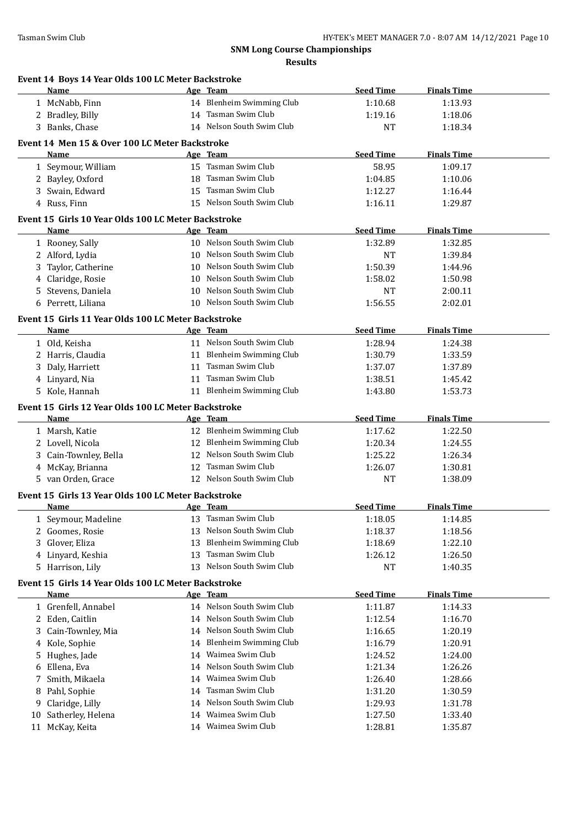|    | Event 14 Boys 14 Year Olds 100 LC Meter Backstroke<br><b>Name</b> |    | Age Team                                               | <b>Seed Time</b>   | <b>Finals Time</b> |  |
|----|-------------------------------------------------------------------|----|--------------------------------------------------------|--------------------|--------------------|--|
|    | 1 McNabb, Finn                                                    |    | 14 Blenheim Swimming Club                              | 1:10.68            | 1:13.93            |  |
|    | 2 Bradley, Billy                                                  |    | 14 Tasman Swim Club                                    | 1:19.16            | 1:18.06            |  |
|    | 3 Banks, Chase                                                    |    | 14 Nelson South Swim Club                              | NT                 | 1:18.34            |  |
|    |                                                                   |    |                                                        |                    |                    |  |
|    | Event 14 Men 15 & Over 100 LC Meter Backstroke<br>Name            |    | Age Team                                               | <b>Seed Time</b>   | <b>Finals Time</b> |  |
|    | 1 Seymour, William                                                |    | 15 Tasman Swim Club                                    | 58.95              | 1:09.17            |  |
|    | 2 Bayley, Oxford                                                  |    | 18 Tasman Swim Club                                    | 1:04.85            | 1:10.06            |  |
|    | 3 Swain, Edward                                                   |    | 15 Tasman Swim Club                                    | 1:12.27            | 1:16.44            |  |
|    | 4 Russ, Finn                                                      |    | 15 Nelson South Swim Club                              | 1:16.11            | 1:29.87            |  |
|    |                                                                   |    |                                                        |                    |                    |  |
|    | Event 15 Girls 10 Year Olds 100 LC Meter Backstroke               |    |                                                        |                    |                    |  |
|    | Name                                                              |    | Age Team<br>10 Nelson South Swim Club                  | <b>Seed Time</b>   | <b>Finals Time</b> |  |
|    | 1 Rooney, Sally                                                   |    | 10 Nelson South Swim Club                              | 1:32.89            | 1:32.85            |  |
|    | 2 Alford, Lydia                                                   |    | 10 Nelson South Swim Club                              | NT                 | 1:39.84            |  |
| 3  | Taylor, Catherine                                                 |    | 10 Nelson South Swim Club                              | 1:50.39            | 1:44.96            |  |
|    | 4 Claridge, Rosie<br>5 Stevens, Daniela                           |    | 10 Nelson South Swim Club                              | 1:58.02            | 1:50.98<br>2:00.11 |  |
|    | 6 Perrett, Liliana                                                |    | 10 Nelson South Swim Club                              | NT                 |                    |  |
|    |                                                                   |    |                                                        | 1:56.55            | 2:02.01            |  |
|    | Event 15 Girls 11 Year Olds 100 LC Meter Backstroke               |    |                                                        |                    |                    |  |
|    | Name                                                              |    | Age Team                                               | <b>Seed Time</b>   | <b>Finals Time</b> |  |
|    | 1 Old, Keisha                                                     |    | 11 Nelson South Swim Club                              | 1:28.94            | 1:24.38            |  |
|    | 2 Harris, Claudia                                                 |    | 11 Blenheim Swimming Club                              | 1:30.79            | 1:33.59            |  |
|    | 3 Daly, Harriett                                                  |    | 11 Tasman Swim Club                                    | 1:37.07            | 1:37.89            |  |
|    | 4 Linyard, Nia                                                    |    | 11 Tasman Swim Club                                    | 1:38.51            | 1:45.42            |  |
|    | 5 Kole, Hannah                                                    |    | 11 Blenheim Swimming Club                              | 1:43.80            | 1:53.73            |  |
|    | Event 15 Girls 12 Year Olds 100 LC Meter Backstroke               |    |                                                        |                    |                    |  |
|    | Name                                                              |    | Age Team                                               | <b>Seed Time</b>   | <b>Finals Time</b> |  |
|    | 1 Marsh, Katie                                                    |    | 12 Blenheim Swimming Club                              | 1:17.62            | 1:22.50            |  |
|    | 2 Lovell, Nicola                                                  |    | 12 Blenheim Swimming Club<br>12 Nelson South Swim Club | 1:20.34            | 1:24.55            |  |
|    | 3 Cain-Townley, Bella                                             |    | 12 Tasman Swim Club                                    | 1:25.22            | 1:26.34            |  |
|    | 4 McKay, Brianna                                                  |    |                                                        | 1:26.07            | 1:30.81            |  |
|    | 5 van Orden, Grace                                                |    | 12 Nelson South Swim Club                              | NT                 | 1:38.09            |  |
|    | Event 15 Girls 13 Year Olds 100 LC Meter Backstroke               |    |                                                        |                    |                    |  |
|    | Name                                                              |    |                                                        |                    |                    |  |
|    |                                                                   |    | Age Team                                               | <b>Seed Time</b>   | <b>Finals Time</b> |  |
|    | 1 Seymour, Madeline                                               |    | 13 Tasman Swim Club                                    | 1:18.05            | 1:14.85            |  |
| 2  | Goomes, Rosie                                                     | 13 | Nelson South Swim Club                                 | 1:18.37            | 1:18.56            |  |
| 3  | Glover, Eliza                                                     | 13 | <b>Blenheim Swimming Club</b>                          | 1:18.69            | 1:22.10            |  |
|    | 4 Linyard, Keshia                                                 |    | 13 Tasman Swim Club                                    | 1:26.12            | 1:26.50            |  |
|    | 5 Harrison, Lily                                                  |    | 13 Nelson South Swim Club                              | NT                 | 1:40.35            |  |
|    | Event 15 Girls 14 Year Olds 100 LC Meter Backstroke               |    |                                                        |                    |                    |  |
|    | <b>Name</b>                                                       |    | Age Team                                               | <b>Seed Time</b>   | <b>Finals Time</b> |  |
|    | 1 Grenfell, Annabel                                               |    | 14 Nelson South Swim Club                              | 1:11.87            | 1:14.33            |  |
|    | 2 Eden, Caitlin                                                   |    | 14 Nelson South Swim Club                              | 1:12.54            | 1:16.70            |  |
| 3  | Cain-Townley, Mia                                                 |    | 14 Nelson South Swim Club                              | 1:16.65            | 1:20.19            |  |
|    | 4 Kole, Sophie                                                    |    | 14 Blenheim Swimming Club                              | 1:16.79            | 1:20.91            |  |
| 5  | Hughes, Jade                                                      |    | 14 Waimea Swim Club                                    | 1:24.52            | 1:24.00            |  |
| 6  | Ellena, Eva                                                       | 14 | Nelson South Swim Club                                 | 1:21.34            | 1:26.26            |  |
|    | Smith, Mikaela                                                    | 14 | Waimea Swim Club                                       | 1:26.40            | 1:28.66            |  |
| 8  | Pahl, Sophie                                                      | 14 | Tasman Swim Club                                       | 1:31.20            | 1:30.59            |  |
| 9  | Claridge, Lilly                                                   | 14 | Nelson South Swim Club                                 | 1:29.93            | 1:31.78            |  |
| 10 | Satherley, Helena<br>11 McKay, Keita                              |    | 14 Waimea Swim Club<br>14 Waimea Swim Club             | 1:27.50<br>1:28.81 | 1:33.40<br>1:35.87 |  |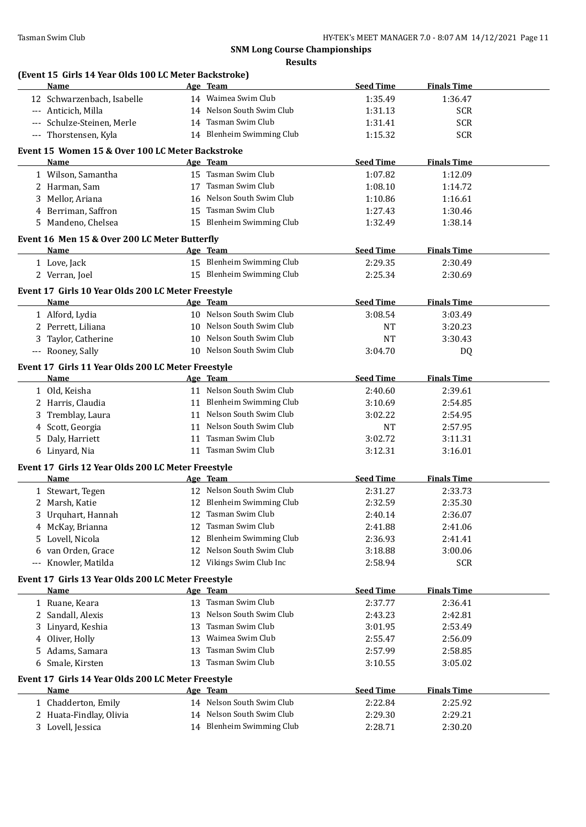|     | (Event 15 Girls 14 Year Olds 100 LC Meter Backstroke)<br><b>Name</b> |    | Age Team                  | <b>Seed Time</b>   | <b>Finals Time</b>    |  |
|-----|----------------------------------------------------------------------|----|---------------------------|--------------------|-----------------------|--|
|     | 12 Schwarzenbach, Isabelle                                           |    | 14 Waimea Swim Club       | 1:35.49            | 1:36.47               |  |
|     | --- Anticich, Milla                                                  |    | 14 Nelson South Swim Club | 1:31.13            | <b>SCR</b>            |  |
|     | --- Schulze-Steinen, Merle                                           |    | 14 Tasman Swim Club       | 1:31.41            | <b>SCR</b>            |  |
|     | --- Thorstensen, Kyla                                                |    | 14 Blenheim Swimming Club | 1:15.32            | <b>SCR</b>            |  |
|     | Event 15 Women 15 & Over 100 LC Meter Backstroke                     |    |                           |                    |                       |  |
|     | Name                                                                 |    | Age Team                  | <b>Seed Time</b>   | <b>Finals Time</b>    |  |
|     | 1 Wilson, Samantha                                                   |    | 15 Tasman Swim Club       | 1:07.82            | 1:12.09               |  |
|     | 2 Harman, Sam                                                        |    | 17 Tasman Swim Club       | 1:08.10            | 1:14.72               |  |
|     | 3 Mellor, Ariana                                                     |    | 16 Nelson South Swim Club | 1:10.86            | 1:16.61               |  |
|     | 4 Berriman, Saffron                                                  |    | 15 Tasman Swim Club       | 1:27.43            | 1:30.46               |  |
|     | 5 Mandeno, Chelsea                                                   |    | 15 Blenheim Swimming Club | 1:32.49            | 1:38.14               |  |
|     |                                                                      |    |                           |                    |                       |  |
|     | Event 16 Men 15 & Over 200 LC Meter Butterfly                        |    |                           |                    |                       |  |
|     | Name                                                                 |    | Age Team                  | <b>Seed Time</b>   | <b>Finals Time</b>    |  |
|     | 1 Love, Jack                                                         |    | 15 Blenheim Swimming Club | 2:29.35            | 2:30.49               |  |
|     | 2 Verran, Joel                                                       |    | 15 Blenheim Swimming Club | 2:25.34            | 2:30.69               |  |
|     | Event 17 Girls 10 Year Olds 200 LC Meter Freestyle                   |    |                           |                    |                       |  |
|     | Name                                                                 |    | Age Team                  | <b>Seed Time</b>   | <b>Finals Time</b>    |  |
|     | 1 Alford, Lydia                                                      |    | 10 Nelson South Swim Club | 3:08.54            | 3:03.49               |  |
|     | 2 Perrett, Liliana                                                   |    | 10 Nelson South Swim Club | NT                 | 3:20.23               |  |
|     | 3 Taylor, Catherine                                                  |    | 10 Nelson South Swim Club | NT                 | 3:30.43               |  |
|     | --- Rooney, Sally                                                    |    | 10 Nelson South Swim Club | 3:04.70            | DQ                    |  |
|     | Event 17 Girls 11 Year Olds 200 LC Meter Freestyle                   |    |                           |                    |                       |  |
|     | Name                                                                 |    | Age Team                  | <b>Seed Time</b>   | <b>Finals Time</b>    |  |
|     | 1 Old, Keisha                                                        |    | 11 Nelson South Swim Club | 2:40.60            | 2:39.61               |  |
|     | 2 Harris, Claudia                                                    |    | 11 Blenheim Swimming Club | 3:10.69            | 2:54.85               |  |
|     | Tremblay, Laura                                                      |    | 11 Nelson South Swim Club | 3:02.22            | 2:54.95               |  |
|     | 4 Scott, Georgia                                                     |    | 11 Nelson South Swim Club | NT                 | 2:57.95               |  |
| 5.  | Daly, Harriett                                                       |    | 11 Tasman Swim Club       | 3:02.72            | 3:11.31               |  |
|     | 6 Linyard, Nia                                                       |    | 11 Tasman Swim Club       | 3:12.31            | 3:16.01               |  |
|     |                                                                      |    |                           |                    |                       |  |
|     | Event 17 Girls 12 Year Olds 200 LC Meter Freestyle<br>Name           |    | Age Team                  | <b>Seed Time</b>   | <b>Finals Time</b>    |  |
|     | 1 Stewart, Tegen                                                     |    | 12 Nelson South Swim Club | 2:31.27            | 2:33.73               |  |
|     |                                                                      |    | 12 Blenheim Swimming Club | 2:32.59            | 2:35.30               |  |
|     | 2 Marsh, Katie                                                       |    | 12 Tasman Swim Club       | 2:40.14            |                       |  |
|     | Urquhart, Hannah                                                     |    | 12 Tasman Swim Club       |                    | 2:36.07               |  |
|     | 4 McKay, Brianna                                                     |    | 12 Blenheim Swimming Club | 2:41.88<br>2:36.93 | 2:41.06<br>2:41.41    |  |
| 5   | Lovell, Nicola                                                       |    | 12 Nelson South Swim Club |                    |                       |  |
| 6   | van Orden, Grace<br>Knowler, Matilda                                 |    | 12 Vikings Swim Club Inc  | 3:18.88            | 3:00.06<br><b>SCR</b> |  |
| --- |                                                                      |    |                           | 2:58.94            |                       |  |
|     | Event 17 Girls 13 Year Olds 200 LC Meter Freestyle                   |    |                           |                    |                       |  |
|     | Name                                                                 |    | Age Team                  | <b>Seed Time</b>   | <b>Finals Time</b>    |  |
|     | 1 Ruane, Keara                                                       |    | 13 Tasman Swim Club       | 2:37.77            | 2:36.41               |  |
|     |                                                                      |    | 13 Nelson South Swim Club | 2:43.23            | 2:42.81               |  |
|     | 2 Sandall, Alexis                                                    |    |                           |                    |                       |  |
|     | Linyard, Keshia                                                      |    | 13 Tasman Swim Club       | 3:01.95            | 2:53.49               |  |
|     | 4 Oliver, Holly                                                      |    | 13 Waimea Swim Club       | 2:55.47            | 2:56.09               |  |
| 5.  | Adams, Samara                                                        | 13 | Tasman Swim Club          | 2:57.99            | 2:58.85               |  |
|     | 6 Smale, Kirsten                                                     |    | 13 Tasman Swim Club       | 3:10.55            | 3:05.02               |  |
|     | Event 17 Girls 14 Year Olds 200 LC Meter Freestyle                   |    |                           |                    |                       |  |
|     | Name                                                                 |    | Age Team                  | <b>Seed Time</b>   | <b>Finals Time</b>    |  |
|     | 1 Chadderton, Emily                                                  |    | 14 Nelson South Swim Club | 2:22.84            | 2:25.92               |  |
|     | 2 Huata-Findlay, Olivia                                              |    | 14 Nelson South Swim Club | 2:29.30            | 2:29.21               |  |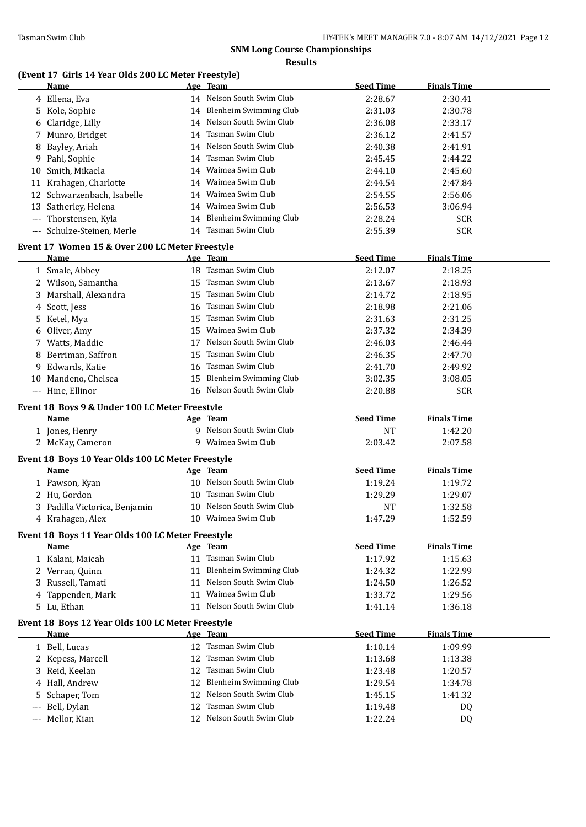# **(Event 17 Girls 14 Year Olds 200 LC Meter Freestyle)**

|          | Name                                              |    | <u>Age Team</u>                                  | <b>Seed Time</b>     | <b>Finals Time</b> |  |
|----------|---------------------------------------------------|----|--------------------------------------------------|----------------------|--------------------|--|
|          | 4 Ellena, Eva                                     |    | 14 Nelson South Swim Club                        | 2:28.67              | 2:30.41            |  |
|          | 5 Kole, Sophie                                    |    | 14 Blenheim Swimming Club                        | 2:31.03              | 2:30.78            |  |
| 6        | Claridge, Lilly                                   |    | 14 Nelson South Swim Club                        | 2:36.08              | 2:33.17            |  |
|          | 7 Munro, Bridget                                  |    | 14 Tasman Swim Club                              | 2:36.12              | 2:41.57            |  |
| 8        | Bayley, Ariah                                     |    | 14 Nelson South Swim Club                        | 2:40.38              | 2:41.91            |  |
|          | 9 Pahl, Sophie                                    |    | 14 Tasman Swim Club                              | 2:45.45              | 2:44.22            |  |
| 10       | Smith, Mikaela                                    |    | 14 Waimea Swim Club                              | 2:44.10              | 2:45.60            |  |
| 11       | Krahagen, Charlotte                               |    | 14 Waimea Swim Club                              | 2:44.54              | 2:47.84            |  |
| 12       | Schwarzenbach, Isabelle                           |    | 14 Waimea Swim Club                              | 2:54.55              | 2:56.06            |  |
|          | 13 Satherley, Helena                              |    | 14 Waimea Swim Club                              | 2:56.53              | 3:06.94            |  |
| $---$    | Thorstensen, Kyla                                 |    | 14 Blenheim Swimming Club                        | 2:28.24              | <b>SCR</b>         |  |
| $\cdots$ | Schulze-Steinen, Merle                            |    | 14 Tasman Swim Club                              | 2:55.39              | <b>SCR</b>         |  |
|          | Event 17 Women 15 & Over 200 LC Meter Freestyle   |    |                                                  |                      |                    |  |
|          | Name                                              |    | Age Team                                         | <b>Seed Time</b>     | <b>Finals Time</b> |  |
|          | 1 Smale, Abbey                                    |    | 18 Tasman Swim Club                              | 2:12.07              | 2:18.25            |  |
|          | 2 Wilson, Samantha                                |    | 15 Tasman Swim Club                              | 2:13.67              | 2:18.93            |  |
|          | 3 Marshall, Alexandra                             |    | 15 Tasman Swim Club                              | 2:14.72              | 2:18.95            |  |
| 4        | Scott, Jess                                       | 16 | Tasman Swim Club                                 | 2:18.98              | 2:21.06            |  |
|          | 5 Ketel, Mya                                      | 15 | Tasman Swim Club                                 | 2:31.63              | 2:31.25            |  |
| 6        | Oliver, Amy                                       | 15 | Waimea Swim Club                                 | 2:37.32              | 2:34.39            |  |
|          | 7 Watts, Maddie                                   |    | 17 Nelson South Swim Club                        | 2:46.03              | 2:46.44            |  |
| 8        | Berriman, Saffron                                 | 15 | Tasman Swim Club                                 | 2:46.35              | 2:47.70            |  |
|          | 9 Edwards, Katie                                  | 16 | Tasman Swim Club                                 | 2:41.70              | 2:49.92            |  |
|          | 10 Mandeno, Chelsea                               | 15 | Blenheim Swimming Club                           | 3:02.35              | 3:08.05            |  |
|          | --- Hine, Ellinor                                 |    | 16 Nelson South Swim Club                        | 2:20.88              | <b>SCR</b>         |  |
|          | Event 18 Boys 9 & Under 100 LC Meter Freestyle    |    |                                                  |                      |                    |  |
|          | Name                                              |    | Age Team                                         | <b>Seed Time</b>     | <b>Finals Time</b> |  |
|          | 1 Jones, Henry                                    |    | 9 Nelson South Swim Club                         | <b>NT</b>            | 1:42.20            |  |
|          | 2 McKay, Cameron                                  |    | 9 Waimea Swim Club                               | 2:03.42              | 2:07.58            |  |
|          |                                                   |    |                                                  |                      |                    |  |
|          | Event 18 Boys 10 Year Olds 100 LC Meter Freestyle |    |                                                  | <b>Seed Time</b>     |                    |  |
|          | Name                                              |    | Age Team<br>10 Nelson South Swim Club            |                      | <b>Finals Time</b> |  |
|          | 1 Pawson, Kyan                                    |    | 10 Tasman Swim Club                              | 1:19.24              | 1:19.72            |  |
|          | 2 Hu, Gordon<br>3 Padilla Victorica, Benjamin     |    | 10 Nelson South Swim Club                        | 1:29.29<br><b>NT</b> | 1:29.07<br>1:32.58 |  |
|          |                                                   |    | 10 Waimea Swim Club                              | 1:47.29              | 1:52.59            |  |
|          | 4 Krahagen, Alex                                  |    |                                                  |                      |                    |  |
|          | Event 18 Boys 11 Year Olds 100 LC Meter Freestyle |    |                                                  |                      |                    |  |
|          | Name                                              |    | Age Team                                         | <b>Seed Time</b>     | <b>Finals Time</b> |  |
|          | 1 Kalani, Maicah                                  |    | 11 Tasman Swim Club                              | 1:17.92              | 1:15.63            |  |
|          | 2 Verran, Quinn                                   |    | 11 Blenheim Swimming Club                        | 1:24.32              | 1:22.99            |  |
|          | 3 Russell, Tamati                                 |    | 11 Nelson South Swim Club                        | 1:24.50              | 1:26.52            |  |
|          |                                                   |    |                                                  |                      |                    |  |
|          | 4 Tappenden, Mark                                 |    | 11 Waimea Swim Club                              | 1:33.72              | 1:29.56            |  |
|          | 5 Lu, Ethan                                       |    | 11 Nelson South Swim Club                        | 1:41.14              | 1:36.18            |  |
|          | Event 18 Boys 12 Year Olds 100 LC Meter Freestyle |    |                                                  |                      |                    |  |
|          | <b>Name</b>                                       |    | Age Team                                         | <b>Seed Time</b>     | <b>Finals Time</b> |  |
|          | 1 Bell, Lucas                                     |    | 12 Tasman Swim Club                              | 1:10.14              | 1:09.99            |  |
|          | 2 Kepess, Marcell                                 |    | 12 Tasman Swim Club                              | 1:13.68              | 1:13.38            |  |
|          | 3 Reid, Keelan                                    |    | 12 Tasman Swim Club                              | 1:23.48              | 1:20.57            |  |
|          | 4 Hall, Andrew                                    |    | 12 Blenheim Swimming Club                        | 1:29.54              | 1:34.78            |  |
| 5.       | Schaper, Tom                                      |    | 12 Nelson South Swim Club                        | 1:45.15              | 1:41.32            |  |
|          | Bell, Dylan<br>Mellor, Kian                       |    | 12 Tasman Swim Club<br>12 Nelson South Swim Club | 1:19.48              | DQ<br>DQ           |  |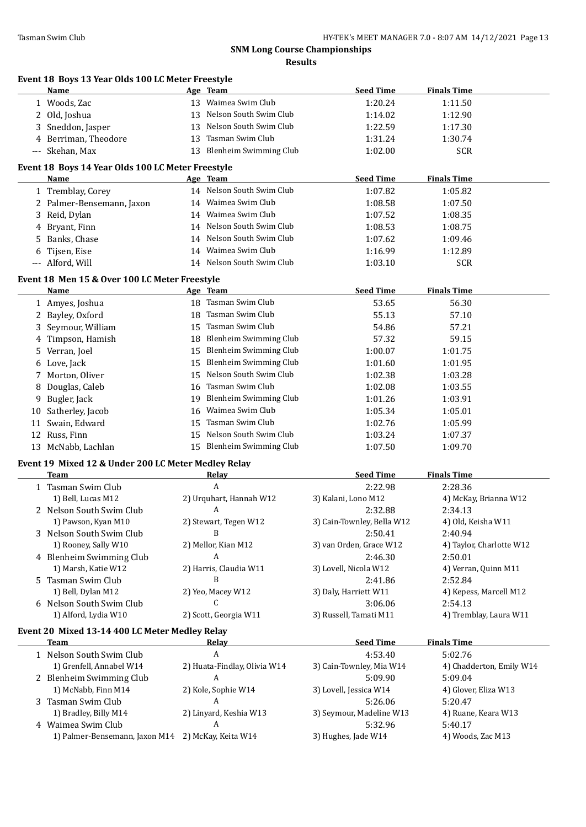|    | Event 18 Boys 13 Year Olds 100 LC Meter Freestyle<br>Name   | Age Team |                               | <b>Seed Time</b>                    | <b>Finals Time</b>             |
|----|-------------------------------------------------------------|----------|-------------------------------|-------------------------------------|--------------------------------|
|    | 1 Woods, Zac                                                |          | 13 Waimea Swim Club           | 1:20.24                             | 1:11.50                        |
|    | 2 Old, Joshua                                               | 13       | Nelson South Swim Club        | 1:14.02                             | 1:12.90                        |
| 3  | Sneddon, Jasper                                             | 13       | Nelson South Swim Club        | 1:22.59                             | 1:17.30                        |
| 4  | Berriman, Theodore                                          | 13       | Tasman Swim Club              | 1:31.24                             | 1:30.74                        |
|    | --- Skehan, Max                                             |          | 13 Blenheim Swimming Club     | 1:02.00                             | <b>SCR</b>                     |
|    |                                                             |          |                               |                                     |                                |
|    | Event 18 Boys 14 Year Olds 100 LC Meter Freestyle<br>Name   | Age Team |                               | <b>Seed Time</b>                    | <b>Finals Time</b>             |
|    |                                                             |          | 14 Nelson South Swim Club     |                                     |                                |
|    | 1 Tremblay, Corey                                           |          | 14 Waimea Swim Club           | 1:07.82                             | 1:05.82                        |
|    | 2 Palmer-Bensemann, Jaxon                                   |          |                               | 1:08.58                             | 1:07.50                        |
| 3  | Reid, Dylan                                                 |          | 14 Waimea Swim Club           | 1:07.52                             | 1:08.35                        |
| 4  | Bryant, Finn                                                |          | 14 Nelson South Swim Club     | 1:08.53                             | 1:08.75                        |
| 5  | Banks, Chase                                                | 14       | Nelson South Swim Club        | 1:07.62                             | 1:09.46                        |
| 6  | Tijsen, Eise                                                | 14       | Waimea Swim Club              | 1:16.99                             | 1:12.89                        |
|    | --- Alford, Will                                            |          | 14 Nelson South Swim Club     | 1:03.10                             | <b>SCR</b>                     |
|    | Event 18 Men 15 & Over 100 LC Meter Freestyle               |          |                               |                                     |                                |
|    | Name                                                        | Age Team |                               | <b>Seed Time</b>                    | <b>Finals Time</b>             |
|    | 1 Amyes, Joshua                                             |          | 18 Tasman Swim Club           | 53.65                               | 56.30                          |
| 2  | Bayley, Oxford                                              | 18       | Tasman Swim Club              | 55.13                               | 57.10                          |
| 3  | Seymour, William                                            | 15       | Tasman Swim Club              | 54.86                               | 57.21                          |
| 4  | Timpson, Hamish                                             | 18       | <b>Blenheim Swimming Club</b> | 57.32                               | 59.15                          |
| 5  | Verran, Joel                                                | 15       | <b>Blenheim Swimming Club</b> | 1:00.07                             | 1:01.75                        |
| 6  | Love, Jack                                                  | 15       | <b>Blenheim Swimming Club</b> | 1:01.60                             | 1:01.95                        |
| 7  | Morton, Oliver                                              | 15       | Nelson South Swim Club        | 1:02.38                             | 1:03.28                        |
| 8  | Douglas, Caleb                                              | 16       | Tasman Swim Club              | 1:02.08                             | 1:03.55                        |
| 9  | Bugler, Jack                                                | 19       | <b>Blenheim Swimming Club</b> | 1:01.26                             | 1:03.91                        |
| 10 | Satherley, Jacob                                            | 16       | Waimea Swim Club              | 1:05.34                             | 1:05.01                        |
| 11 | Swain, Edward                                               | 15       | Tasman Swim Club              | 1:02.76                             | 1:05.99                        |
|    | 12 Russ, Finn                                               | 15       | Nelson South Swim Club        | 1:03.24                             | 1:07.37                        |
|    | 13 McNabb, Lachlan                                          |          | 15 Blenheim Swimming Club     | 1:07.50                             | 1:09.70                        |
|    |                                                             |          |                               |                                     |                                |
|    | Event 19 Mixed 12 & Under 200 LC Meter Medley Relay<br>Team |          | <b>Relay</b>                  |                                     | <b>Finals Time</b>             |
|    |                                                             |          |                               |                                     |                                |
|    |                                                             |          | A                             | <b>Seed Time</b>                    |                                |
|    | 1 Tasman Swim Club                                          |          |                               | 2:22.98                             | 2:28.36                        |
|    | 1) Bell, Lucas M12                                          |          | 2) Urquhart, Hannah W12       | 3) Kalani, Lono M12                 | 4) McKay, Brianna W12          |
|    | 2 Nelson South Swim Club                                    |          | A                             | 2:32.88                             | 2:34.13                        |
|    | 1) Pawson, Kyan M10                                         |          | 2) Stewart, Tegen W12         | 3) Cain-Townley, Bella W12          | 4) Old, Keisha W11             |
|    | 3 Nelson South Swim Club                                    |          | B                             | 2:50.41                             | 2:40.94                        |
|    | 1) Rooney, Sally W10                                        |          | 2) Mellor, Kian M12           | 3) van Orden, Grace W12             | 4) Taylor, Charlotte W12       |
|    | 4 Blenheim Swimming Club                                    |          | A                             | 2:46.30                             | 2:50.01                        |
|    | 1) Marsh, Katie W12                                         |          | 2) Harris, Claudia W11        | 3) Lovell, Nicola W12               | 4) Verran, Quinn M11           |
| 5. | Tasman Swim Club                                            |          | B                             | 2:41.86                             | 2:52.84                        |
|    | 1) Bell, Dylan M12                                          |          | 2) Yeo, Macey W12             | 3) Daly, Harriett W11               | 4) Kepess, Marcell M12         |
|    | 6 Nelson South Swim Club                                    |          | C                             | 3:06.06                             | 2:54.13                        |
|    | 1) Alford, Lydia W10                                        |          | 2) Scott, Georgia W11         | 3) Russell, Tamati M11              | 4) Tremblay, Laura W11         |
|    | Event 20 Mixed 13-14 400 LC Meter Medley Relay              |          |                               |                                     |                                |
|    | <b>Team</b>                                                 |          | <b>Relay</b>                  | <b>Seed Time</b>                    | <b>Finals Time</b>             |
|    | 1 Nelson South Swim Club                                    |          | A                             | 4:53.40                             | 5:02.76                        |
|    | 1) Grenfell, Annabel W14                                    |          | 2) Huata-Findlay, Olivia W14  | 3) Cain-Townley, Mia W14            | 4) Chadderton, Emily W14       |
|    | 2 Blenheim Swimming Club                                    |          | A                             | 5:09.90                             | 5:09.04                        |
|    | 1) McNabb, Finn M14                                         |          | 2) Kole, Sophie W14           | 3) Lovell, Jessica W14              | 4) Glover, Eliza W13           |
|    | 3 Tasman Swim Club                                          |          | A                             | 5:26.06                             | 5:20.47                        |
|    | 1) Bradley, Billy M14<br>4 Waimea Swim Club                 |          | 2) Linyard, Keshia W13<br>A   | 3) Seymour, Madeline W13<br>5:32.96 | 4) Ruane, Keara W13<br>5:40.17 |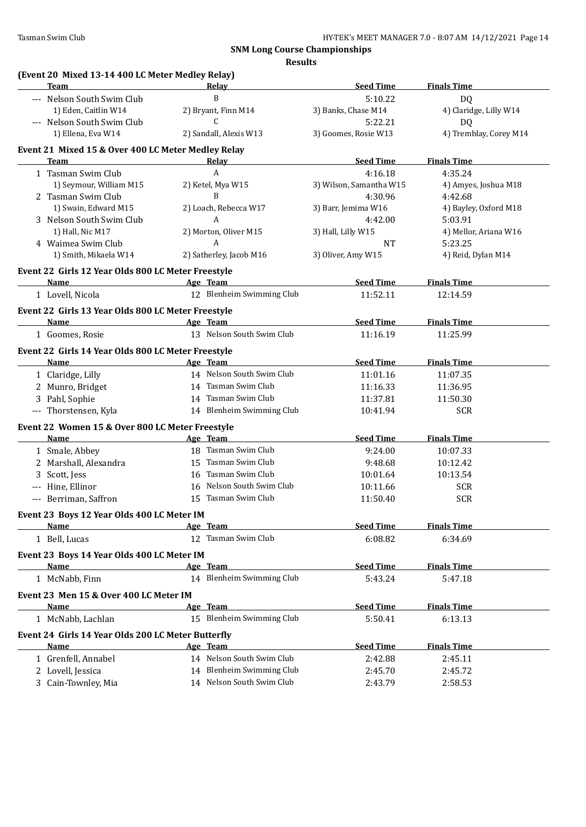**Results**

| (Event 20 Mixed 13-14 400 LC Meter Medley Relay)<br>Team | Relay                        | <b>Seed Time</b>        | <b>Finals Time</b>     |
|----------------------------------------------------------|------------------------------|-------------------------|------------------------|
| --- Nelson South Swim Club                               | B                            | 5:10.22                 | DQ                     |
| 1) Eden, Caitlin W14                                     | 2) Bryant, Finn M14          | 3) Banks, Chase M14     | 4) Claridge, Lilly W14 |
| --- Nelson South Swim Club                               | $\mathcal{C}$                | 5:22.21                 | <b>DQ</b>              |
| 1) Ellena, Eva W14                                       | 2) Sandall, Alexis W13       | 3) Goomes, Rosie W13    | 4) Tremblay, Corey M14 |
| Event 21 Mixed 15 & Over 400 LC Meter Medley Relay       |                              |                         |                        |
| <b>Team</b>                                              | Relay                        | <b>Seed Time</b>        | <b>Finals Time</b>     |
| 1 Tasman Swim Club                                       | A                            | 4:16.18                 | 4:35.24                |
| 1) Seymour, William M15                                  | 2) Ketel, Mya W15            | 3) Wilson, Samantha W15 | 4) Amyes, Joshua M18   |
| 2 Tasman Swim Club                                       | B                            | 4:30.96                 | 4:42.68                |
| 1) Swain, Edward M15                                     | 2) Loach, Rebecca W17        | 3) Barr, Jemima W16     | 4) Bayley, Oxford M18  |
|                                                          | A                            | 4:42.00                 |                        |
| 3 Nelson South Swim Club                                 | 2) Morton, Oliver M15        |                         | 5:03.91                |
| 1) Hall, Nic M17                                         | A                            | 3) Hall, Lilly W15      | 4) Mellor, Ariana W16  |
| 4 Waimea Swim Club                                       |                              | <b>NT</b>               | 5:23.25                |
| 1) Smith, Mikaela W14                                    | 2) Satherley, Jacob M16      | 3) Oliver, Amy W15      | 4) Reid, Dylan M14     |
| Event 22 Girls 12 Year Olds 800 LC Meter Freestyle       |                              |                         |                        |
| Name                                                     | Age Team                     | <b>Seed Time</b>        | <b>Finals Time</b>     |
| 1 Lovell, Nicola                                         | 12 Blenheim Swimming Club    | 11:52.11                | 12:14.59               |
| Event 22 Girls 13 Year Olds 800 LC Meter Freestyle       |                              |                         |                        |
| Name                                                     | Age Team                     | <b>Seed Time</b>        | <b>Finals Time</b>     |
| 1 Goomes, Rosie                                          | 13 Nelson South Swim Club    | 11:16.19                | 11:25.99               |
|                                                          |                              |                         |                        |
| Event 22 Girls 14 Year Olds 800 LC Meter Freestyle       |                              |                         |                        |
| Name                                                     | Age Team                     | <b>Seed Time</b>        | <b>Finals Time</b>     |
| 1 Claridge, Lilly                                        | 14 Nelson South Swim Club    | 11:01.16                | 11:07.35               |
| 2 Munro, Bridget                                         | 14 Tasman Swim Club          | 11:16.33                | 11:36.95               |
| 3 Pahl, Sophie                                           | 14 Tasman Swim Club          | 11:37.81                | 11:50.30               |
| --- Thorstensen, Kyla                                    | 14 Blenheim Swimming Club    | 10:41.94                | <b>SCR</b>             |
| Event 22 Women 15 & Over 800 LC Meter Freestyle          |                              |                         |                        |
| Name                                                     | Age Team                     | <b>Seed Time</b>        | <b>Finals Time</b>     |
| 1 Smale, Abbey                                           | 18 Tasman Swim Club          | 9:24.00                 | 10:07.33               |
| 2 Marshall, Alexandra                                    | 15 Tasman Swim Club          | 9:48.68                 | 10:12.42               |
| 3 Scott, Jess                                            | 16 Tasman Swim Club          | 10:01.64                | 10:13.54               |
| --- Hine, Ellinor                                        | Nelson South Swim Club<br>16 | 10:11.66                | <b>SCR</b>             |
| --- Berriman, Saffron                                    | 15 Tasman Swim Club          | 11:50.40                | <b>SCR</b>             |
|                                                          |                              |                         |                        |
| Event 23 Boys 12 Year Olds 400 LC Meter IM               |                              |                         |                        |
| Name                                                     | Age Team                     | <b>Seed Time</b>        | <b>Finals Time</b>     |
| 1 Bell, Lucas                                            | 12 Tasman Swim Club          | 6:08.82                 | 6:34.69                |
| Event 23 Boys 14 Year Olds 400 LC Meter IM               |                              |                         |                        |
| Name                                                     | Age Team                     | <b>Seed Time</b>        | <b>Finals Time</b>     |
| 1 McNabb, Finn                                           | 14 Blenheim Swimming Club    | 5:43.24                 | 5:47.18                |
|                                                          |                              |                         |                        |
| Event 23 Men 15 & Over 400 LC Meter IM                   |                              |                         | <b>Finals Time</b>     |
| Name                                                     | Age Team                     | <b>Seed Time</b>        |                        |
| 1 McNabb, Lachlan                                        | 15 Blenheim Swimming Club    | 5:50.41                 | 6:13.13                |
| Event 24 Girls 14 Year Olds 200 LC Meter Butterfly       |                              |                         |                        |
| Name                                                     | Age Team                     | <b>Seed Time</b>        | <b>Finals Time</b>     |
| 1 Grenfell, Annabel                                      | 14 Nelson South Swim Club    | 2:42.88                 | 2:45.11                |
| 2 Lovell, Jessica                                        | 14 Blenheim Swimming Club    | 2:45.70                 | 2:45.72                |
| 3 Cain-Townley, Mia                                      | 14 Nelson South Swim Club    | 2:43.79                 | 2:58.53                |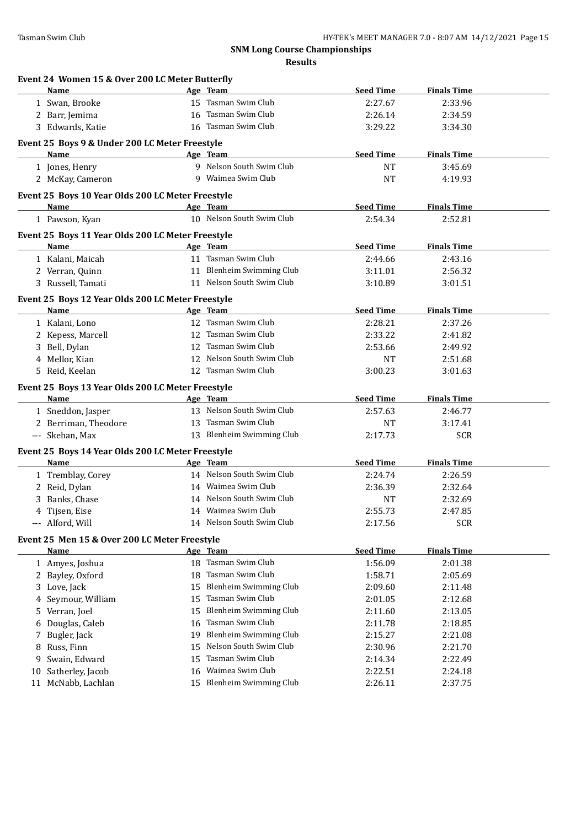|    | Event 24 Women 15 & Over 200 LC Meter Butterfly   |    |                                                  |                    |                    |  |
|----|---------------------------------------------------|----|--------------------------------------------------|--------------------|--------------------|--|
|    | Name                                              |    | Age Team                                         | <b>Seed Time</b>   | <b>Finals Time</b> |  |
|    | 1 Swan, Brooke                                    |    | 15 Tasman Swim Club                              | 2:27.67            | 2:33.96            |  |
|    | 2 Barr, Jemima                                    |    | 16 Tasman Swim Club                              | 2:26.14            | 2:34.59            |  |
|    | 3 Edwards, Katie                                  |    | 16 Tasman Swim Club                              | 3:29.22            | 3:34.30            |  |
|    | Event 25 Boys 9 & Under 200 LC Meter Freestyle    |    |                                                  |                    |                    |  |
|    | Name                                              |    | Age Team                                         | <b>Seed Time</b>   | <b>Finals Time</b> |  |
|    | 1 Jones, Henry                                    |    | 9 Nelson South Swim Club                         | <b>NT</b>          | 3:45.69            |  |
|    | 2 McKay, Cameron                                  |    | 9 Waimea Swim Club                               | <b>NT</b>          | 4:19.93            |  |
|    | Event 25 Boys 10 Year Olds 200 LC Meter Freestyle |    |                                                  |                    |                    |  |
|    | Name                                              |    | Age Team                                         | <b>Seed Time</b>   | <b>Finals Time</b> |  |
|    | 1 Pawson, Kyan                                    |    | 10 Nelson South Swim Club                        | 2:54.34            | 2:52.81            |  |
|    |                                                   |    |                                                  |                    |                    |  |
|    | Event 25 Boys 11 Year Olds 200 LC Meter Freestyle |    |                                                  |                    |                    |  |
|    | Name                                              |    | Age Team                                         | <b>Seed Time</b>   | <b>Finals Time</b> |  |
|    | 1 Kalani, Maicah                                  |    | 11 Tasman Swim Club                              | 2:44.66            | 2:43.16            |  |
|    | 2 Verran, Quinn                                   |    | 11 Blenheim Swimming Club                        | 3:11.01            | 2:56.32            |  |
|    | 3 Russell, Tamati                                 |    | 11 Nelson South Swim Club                        | 3:10.89            | 3:01.51            |  |
|    | Event 25 Boys 12 Year Olds 200 LC Meter Freestyle |    |                                                  |                    |                    |  |
|    | <b>Name</b>                                       |    | Age Team                                         | <b>Seed Time</b>   | <b>Finals Time</b> |  |
|    | 1 Kalani, Lono                                    |    | 12 Tasman Swim Club                              | 2:28.21            | 2:37.26            |  |
|    | 2 Kepess, Marcell                                 |    | 12 Tasman Swim Club                              | 2:33.22            | 2:41.82            |  |
|    | 3 Bell, Dylan                                     |    | 12 Tasman Swim Club                              | 2:53.66            | 2:49.92            |  |
|    | 4 Mellor, Kian                                    |    | 12 Nelson South Swim Club                        | <b>NT</b>          | 2:51.68            |  |
|    | 5 Reid, Keelan                                    |    | 12 Tasman Swim Club                              | 3:00.23            | 3:01.63            |  |
|    | Event 25 Boys 13 Year Olds 200 LC Meter Freestyle |    |                                                  |                    |                    |  |
|    | <b>Name</b>                                       |    | Age Team                                         | <b>Seed Time</b>   | <b>Finals Time</b> |  |
|    | 1 Sneddon, Jasper                                 |    | 13 Nelson South Swim Club                        | 2:57.63            | 2:46.77            |  |
|    | 2 Berriman, Theodore                              |    | 13 Tasman Swim Club                              | <b>NT</b>          | 3:17.41            |  |
|    | --- Skehan, Max                                   |    | 13 Blenheim Swimming Club                        |                    |                    |  |
|    |                                                   |    |                                                  | 2:17.73            | <b>SCR</b>         |  |
|    |                                                   |    |                                                  |                    |                    |  |
|    | Event 25 Boys 14 Year Olds 200 LC Meter Freestyle |    |                                                  |                    |                    |  |
|    | Name                                              |    | Age Team<br>14 Nelson South Swim Club            | <b>Seed Time</b>   | <b>Finals Time</b> |  |
|    | 1 Tremblay, Corey                                 |    | 14 Waimea Swim Club                              | 2:24.74            | 2:26.59            |  |
|    | 2 Reid, Dylan                                     |    |                                                  | 2:36.39            | 2:32.64            |  |
|    | 3 Banks, Chase                                    |    | 14 Nelson South Swim Club<br>14 Waimea Swim Club | <b>NT</b>          | 2:32.69            |  |
| 4  | Tijsen, Eise                                      |    | 14 Nelson South Swim Club                        | 2:55.73            | 2:47.85            |  |
|    | --- Alford, Will                                  |    |                                                  | 2:17.56            | <b>SCR</b>         |  |
|    | Event 25 Men 15 & Over 200 LC Meter Freestyle     |    |                                                  |                    |                    |  |
|    | <u>Name</u>                                       |    | Age Team                                         | <b>Seed Time</b>   | <b>Finals Time</b> |  |
|    | 1 Amyes, Joshua                                   |    | 18 Tasman Swim Club                              | 1:56.09            | 2:01.38            |  |
|    | 2 Bayley, Oxford                                  | 18 | Tasman Swim Club                                 | 1:58.71            | 2:05.69            |  |
| 3  | Love, Jack                                        | 15 | <b>Blenheim Swimming Club</b>                    | 2:09.60            | 2:11.48            |  |
| 4  | Seymour, William                                  | 15 | Tasman Swim Club                                 | 2:01.05            | 2:12.68            |  |
| 5  | Verran, Joel                                      | 15 | <b>Blenheim Swimming Club</b>                    | 2:11.60            | 2:13.05            |  |
| 6  | Douglas, Caleb                                    | 16 | Tasman Swim Club                                 | 2:11.78            | 2:18.85            |  |
| 7  | Bugler, Jack                                      | 19 | <b>Blenheim Swimming Club</b>                    | 2:15.27            | 2:21.08            |  |
| 8  | Russ, Finn                                        | 15 | Nelson South Swim Club                           | 2:30.96            | 2:21.70            |  |
| 9  | Swain, Edward                                     | 15 | Tasman Swim Club                                 | 2:14.34            | 2:22.49            |  |
| 10 | Satherley, Jacob<br>11 McNabb, Lachlan            | 16 | Waimea Swim Club<br>15 Blenheim Swimming Club    | 2:22.51<br>2:26.11 | 2:24.18<br>2:37.75 |  |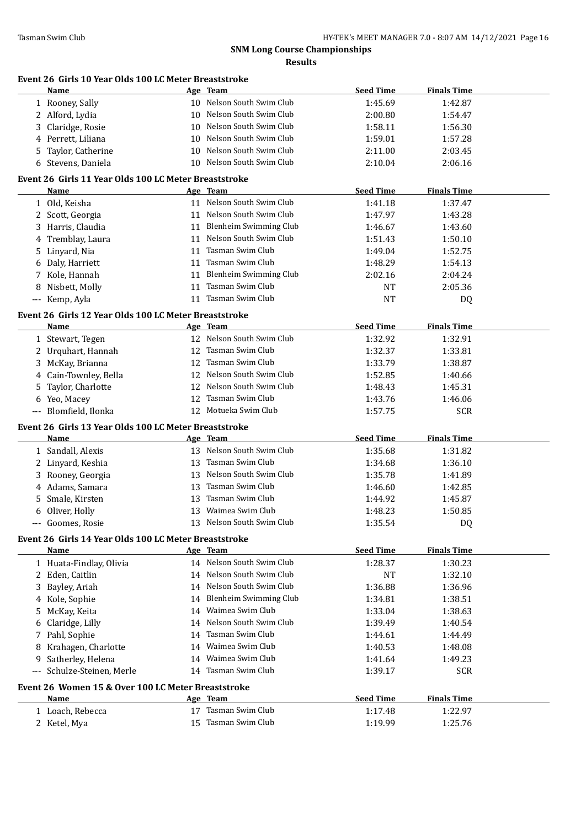| Name                                                               | Age Team                                         | <b>Seed Time</b> | <b>Finals Time</b> |
|--------------------------------------------------------------------|--------------------------------------------------|------------------|--------------------|
| 1 Rooney, Sally                                                    | 10 Nelson South Swim Club                        | 1:45.69          | 1:42.87            |
| 2 Alford, Lydia                                                    | 10 Nelson South Swim Club                        | 2:00.80          | 1:54.47            |
| Claridge, Rosie<br>3                                               | 10 Nelson South Swim Club                        | 1:58.11          | 1:56.30            |
| Perrett, Liliana<br>4                                              | 10 Nelson South Swim Club                        | 1:59.01          | 1:57.28            |
| Taylor, Catherine<br>5.                                            | 10 Nelson South Swim Club                        | 2:11.00          | 2:03.45            |
| 6 Stevens, Daniela                                                 | 10 Nelson South Swim Club                        | 2:10.04          | 2:06.16            |
|                                                                    |                                                  |                  |                    |
| Event 26 Girls 11 Year Olds 100 LC Meter Breaststroke<br>Name      | Age Team                                         | <b>Seed Time</b> | <b>Finals Time</b> |
| 1 Old, Keisha                                                      | 11 Nelson South Swim Club                        | 1:41.18          | 1:37.47            |
| 2 Scott, Georgia                                                   | 11 Nelson South Swim Club                        | 1:47.97          | 1:43.28            |
| 3 Harris, Claudia                                                  | 11 Blenheim Swimming Club                        | 1:46.67          | 1:43.60            |
| 4 Tremblay, Laura                                                  | 11 Nelson South Swim Club                        | 1:51.43          | 1:50.10            |
|                                                                    | 11 Tasman Swim Club                              |                  |                    |
| 5 Linyard, Nia                                                     | 11 Tasman Swim Club                              | 1:49.04          | 1:52.75            |
| 6 Daly, Harriett                                                   |                                                  | 1:48.29          | 1:54.13            |
| 7 Kole, Hannah                                                     | 11 Blenheim Swimming Club<br>11 Tasman Swim Club | 2:02.16          | 2:04.24            |
| 8 Nisbett, Molly                                                   |                                                  | NT               | 2:05.36            |
| --- Kemp, Ayla                                                     | 11 Tasman Swim Club                              | <b>NT</b>        | DQ                 |
| Event 26 Girls 12 Year Olds 100 LC Meter Breaststroke              |                                                  |                  |                    |
| Name                                                               | Age Team                                         | <b>Seed Time</b> | <b>Finals Time</b> |
| 1 Stewart, Tegen                                                   | 12 Nelson South Swim Club                        | 1:32.92          | 1:32.91            |
| 2 Urquhart, Hannah                                                 | 12 Tasman Swim Club                              | 1:32.37          | 1:33.81            |
| 3 McKay, Brianna                                                   | 12 Tasman Swim Club                              | 1:33.79          | 1:38.87            |
| Cain-Townley, Bella<br>4                                           | 12 Nelson South Swim Club                        | 1:52.85          | 1:40.66            |
| Taylor, Charlotte<br>5.                                            | 12 Nelson South Swim Club                        | 1:48.43          | 1:45.31            |
| 6 Yeo, Macey                                                       | 12 Tasman Swim Club                              | 1:43.76          | 1:46.06            |
| --- Blomfield, Ilonka                                              | 12 Motueka Swim Club                             | 1:57.75          | <b>SCR</b>         |
| Event 26 Girls 13 Year Olds 100 LC Meter Breaststroke              |                                                  |                  |                    |
| Name                                                               | Age Team                                         | <b>Seed Time</b> | <b>Finals Time</b> |
| 1 Sandall, Alexis                                                  | 13 Nelson South Swim Club                        | 1:35.68          | 1:31.82            |
| 2 Linyard, Keshia                                                  | 13 Tasman Swim Club                              | 1:34.68          | 1:36.10            |
| 3 Rooney, Georgia                                                  | 13 Nelson South Swim Club                        | 1:35.78          | 1:41.89            |
| 4 Adams, Samara                                                    | 13 Tasman Swim Club                              | 1:46.60          | 1:42.85            |
| Smale, Kirsten<br>5.                                               | 13 Tasman Swim Club                              | 1:44.92          | 1:45.87            |
| 6 Oliver, Holly                                                    | 13 Waimea Swim Club                              | 1:48.23          | 1:50.85            |
| --- Goomes, Rosie                                                  | 13 Nelson South Swim Club                        | 1:35.54          | DQ                 |
| Event 26 Girls 14 Year Olds 100 LC Meter Breaststroke              |                                                  |                  |                    |
| Name                                                               | Age Team                                         | <b>Seed Time</b> | <b>Finals Time</b> |
| 1 Huata-Findlay, Olivia                                            | 14 Nelson South Swim Club                        | 1:28.37          | 1:30.23            |
| 2 Eden, Caitlin                                                    | 14 Nelson South Swim Club                        | NT               | 1:32.10            |
| Bayley, Ariah<br>3.                                                | 14 Nelson South Swim Club                        | 1:36.88          | 1:36.96            |
| 4 Kole, Sophie                                                     | 14 Blenheim Swimming Club                        | 1:34.81          | 1:38.51            |
| McKay, Keita<br>5                                                  | 14 Waimea Swim Club                              | 1:33.04          | 1:38.63            |
| Claridge, Lilly<br>6                                               | 14 Nelson South Swim Club                        | 1:39.49          | 1:40.54            |
| 7 Pahl, Sophie                                                     | 14 Tasman Swim Club                              | 1:44.61          | 1:44.49            |
| Krahagen, Charlotte<br>8                                           | 14 Waimea Swim Club                              | 1:40.53          | 1:48.08            |
| Satherley, Helena<br>9                                             | 14 Waimea Swim Club                              | 1:41.64          | 1:49.23            |
| Schulze-Steinen, Merle<br>$\hspace{0.05cm} \ldots \hspace{0.05cm}$ | 14 Tasman Swim Club                              | 1:39.17          | <b>SCR</b>         |
|                                                                    |                                                  |                  |                    |
| Event 26 Women 15 & Over 100 LC Meter Breaststroke                 |                                                  |                  |                    |
| Name                                                               | Age Team                                         | <b>Seed Time</b> | <b>Finals Time</b> |
|                                                                    | 17 Tasman Swim Club                              | 1:17.48          | 1:22.97            |
| 1 Loach, Rebecca<br>2 Ketel, Mya                                   | 15 Tasman Swim Club                              | 1:19.99          | 1:25.76            |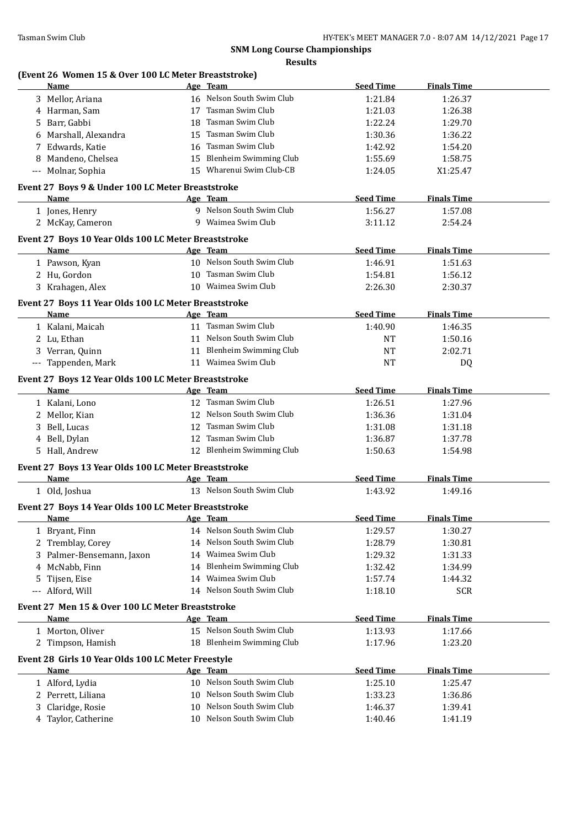| (Event 26 Women 15 & Over 100 LC Meter Breaststroke)<br>Name |    | Age Team                  | <b>Seed Time</b>   | <b>Finals Time</b>    |  |
|--------------------------------------------------------------|----|---------------------------|--------------------|-----------------------|--|
| 3 Mellor, Ariana                                             |    | 16 Nelson South Swim Club | 1:21.84            | 1:26.37               |  |
| 4 Harman, Sam                                                |    | 17 Tasman Swim Club       | 1:21.03            | 1:26.38               |  |
| 5 Barr, Gabbi                                                |    | 18 Tasman Swim Club       | 1:22.24            | 1:29.70               |  |
| 6 Marshall, Alexandra                                        |    | 15 Tasman Swim Club       | 1:30.36            | 1:36.22               |  |
| 7 Edwards, Katie                                             |    | 16 Tasman Swim Club       | 1:42.92            | 1:54.20               |  |
| 8 Mandeno, Chelsea                                           |    | 15 Blenheim Swimming Club | 1:55.69            | 1:58.75               |  |
| --- Molnar, Sophia                                           |    | 15 Wharenui Swim Club-CB  | 1:24.05            | X1:25.47              |  |
|                                                              |    |                           |                    |                       |  |
| Event 27 Boys 9 & Under 100 LC Meter Breaststroke<br>Name    |    | Age Team                  | <b>Seed Time</b>   | <b>Finals Time</b>    |  |
| 1 Jones, Henry                                               |    | 9 Nelson South Swim Club  | 1:56.27            | 1:57.08               |  |
| 2 McKay, Cameron                                             |    | 9 Waimea Swim Club        | 3:11.12            | 2:54.24               |  |
|                                                              |    |                           |                    |                       |  |
| Event 27 Boys 10 Year Olds 100 LC Meter Breaststroke         |    |                           |                    |                       |  |
| Name                                                         |    | Age Team                  | <b>Seed Time</b>   | <b>Finals Time</b>    |  |
| 1 Pawson, Kyan                                               |    | 10 Nelson South Swim Club | 1:46.91            | 1:51.63               |  |
| 2 Hu, Gordon                                                 |    | 10 Tasman Swim Club       | 1:54.81            | 1:56.12               |  |
| 3 Krahagen, Alex                                             |    | 10 Waimea Swim Club       | 2:26.30            | 2:30.37               |  |
| Event 27 Boys 11 Year Olds 100 LC Meter Breaststroke         |    |                           |                    |                       |  |
| Name                                                         |    | Age Team                  | <b>Seed Time</b>   | <b>Finals Time</b>    |  |
| 1 Kalani, Maicah                                             |    | 11 Tasman Swim Club       | 1:40.90            | 1:46.35               |  |
| 2 Lu, Ethan                                                  |    | 11 Nelson South Swim Club | NT                 | 1:50.16               |  |
| 3 Verran, Quinn                                              |    | 11 Blenheim Swimming Club | NT                 | 2:02.71               |  |
| --- Tappenden, Mark                                          |    | 11 Waimea Swim Club       | <b>NT</b>          | DQ                    |  |
| Event 27 Boys 12 Year Olds 100 LC Meter Breaststroke         |    |                           |                    |                       |  |
| Name                                                         |    | Age Team                  | <b>Seed Time</b>   | <b>Finals Time</b>    |  |
| 1 Kalani, Lono                                               |    | 12 Tasman Swim Club       | 1:26.51            | 1:27.96               |  |
| 2 Mellor, Kian                                               |    | 12 Nelson South Swim Club | 1:36.36            | 1:31.04               |  |
| 3 Bell, Lucas                                                |    | 12 Tasman Swim Club       | 1:31.08            | 1:31.18               |  |
| 4 Bell, Dylan                                                |    | 12 Tasman Swim Club       | 1:36.87            | 1:37.78               |  |
| 5 Hall, Andrew                                               |    | 12 Blenheim Swimming Club | 1:50.63            | 1:54.98               |  |
| Event 27 Boys 13 Year Olds 100 LC Meter Breaststroke         |    |                           |                    |                       |  |
| <b>Name</b>                                                  |    | Age Team                  | <b>Seed Time</b>   | <b>Finals Time</b>    |  |
| 1 Old, Joshua                                                |    | 13 Nelson South Swim Club | 1:43.92            | 1:49.16               |  |
| Event 27 Boys 14 Year Olds 100 LC Meter Breaststroke         |    |                           |                    |                       |  |
| Name                                                         |    | Age Team                  | <b>Seed Time</b>   | <b>Finals Time</b>    |  |
| 1 Bryant, Finn                                               |    | 14 Nelson South Swim Club | 1:29.57            | 1:30.27               |  |
| 2 Tremblay, Corey                                            |    | 14 Nelson South Swim Club | 1:28.79            | 1:30.81               |  |
| 3 Palmer-Bensemann, Jaxon                                    |    | 14 Waimea Swim Club       | 1:29.32            | 1:31.33               |  |
| 4 McNabb, Finn                                               |    | 14 Blenheim Swimming Club | 1:32.42            | 1:34.99               |  |
|                                                              |    | 14 Waimea Swim Club       |                    |                       |  |
| Tijsen, Eise<br>5.<br>Alford, Will                           |    | 14 Nelson South Swim Club | 1:57.74<br>1:18.10 | 1:44.32<br><b>SCR</b> |  |
|                                                              |    |                           |                    |                       |  |
| Event 27 Men 15 & Over 100 LC Meter Breaststroke             |    |                           |                    |                       |  |
| <b>Name</b>                                                  |    | Age Team                  | <b>Seed Time</b>   | <b>Finals Time</b>    |  |
| 1 Morton, Oliver                                             |    | 15 Nelson South Swim Club | 1:13.93            | 1:17.66               |  |
| 2 Timpson, Hamish                                            |    | 18 Blenheim Swimming Club | 1:17.96            | 1:23.20               |  |
| Event 28 Girls 10 Year Olds 100 LC Meter Freestyle           |    |                           |                    |                       |  |
| Name                                                         |    | Age Team                  | <b>Seed Time</b>   | <b>Finals Time</b>    |  |
| 1 Alford, Lydia                                              |    | 10 Nelson South Swim Club | 1:25.10            | 1:25.47               |  |
| 2 Perrett, Liliana                                           | 10 | Nelson South Swim Club    | 1:33.23            | 1:36.86               |  |
| Claridge, Rosie<br>3                                         | 10 | Nelson South Swim Club    | 1:46.37            | 1:39.41               |  |
| 4 Taylor, Catherine                                          |    | 10 Nelson South Swim Club | 1:40.46            | 1:41.19               |  |
|                                                              |    |                           |                    |                       |  |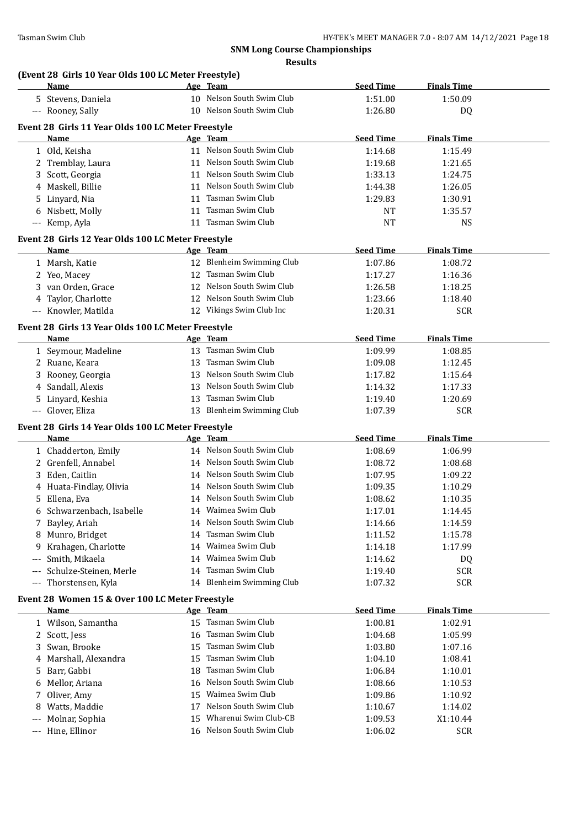# **(Event 28 Girls 10 Year Olds 100 LC Meter Freestyle)**

|     | Name                                                       |    | Age Team                  | <b>Seed Time</b>   | <b>Finals Time</b> |  |
|-----|------------------------------------------------------------|----|---------------------------|--------------------|--------------------|--|
|     | 5 Stevens, Daniela                                         |    | 10 Nelson South Swim Club | 1:51.00            | 1:50.09            |  |
|     | --- Rooney, Sally                                          |    | 10 Nelson South Swim Club | 1:26.80            | DQ                 |  |
|     | Event 28 Girls 11 Year Olds 100 LC Meter Freestyle         |    |                           |                    |                    |  |
|     | Name                                                       |    | Age Team                  | <b>Seed Time</b>   | <b>Finals Time</b> |  |
|     | 1 Old, Keisha                                              |    | 11 Nelson South Swim Club | 1:14.68            | 1:15.49            |  |
|     | 2 Tremblay, Laura                                          |    | 11 Nelson South Swim Club | 1:19.68            | 1:21.65            |  |
| 3   | Scott, Georgia                                             |    | 11 Nelson South Swim Club | 1:33.13            | 1:24.75            |  |
|     | 4 Maskell, Billie                                          |    | 11 Nelson South Swim Club | 1:44.38            | 1:26.05            |  |
|     | 5 Linyard, Nia                                             | 11 | Tasman Swim Club          | 1:29.83            | 1:30.91            |  |
|     | 6 Nisbett, Molly                                           | 11 | Tasman Swim Club          | <b>NT</b>          | 1:35.57            |  |
|     | --- Kemp, Ayla                                             |    | 11 Tasman Swim Club       | <b>NT</b>          | <b>NS</b>          |  |
|     |                                                            |    |                           |                    |                    |  |
|     | Event 28 Girls 12 Year Olds 100 LC Meter Freestyle<br>Name |    | Age Team                  | <b>Seed Time</b>   | <b>Finals Time</b> |  |
|     | 1 Marsh, Katie                                             |    | 12 Blenheim Swimming Club | 1:07.86            | 1:08.72            |  |
|     |                                                            |    | 12 Tasman Swim Club       | 1:17.27            | 1:16.36            |  |
|     | 2 Yeo, Macey                                               |    | 12 Nelson South Swim Club |                    |                    |  |
|     | 3 van Orden, Grace                                         |    | 12 Nelson South Swim Club | 1:26.58<br>1:23.66 | 1:18.25<br>1:18.40 |  |
|     | 4 Taylor, Charlotte<br>--- Knowler, Matilda                |    | 12 Vikings Swim Club Inc  |                    |                    |  |
|     |                                                            |    |                           | 1:20.31            | <b>SCR</b>         |  |
|     | Event 28 Girls 13 Year Olds 100 LC Meter Freestyle         |    |                           |                    |                    |  |
|     | <u>Name</u>                                                |    | Age Team                  | <b>Seed Time</b>   | <b>Finals Time</b> |  |
|     | 1 Seymour, Madeline                                        |    | 13 Tasman Swim Club       | 1:09.99            | 1:08.85            |  |
|     | 2 Ruane, Keara                                             | 13 | Tasman Swim Club          | 1:09.08            | 1:12.45            |  |
|     | 3 Rooney, Georgia                                          |    | 13 Nelson South Swim Club | 1:17.82            | 1:15.64            |  |
|     | 4 Sandall, Alexis                                          |    | 13 Nelson South Swim Club | 1:14.32            | 1:17.33            |  |
|     | 5 Linyard, Keshia                                          | 13 | Tasman Swim Club          | 1:19.40            | 1:20.69            |  |
|     | --- Glover, Eliza                                          | 13 | Blenheim Swimming Club    | 1:07.39            | <b>SCR</b>         |  |
|     | Event 28 Girls 14 Year Olds 100 LC Meter Freestyle         |    |                           |                    |                    |  |
|     | <b>Name</b>                                                |    | Age Team                  | <b>Seed Time</b>   | <b>Finals Time</b> |  |
|     | 1 Chadderton, Emily                                        |    | 14 Nelson South Swim Club | 1:08.69            | 1:06.99            |  |
|     | 2 Grenfell, Annabel                                        |    | 14 Nelson South Swim Club | 1:08.72            | 1:08.68            |  |
|     | 3 Eden, Caitlin                                            |    | 14 Nelson South Swim Club | 1:07.95            | 1:09.22            |  |
|     | 4 Huata-Findlay, Olivia                                    |    | 14 Nelson South Swim Club | 1:09.35            | 1:10.29            |  |
|     | 5 Ellena, Eva                                              |    | 14 Nelson South Swim Club | 1:08.62            | 1:10.35            |  |
|     | 6 Schwarzenbach, Isabelle                                  |    | 14 Waimea Swim Club       | 1:17.01            | 1:14.45            |  |
|     | 7 Bayley, Ariah                                            |    | 14 Nelson South Swim Club | 1:14.66            | 1:14.59            |  |
|     | 8 Munro, Bridget                                           | 14 | Tasman Swim Club          | 1:11.52            | 1:15.78            |  |
| 9   | Krahagen, Charlotte                                        | 14 | Waimea Swim Club          | 1:14.18            | 1:17.99            |  |
| --- | Smith, Mikaela                                             | 14 | Waimea Swim Club          | 1:14.62            | DQ                 |  |
| --- | Schulze-Steinen, Merle                                     | 14 | Tasman Swim Club          | 1:19.40            | <b>SCR</b>         |  |
| --- | Thorstensen, Kyla                                          |    | 14 Blenheim Swimming Club | 1:07.32            | <b>SCR</b>         |  |
|     | Event 28 Women 15 & Over 100 LC Meter Freestyle            |    |                           |                    |                    |  |
|     | Name                                                       |    | Age Team                  | <b>Seed Time</b>   | <b>Finals Time</b> |  |
|     | 1 Wilson, Samantha                                         | 15 | Tasman Swim Club          | 1:00.81            | 1:02.91            |  |
|     | 2 Scott, Jess                                              | 16 | Tasman Swim Club          | 1:04.68            | 1:05.99            |  |
| 3   | Swan, Brooke                                               | 15 | Tasman Swim Club          | 1:03.80            | 1:07.16            |  |
|     | Marshall, Alexandra                                        | 15 | Tasman Swim Club          | 1:04.10            | 1:08.41            |  |
| 5.  | Barr, Gabbi                                                | 18 | Tasman Swim Club          | 1:06.84            | 1:10.01            |  |
| 6   | Mellor, Ariana                                             | 16 | Nelson South Swim Club    | 1:08.66            | 1:10.53            |  |
| 7   | Oliver, Amy                                                | 15 | Waimea Swim Club          | 1:09.86            | 1:10.92            |  |
| 8   | Watts, Maddie                                              | 17 | Nelson South Swim Club    | 1:10.67            | 1:14.02            |  |
| --- | Molnar, Sophia                                             | 15 | Wharenui Swim Club-CB     | 1:09.53            | X1:10.44           |  |
| --- | Hine, Ellinor                                              |    | 16 Nelson South Swim Club | 1:06.02            | SCR                |  |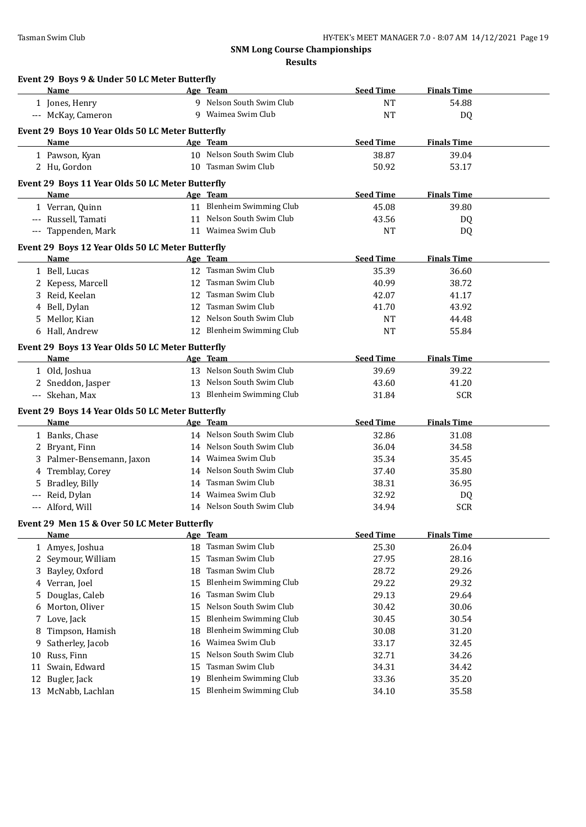|          | Event 29 Boys 9 & Under 50 LC Meter Butterfly<br>Name    |          | Age Team                                                | <b>Seed Time</b>          | <b>Finals Time</b> |
|----------|----------------------------------------------------------|----------|---------------------------------------------------------|---------------------------|--------------------|
|          | 1 Jones, Henry                                           |          | 9 Nelson South Swim Club                                | <b>NT</b>                 | 54.88              |
|          | --- McKay, Cameron                                       |          | 9 Waimea Swim Club                                      | <b>NT</b>                 | DQ                 |
|          |                                                          |          |                                                         |                           |                    |
|          | Event 29 Boys 10 Year Olds 50 LC Meter Butterfly         |          | Age Team                                                |                           |                    |
|          | Name                                                     |          | 10 Nelson South Swim Club                               | <b>Seed Time</b><br>38.87 | <b>Finals Time</b> |
|          | 1 Pawson, Kyan                                           |          | 10 Tasman Swim Club                                     |                           | 39.04              |
|          | 2 Hu, Gordon                                             |          |                                                         | 50.92                     | 53.17              |
|          | Event 29 Boys 11 Year Olds 50 LC Meter Butterfly         |          |                                                         |                           |                    |
|          | Name                                                     |          | Age Team                                                | <b>Seed Time</b>          | <b>Finals Time</b> |
|          | 1 Verran, Quinn                                          |          | 11 Blenheim Swimming Club                               | 45.08                     | 39.80              |
|          | --- Russell, Tamati                                      |          | 11 Nelson South Swim Club                               | 43.56                     | DQ                 |
|          | --- Tappenden, Mark                                      |          | 11 Waimea Swim Club                                     | <b>NT</b>                 | DQ                 |
|          | Event 29 Boys 12 Year Olds 50 LC Meter Butterfly         |          |                                                         |                           |                    |
|          | Name                                                     |          | Age Team                                                | <b>Seed Time</b>          | <b>Finals Time</b> |
|          | 1 Bell, Lucas                                            |          | 12 Tasman Swim Club                                     | 35.39                     | 36.60              |
|          | 2 Kepess, Marcell                                        |          | 12 Tasman Swim Club                                     | 40.99                     | 38.72              |
|          | 3 Reid, Keelan                                           |          | 12 Tasman Swim Club                                     | 42.07                     | 41.17              |
|          | 4 Bell, Dylan                                            |          | 12 Tasman Swim Club                                     | 41.70                     | 43.92              |
|          | 5 Mellor, Kian                                           |          | 12 Nelson South Swim Club                               | <b>NT</b>                 | 44.48              |
|          | 6 Hall, Andrew                                           |          | 12 Blenheim Swimming Club                               | <b>NT</b>                 | 55.84              |
|          | Event 29 Boys 13 Year Olds 50 LC Meter Butterfly         |          |                                                         |                           |                    |
|          | <b>Name</b>                                              |          | Age Team                                                | <b>Seed Time</b>          | <b>Finals Time</b> |
|          | 1 Old, Joshua                                            |          | 13 Nelson South Swim Club                               | 39.69                     | 39.22              |
|          | 2 Sneddon, Jasper                                        |          | 13 Nelson South Swim Club                               | 43.60                     | 41.20              |
|          | --- Skehan, Max                                          |          | 13 Blenheim Swimming Club                               | 31.84                     | <b>SCR</b>         |
|          |                                                          |          |                                                         |                           |                    |
|          | Event 29 Boys 14 Year Olds 50 LC Meter Butterfly<br>Name |          | Age Team                                                | <b>Seed Time</b>          | <b>Finals Time</b> |
|          | 1 Banks, Chase                                           |          | 14 Nelson South Swim Club                               | 32.86                     | 31.08              |
|          | 2 Bryant, Finn                                           |          | 14 Nelson South Swim Club                               | 36.04                     | 34.58              |
|          | 3 Palmer-Bensemann, Jaxon                                |          | 14 Waimea Swim Club                                     | 35.34                     | 35.45              |
|          | 4 Tremblay, Corey                                        |          | 14 Nelson South Swim Club                               | 37.40                     | 35.80              |
| 5        | Bradley, Billy                                           |          | 14 Tasman Swim Club                                     | 38.31                     | 36.95              |
| $---$    | Reid, Dylan                                              |          | 14 Waimea Swim Club                                     | 32.92                     | DQ                 |
|          | Alford, Will                                             |          | 14 Nelson South Swim Club                               | 34.94                     | <b>SCR</b>         |
|          |                                                          |          |                                                         |                           |                    |
|          | Event 29 Men 15 & Over 50 LC Meter Butterfly             |          |                                                         |                           |                    |
|          | Name                                                     |          | Age Team<br>18 Tasman Swim Club                         | <b>Seed Time</b>          | <b>Finals Time</b> |
|          | 1 Amyes, Joshua                                          |          | Tasman Swim Club                                        | 25.30                     | 26.04              |
|          | 2 Seymour, William                                       | 15       | Tasman Swim Club                                        | 27.95                     | 28.16              |
| 3        | Bayley, Oxford                                           | 18       |                                                         | 28.72                     | 29.26              |
| 4        | Verran, Joel                                             | 15       | <b>Blenheim Swimming Club</b><br>Tasman Swim Club       | 29.22                     | 29.32              |
| 5        | Douglas, Caleb                                           | 16       |                                                         | 29.13                     | 29.64              |
| 6        | Morton, Oliver                                           | 15       | Nelson South Swim Club                                  | 30.42                     | 30.06              |
| 7        | Love, Jack                                               | 15       | Blenheim Swimming Club                                  | 30.45                     | 30.54              |
| 8        | Timpson, Hamish                                          | 18       | Blenheim Swimming Club                                  | 30.08                     | 31.20              |
| 9        | Satherley, Jacob                                         | 16       | Waimea Swim Club                                        | 33.17                     | 32.45              |
| 10       | Russ, Finn                                               | 15       | Nelson South Swim Club                                  | 32.71                     | 34.26              |
| 11       | Swain, Edward                                            | 15       | Tasman Swim Club                                        | 34.31                     | 34.42              |
|          |                                                          |          |                                                         |                           |                    |
| 12<br>13 | Bugler, Jack<br>McNabb, Lachlan                          | 19<br>15 | <b>Blenheim Swimming Club</b><br>Blenheim Swimming Club | 33.36<br>34.10            | 35.20<br>35.58     |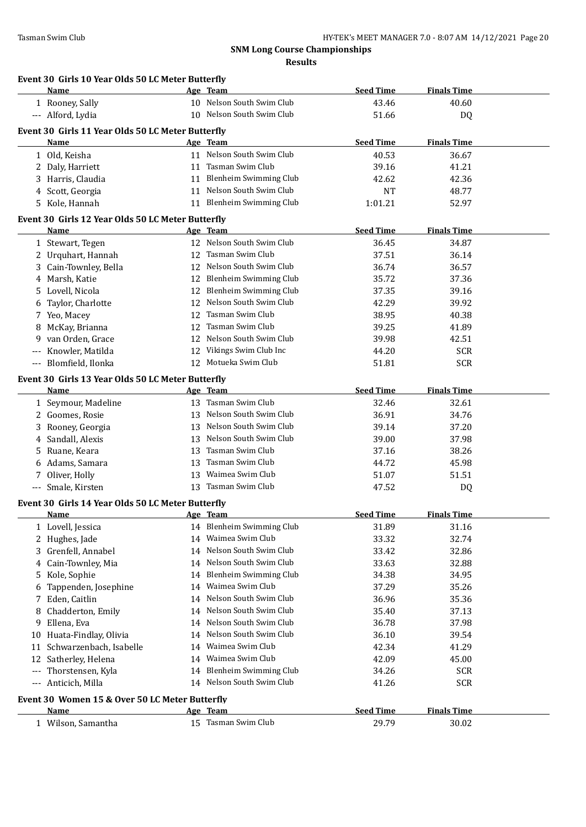**Name Age Team Seed Time Finals Time**

### **SNM Long Course Championships Results**

| <b>Name</b>                                       | Age Team                  | <b>Seed Time</b> | <b>Finals Time</b> |
|---------------------------------------------------|---------------------------|------------------|--------------------|
| 1 Rooney, Sally                                   | 10 Nelson South Swim Club | 43.46            | 40.60              |
| --- Alford, Lydia                                 | 10 Nelson South Swim Club | 51.66            | DQ                 |
| Event 30 Girls 11 Year Olds 50 LC Meter Butterfly |                           |                  |                    |

**Event 30 Girls 10 Year Olds 50 LC Meter Butterfly**

|                                          | is 11 ical onus so ne meter butterin<br><u>Name</u>       |    | Age Team                  | <b>Seed Time</b> | <b>Finals Time</b> |  |
|------------------------------------------|-----------------------------------------------------------|----|---------------------------|------------------|--------------------|--|
|                                          | 1 Old, Keisha                                             |    | 11 Nelson South Swim Club | 40.53            | 36.67              |  |
|                                          | 2 Daly, Harriett                                          |    | 11 Tasman Swim Club       | 39.16            | 41.21              |  |
|                                          | 3 Harris, Claudia                                         |    | 11 Blenheim Swimming Club | 42.62            | 42.36              |  |
|                                          | 4 Scott, Georgia                                          |    | 11 Nelson South Swim Club | <b>NT</b>        | 48.77              |  |
|                                          | 5 Kole, Hannah                                            |    | 11 Blenheim Swimming Club | 1:01.21          | 52.97              |  |
|                                          |                                                           |    |                           |                  |                    |  |
|                                          | Event 30 Girls 12 Year Olds 50 LC Meter Butterfly<br>Name |    | Age Team                  | <b>Seed Time</b> | <b>Finals Time</b> |  |
|                                          | 1 Stewart, Tegen                                          |    | 12 Nelson South Swim Club | 36.45            | 34.87              |  |
|                                          | 2 Urquhart, Hannah                                        |    | 12 Tasman Swim Club       | 37.51            | 36.14              |  |
|                                          | 3 Cain-Townley, Bella                                     |    | 12 Nelson South Swim Club | 36.74            | 36.57              |  |
|                                          | 4 Marsh, Katie                                            |    | 12 Blenheim Swimming Club | 35.72            | 37.36              |  |
|                                          | 5 Lovell, Nicola                                          |    | 12 Blenheim Swimming Club | 37.35            | 39.16              |  |
|                                          | 6 Taylor, Charlotte                                       | 12 | Nelson South Swim Club    | 42.29            | 39.92              |  |
|                                          | 7 Yeo, Macey                                              | 12 | Tasman Swim Club          | 38.95            | 40.38              |  |
|                                          |                                                           | 12 | Tasman Swim Club          | 39.25            | 41.89              |  |
| 8                                        | McKay, Brianna                                            |    | 12 Nelson South Swim Club |                  |                    |  |
|                                          | 9 van Orden, Grace                                        |    | 12 Vikings Swim Club Inc  | 39.98            | 42.51              |  |
|                                          | Knowler, Matilda                                          |    |                           | 44.20            | <b>SCR</b>         |  |
|                                          | --- Blomfield, Ilonka                                     |    | 12 Motueka Swim Club      | 51.81            | <b>SCR</b>         |  |
|                                          | Event 30 Girls 13 Year Olds 50 LC Meter Butterfly         |    |                           |                  |                    |  |
|                                          | Name                                                      |    | Age Team                  | <b>Seed Time</b> | <b>Finals Time</b> |  |
|                                          | 1 Seymour, Madeline                                       |    | 13 Tasman Swim Club       | 32.46            | 32.61              |  |
|                                          | 2 Goomes, Rosie                                           |    | 13 Nelson South Swim Club | 36.91            | 34.76              |  |
|                                          | 3 Rooney, Georgia                                         |    | 13 Nelson South Swim Club | 39.14            | 37.20              |  |
|                                          | 4 Sandall, Alexis                                         |    | 13 Nelson South Swim Club | 39.00            | 37.98              |  |
|                                          | 5 Ruane, Keara                                            |    | 13 Tasman Swim Club       | 37.16            | 38.26              |  |
|                                          | 6 Adams, Samara                                           |    | 13 Tasman Swim Club       | 44.72            | 45.98              |  |
|                                          | 7 Oliver, Holly                                           |    | 13 Waimea Swim Club       | 51.07            | 51.51              |  |
| $\hspace{0.05cm} \ldots \hspace{0.05cm}$ | Smale, Kirsten                                            |    | 13 Tasman Swim Club       | 47.52            | DQ                 |  |
|                                          | Event 30 Girls 14 Year Olds 50 LC Meter Butterfly         |    |                           |                  |                    |  |
|                                          | Name                                                      |    | Age Team                  | <b>Seed Time</b> | <b>Finals Time</b> |  |
|                                          | 1 Lovell, Jessica                                         |    | 14 Blenheim Swimming Club | 31.89            | 31.16              |  |
|                                          | 2 Hughes, Jade                                            |    | 14 Waimea Swim Club       | 33.32            | 32.74              |  |
|                                          | 3 Grenfell, Annabel                                       |    | 14 Nelson South Swim Club | 33.42            | 32.86              |  |
|                                          | 4 Cain-Townley, Mia                                       |    | 14 Nelson South Swim Club | 33.63            | 32.88              |  |
|                                          | 5 Kole, Sophie                                            |    | 14 Blenheim Swimming Club | 34.38            | 34.95              |  |
|                                          | 6 Tappenden, Josephine                                    |    | 14 Waimea Swim Club       | 37.29            | 35.26              |  |
|                                          | 7 Eden, Caitlin                                           |    | 14 Nelson South Swim Club | 36.96            | 35.36              |  |
|                                          | 8 Chadderton, Emily                                       |    | 14 Nelson South Swim Club | 35.40            | 37.13              |  |
| 9                                        | Ellena, Eva                                               |    | 14 Nelson South Swim Club | 36.78            | 37.98              |  |
|                                          | 10 Huata-Findlay, Olivia                                  |    | 14 Nelson South Swim Club | 36.10            | 39.54              |  |
|                                          | 11 Schwarzenbach, Isabelle                                |    | 14 Waimea Swim Club       | 42.34            | 41.29              |  |
|                                          | 12 Satherley, Helena                                      |    | 14 Waimea Swim Club       | 42.09            | 45.00              |  |
| $---$                                    | Thorstensen, Kyla                                         |    | 14 Blenheim Swimming Club | 34.26            | <b>SCR</b>         |  |
| $---$                                    | Anticich, Milla                                           |    | 14 Nelson South Swim Club | 41.26            | <b>SCR</b>         |  |
|                                          |                                                           |    |                           |                  |                    |  |
|                                          | Event 30 Women 15 & Over 50 LC Meter Butterfly            |    |                           |                  |                    |  |
|                                          | Name                                                      |    | Age Team                  | <b>Seed Time</b> | <b>Finals Time</b> |  |
|                                          | 1 Wilson, Samantha                                        |    | 15 Tasman Swim Club       | 29.79            | 30.02              |  |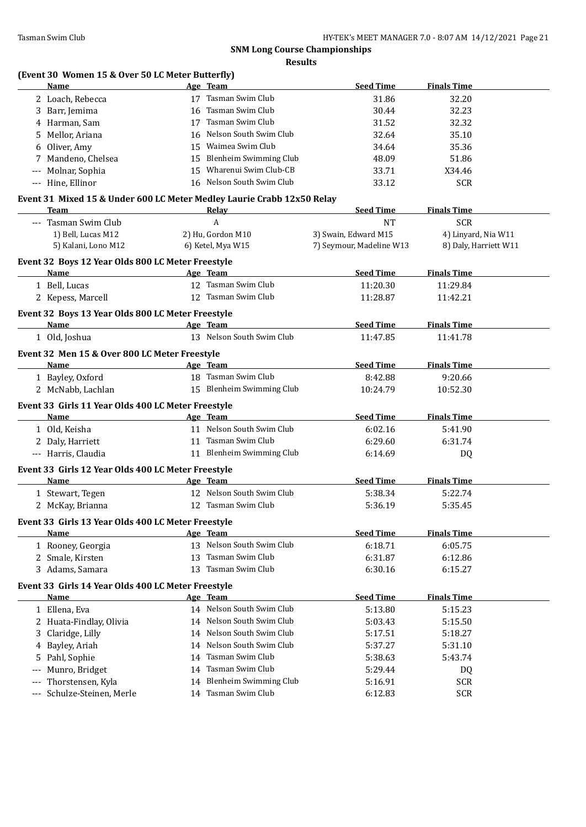**Results**

### **(Event 30 Women 15 & Over 50 LC Meter Butterfly)**

|       | Name                                                                   |    | Age Team                                   | <b>Seed Time</b>         | <b>Finals Time</b>    |
|-------|------------------------------------------------------------------------|----|--------------------------------------------|--------------------------|-----------------------|
|       | 2 Loach, Rebecca                                                       |    | 17 Tasman Swim Club                        | 31.86                    | 32.20                 |
|       | 3 Barr, Jemima                                                         |    | 16 Tasman Swim Club                        | 30.44                    | 32.23                 |
|       | 4 Harman, Sam                                                          |    | 17 Tasman Swim Club                        | 31.52                    | 32.32                 |
| 5.    | Mellor, Ariana                                                         |    | 16 Nelson South Swim Club                  | 32.64                    | 35.10                 |
| 6     | Oliver, Amy                                                            |    | 15 Waimea Swim Club                        | 34.64                    | 35.36                 |
| 7     | Mandeno, Chelsea                                                       |    | 15 Blenheim Swimming Club                  | 48.09                    | 51.86                 |
| $---$ | Molnar, Sophia                                                         |    | 15 Wharenui Swim Club-CB                   | 33.71                    | X34.46                |
|       | --- Hine, Ellinor                                                      |    | 16 Nelson South Swim Club                  | 33.12                    | <b>SCR</b>            |
|       | Event 31 Mixed 15 & Under 600 LC Meter Medley Laurie Crabb 12x50 Relay |    |                                            |                          |                       |
|       | Team                                                                   |    | <b>Relay</b>                               | <b>Seed Time</b>         | <b>Finals Time</b>    |
|       | --- Tasman Swim Club                                                   |    | А                                          | <b>NT</b>                | <b>SCR</b>            |
|       | 1) Bell, Lucas M12                                                     |    | 2) Hu, Gordon M10                          | 3) Swain, Edward M15     | 4) Linyard, Nia W11   |
|       | 5) Kalani, Lono M12                                                    |    | 6) Ketel, Mya W15                          | 7) Seymour, Madeline W13 | 8) Daly, Harriett W11 |
|       |                                                                        |    |                                            |                          |                       |
|       | Event 32 Boys 12 Year Olds 800 LC Meter Freestyle                      |    | Age Team                                   |                          |                       |
|       | Name                                                                   |    |                                            | <b>Seed Time</b>         | <b>Finals Time</b>    |
|       | 1 Bell, Lucas                                                          |    | 12 Tasman Swim Club<br>12 Tasman Swim Club | 11:20.30                 | 11:29.84              |
|       | 2 Kepess, Marcell                                                      |    |                                            | 11:28.87                 | 11:42.21              |
|       | Event 32 Boys 13 Year Olds 800 LC Meter Freestyle                      |    |                                            |                          |                       |
|       | Name                                                                   |    | Age Team                                   | <b>Seed Time</b>         | <b>Finals Time</b>    |
|       | 1 Old, Joshua                                                          |    | 13 Nelson South Swim Club                  | 11:47.85                 | 11:41.78              |
|       | Event 32 Men 15 & Over 800 LC Meter Freestyle                          |    |                                            |                          |                       |
|       | Name                                                                   |    | Age Team                                   | <b>Seed Time</b>         | <b>Finals Time</b>    |
|       | 1 Bayley, Oxford                                                       |    | 18 Tasman Swim Club                        | 8:42.88                  | 9:20.66               |
|       | 2 McNabb, Lachlan                                                      |    | 15 Blenheim Swimming Club                  | 10:24.79                 | 10:52.30              |
|       | Event 33 Girls 11 Year Olds 400 LC Meter Freestyle                     |    |                                            |                          |                       |
|       | Name                                                                   |    | Age Team                                   | <b>Seed Time</b>         | <b>Finals Time</b>    |
|       | 1 Old, Keisha                                                          |    | 11 Nelson South Swim Club                  | 6:02.16                  | 5:41.90               |
|       | 2 Daly, Harriett                                                       |    | 11 Tasman Swim Club                        | 6:29.60                  | 6:31.74               |
|       | --- Harris, Claudia                                                    |    | 11 Blenheim Swimming Club                  | 6:14.69                  | DQ                    |
|       |                                                                        |    |                                            |                          |                       |
|       | Event 33 Girls 12 Year Olds 400 LC Meter Freestyle                     |    |                                            |                          |                       |
|       | Name                                                                   |    | Age Team                                   | <b>Seed Time</b>         | <b>Finals Time</b>    |
|       | 1 Stewart, Tegen                                                       |    | 12 Nelson South Swim Club                  | 5:38.34                  | 5:22.74               |
|       | 2 McKay, Brianna                                                       |    | 12 Tasman Swim Club                        | 5:36.19                  | 5:35.45               |
|       | Event 33 Girls 13 Year Olds 400 LC Meter Freestyle                     |    |                                            |                          |                       |
|       | <u>Name</u>                                                            |    | Age Team                                   | <b>Seed Time</b>         | <b>Finals Time</b>    |
|       | 1 Rooney, Georgia                                                      |    | 13 Nelson South Swim Club                  | 6:18.71                  | 6:05.75               |
|       | 2 Smale, Kirsten                                                       | 13 | Tasman Swim Club                           | 6:31.87                  | 6:12.86               |
|       | 3 Adams, Samara                                                        |    | 13 Tasman Swim Club                        | 6:30.16                  | 6:15.27               |
|       | Event 33 Girls 14 Year Olds 400 LC Meter Freestyle                     |    |                                            |                          |                       |
|       | Name                                                                   |    | Age Team                                   | <b>Seed Time</b>         | <b>Finals Time</b>    |
|       | 1 Ellena, Eva                                                          |    | 14 Nelson South Swim Club                  | 5:13.80                  | 5:15.23               |
|       | 2 Huata-Findlay, Olivia                                                | 14 | Nelson South Swim Club                     | 5:03.43                  | 5:15.50               |
| 3     | Claridge, Lilly                                                        | 14 | Nelson South Swim Club                     | 5:17.51                  | 5:18.27               |
| 4     | Bayley, Ariah                                                          | 14 | Nelson South Swim Club                     | 5:37.27                  | 5:31.10               |
| 5     | Pahl, Sophie                                                           | 14 | Tasman Swim Club                           | 5:38.63                  | 5:43.74               |
|       | Munro, Bridget                                                         | 14 | Tasman Swim Club                           | 5:29.44                  | DQ                    |
|       | Thorstensen, Kyla                                                      | 14 | <b>Blenheim Swimming Club</b>              | 5:16.91                  | <b>SCR</b>            |
| $---$ | Schulze-Steinen, Merle                                                 |    | 14 Tasman Swim Club                        | 6:12.83                  | <b>SCR</b>            |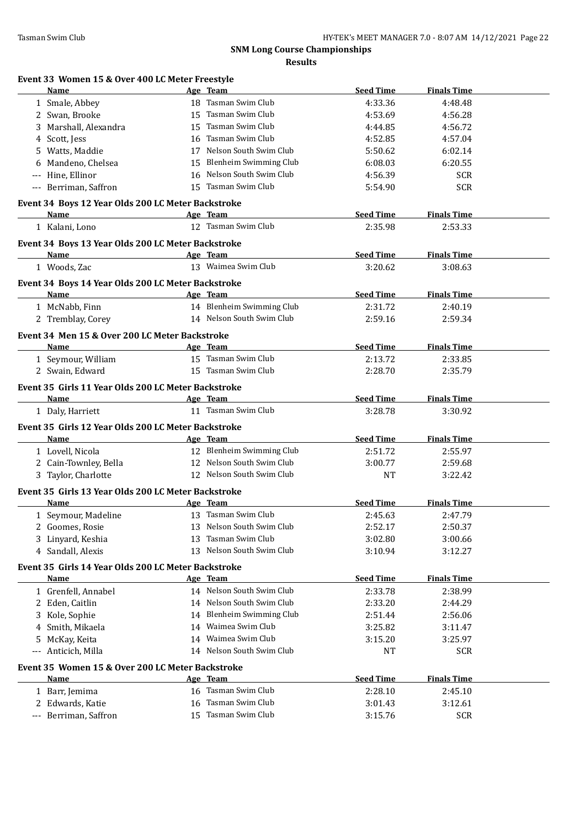|                                                 | <b>Results</b>      |                  |                    |
|-------------------------------------------------|---------------------|------------------|--------------------|
| Event 33 Women 15 & Over 400 LC Meter Freestyle |                     |                  |                    |
| <b>Name</b>                                     | Age Team            | <b>Seed Time</b> | <b>Finals Time</b> |
| 1 Smale, Abbey                                  | 18 Tasman Swim Club | 4:33.36          | 4:48.48            |
|                                                 |                     |                  |                    |

| 1 Smale, Abbey                                      | 18 Tasman Swim Club                                    | 4:33.36          | 4:48.48            |  |
|-----------------------------------------------------|--------------------------------------------------------|------------------|--------------------|--|
| 2 Swan, Brooke                                      | 15 Tasman Swim Club                                    | 4:53.69          | 4:56.28            |  |
| Marshall, Alexandra<br>3                            | Tasman Swim Club<br>15                                 | 4:44.85          | 4:56.72            |  |
| 4 Scott, Jess                                       | 16 Tasman Swim Club                                    | 4:52.85          | 4:57.04            |  |
| 5 Watts, Maddie                                     | 17 Nelson South Swim Club                              | 5:50.62          | 6:02.14            |  |
| Mandeno, Chelsea<br>6                               | 15 Blenheim Swimming Club                              | 6:08.03          | 6:20.55            |  |
| --- Hine, Ellinor                                   | 16 Nelson South Swim Club                              | 4:56.39          | <b>SCR</b>         |  |
| --- Berriman, Saffron                               | 15 Tasman Swim Club                                    | 5:54.90          | <b>SCR</b>         |  |
| Event 34 Boys 12 Year Olds 200 LC Meter Backstroke  |                                                        |                  |                    |  |
| Name                                                | Age Team                                               | <b>Seed Time</b> | <b>Finals Time</b> |  |
| 1 Kalani, Lono                                      | 12 Tasman Swim Club                                    | 2:35.98          | 2:53.33            |  |
| Event 34 Boys 13 Year Olds 200 LC Meter Backstroke  |                                                        |                  |                    |  |
| <b>Name</b>                                         | Age Team                                               | <b>Seed Time</b> | <b>Finals Time</b> |  |
| 1 Woods, Zac                                        | 13 Waimea Swim Club                                    | 3:20.62          | 3:08.63            |  |
| Event 34 Boys 14 Year Olds 200 LC Meter Backstroke  |                                                        |                  |                    |  |
| Name                                                | <b>Example 2</b> Age Team                              | <b>Seed Time</b> | <b>Finals Time</b> |  |
| 1 McNabb, Finn                                      | 14 Blenheim Swimming Club                              | 2:31.72          | 2:40.19            |  |
| 2 Tremblay, Corey                                   | 14 Nelson South Swim Club                              | 2:59.16          | 2:59.34            |  |
| Event 34 Men 15 & Over 200 LC Meter Backstroke      |                                                        |                  |                    |  |
| Name                                                | Age Team                                               | <b>Seed Time</b> | <b>Finals Time</b> |  |
| 1 Seymour, William                                  | 15 Tasman Swim Club                                    | 2:13.72          | 2:33.85            |  |
| 2 Swain, Edward                                     | 15 Tasman Swim Club                                    | 2:28.70          | 2:35.79            |  |
| Event 35 Girls 11 Year Olds 200 LC Meter Backstroke |                                                        |                  |                    |  |
| Name                                                | Age Team                                               | <b>Seed Time</b> | <b>Finals Time</b> |  |
| 1 Daly, Harriett                                    | 11 Tasman Swim Club                                    | 3:28.78          | 3:30.92            |  |
|                                                     |                                                        |                  |                    |  |
| Event 35 Girls 12 Year Olds 200 LC Meter Backstroke |                                                        |                  |                    |  |
| Name                                                | Age Team                                               | <b>Seed Time</b> | <b>Finals Time</b> |  |
| 1 Lovell, Nicola                                    | 12 Blenheim Swimming Club<br>12 Nelson South Swim Club | 2:51.72          | 2:55.97            |  |
| 2 Cain-Townley, Bella<br>3 Taylor, Charlotte        | 12 Nelson South Swim Club                              | 3:00.77<br>NT    | 2:59.68<br>3:22.42 |  |
|                                                     |                                                        |                  |                    |  |
| Event 35 Girls 13 Year Olds 200 LC Meter Backstroke |                                                        |                  |                    |  |
| Name                                                | Age Team                                               | <b>Seed Time</b> | <b>Finals Time</b> |  |
| 1 Seymour, Madeline                                 | 13 Tasman Swim Club                                    | 2:45.63          | 2:47.79            |  |
| 2 Goomes, Rosie                                     | 13 Nelson South Swim Club                              | 2:52.17          | 2:50.37            |  |
| 3 Linyard, Keshia                                   | 13 Tasman Swim Club                                    | 3:02.80          | 3:00.66            |  |
| 4 Sandall, Alexis                                   | 13 Nelson South Swim Club                              | 3:10.94          | 3:12.27            |  |
| Event 35 Girls 14 Year Olds 200 LC Meter Backstroke |                                                        |                  |                    |  |
| <b>Name</b>                                         | Age Team                                               | <b>Seed Time</b> | <b>Finals Time</b> |  |
| 1 Grenfell, Annabel                                 | 14 Nelson South Swim Club                              | 2:33.78          | 2:38.99            |  |
| Eden, Caitlin<br>2                                  | 14 Nelson South Swim Club                              | 2:33.20          | 2:44.29            |  |
| Kole, Sophie<br>3                                   | 14 Blenheim Swimming Club                              | 2:51.44          | 2:56.06            |  |
| Smith, Mikaela<br>4                                 | 14 Waimea Swim Club                                    | 3:25.82          | 3:11.47            |  |
| McKay, Keita<br>5                                   | 14 Waimea Swim Club                                    | 3:15.20          | 3:25.97            |  |
| Anticich, Milla<br>$\cdots$                         | 14 Nelson South Swim Club                              | NT               | <b>SCR</b>         |  |
| Event 35 Women 15 & Over 200 LC Meter Backstroke    |                                                        |                  |                    |  |
| Name                                                | Age Team                                               | <b>Seed Time</b> | <b>Finals Time</b> |  |
| 1 Barr, Jemima                                      | 16 Tasman Swim Club                                    | 2:28.10          | 2:45.10            |  |
| Edwards, Katie<br>2                                 | Tasman Swim Club<br>16                                 | 3:01.43          | 3:12.61            |  |
| Berriman, Saffron<br>$---$                          | 15 Tasman Swim Club                                    | 3:15.76          | <b>SCR</b>         |  |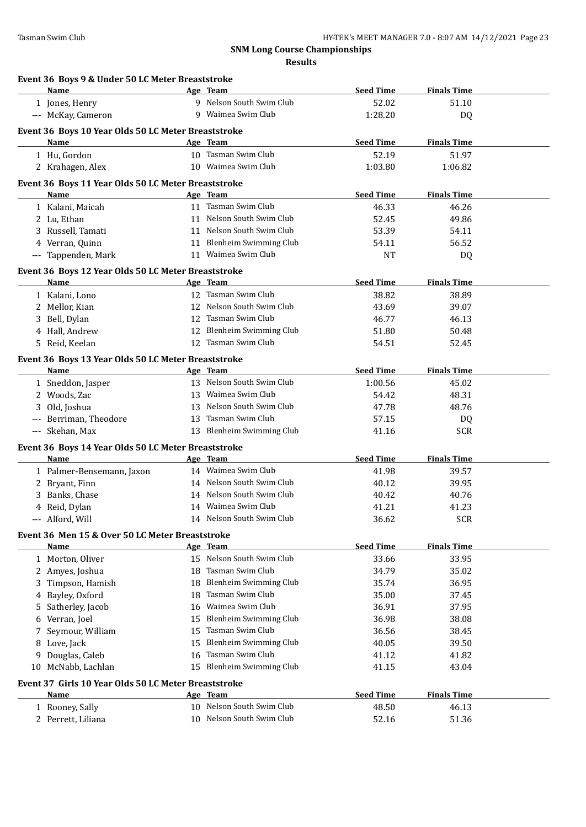| <b>Name</b>                                          |    | Age Team                              | <b>Seed Time</b> | <b>Finals Time</b>          |
|------------------------------------------------------|----|---------------------------------------|------------------|-----------------------------|
| 1 Jones, Henry                                       |    | 9 Nelson South Swim Club              | 52.02            | 51.10                       |
| --- McKay, Cameron                                   |    | 9 Waimea Swim Club                    | 1:28.20          | DQ                          |
| Event 36 Boys 10 Year Olds 50 LC Meter Breaststroke  |    |                                       |                  |                             |
| Name                                                 |    | Age Team                              | <b>Seed Time</b> | <b>Finals Time</b>          |
| 1 Hu, Gordon                                         |    | 10 Tasman Swim Club                   | 52.19            | 51.97                       |
| 2 Krahagen, Alex                                     |    | 10 Waimea Swim Club                   | 1:03.80          | 1:06.82                     |
|                                                      |    |                                       |                  |                             |
| Event 36 Boys 11 Year Olds 50 LC Meter Breaststroke  |    |                                       |                  |                             |
| <b>Name</b>                                          |    | Age Team<br>11 Tasman Swim Club       | <b>Seed Time</b> | <b>Finals Time</b>          |
| 1 Kalani, Maicah                                     |    | 11 Nelson South Swim Club             | 46.33            | 46.26                       |
| 2 Lu, Ethan                                          |    | 11 Nelson South Swim Club             | 52.45            | 49.86                       |
| 3 Russell, Tamati                                    |    |                                       | 53.39            | 54.11                       |
| 4 Verran, Quinn                                      |    | 11 Blenheim Swimming Club             | 54.11            | 56.52                       |
| --- Tappenden, Mark                                  |    | 11 Waimea Swim Club                   | <b>NT</b>        | DQ                          |
| Event 36 Boys 12 Year Olds 50 LC Meter Breaststroke  |    |                                       |                  |                             |
| Name                                                 |    | Age Team                              | <b>Seed Time</b> | <b>Finals Time</b>          |
| 1 Kalani, Lono                                       |    | 12 Tasman Swim Club                   | 38.82            | 38.89                       |
| 2 Mellor, Kian                                       |    | 12 Nelson South Swim Club             | 43.69            | 39.07                       |
| 3 Bell, Dylan                                        |    | 12 Tasman Swim Club                   | 46.77            | 46.13                       |
| 4 Hall, Andrew                                       |    | 12 Blenheim Swimming Club             | 51.80            | 50.48                       |
| 5 Reid, Keelan                                       |    | 12 Tasman Swim Club                   | 54.51            | 52.45                       |
| Event 36 Boys 13 Year Olds 50 LC Meter Breaststroke  |    |                                       |                  |                             |
| Name                                                 |    | Age Team                              | <b>Seed Time</b> | <b>Finals Time</b>          |
| 1 Sneddon, Jasper                                    |    | 13 Nelson South Swim Club             | 1:00.56          | 45.02                       |
| 2 Woods, Zac                                         |    | 13 Waimea Swim Club                   | 54.42            | 48.31                       |
| 3 Old, Joshua                                        |    | 13 Nelson South Swim Club             | 47.78            | 48.76                       |
| --- Berriman, Theodore                               |    | 13 Tasman Swim Club                   | 57.15            | DQ                          |
| --- Skehan, Max                                      |    | 13 Blenheim Swimming Club             | 41.16            | <b>SCR</b>                  |
| Event 36 Boys 14 Year Olds 50 LC Meter Breaststroke  |    |                                       |                  |                             |
| Name                                                 |    | Age Team                              | <b>Seed Time</b> | <b>Finals Time</b>          |
| 1 Palmer-Bensemann, Jaxon                            |    | 14 Waimea Swim Club                   | 41.98            | 39.57                       |
| 2 Bryant, Finn                                       |    | 14 Nelson South Swim Club             | 40.12            | 39.95                       |
| 3 Banks, Chase                                       |    | 14 Nelson South Swim Club             | 40.42            | 40.76                       |
| 4 Reid, Dylan                                        |    | 14 Waimea Swim Club                   | 41.21            | 41.23                       |
| --- Alford, Will                                     |    | 14 Nelson South Swim Club             | 36.62            | <b>SCR</b>                  |
|                                                      |    |                                       |                  |                             |
| Event 36 Men 15 & Over 50 LC Meter Breaststroke      |    |                                       | <b>Seed Time</b> |                             |
| <b>Name</b><br>1 Morton, Oliver                      |    | Age Team<br>15 Nelson South Swim Club | 33.66            | <b>Finals Time</b><br>33.95 |
|                                                      |    | 18 Tasman Swim Club                   |                  |                             |
| 2 Amyes, Joshua<br>3 Timpson, Hamish                 |    | 18 Blenheim Swimming Club             | 34.79            | 35.02<br>36.95              |
|                                                      |    | 18 Tasman Swim Club                   | 35.74            |                             |
| 4 Bayley, Oxford                                     | 16 | Waimea Swim Club                      | 35.00<br>36.91   | 37.45<br>37.95              |
| Satherley, Jacob<br>5.                               | 15 | <b>Blenheim Swimming Club</b>         |                  |                             |
| Verran, Joel<br>6                                    | 15 | Tasman Swim Club                      | 36.98<br>36.56   | 38.08<br>38.45              |
| Seymour, William<br>7                                |    | <b>Blenheim Swimming Club</b>         |                  |                             |
| 8 Love, Jack                                         | 15 | Tasman Swim Club                      | 40.05            | 39.50                       |
| Douglas, Caleb<br>9                                  | 16 | 15 Blenheim Swimming Club             | 41.12            | 41.82                       |
| 10 McNabb, Lachlan                                   |    |                                       | 41.15            | 43.04                       |
| Event 37 Girls 10 Year Olds 50 LC Meter Breaststroke |    |                                       |                  |                             |
| Name                                                 |    | Age Team                              | <b>Seed Time</b> | <b>Finals Time</b>          |
| 1 Rooney, Sally                                      |    | 10 Nelson South Swim Club             | 48.50            | 46.13                       |
| 2 Perrett, Liliana                                   |    | 10 Nelson South Swim Club             | 52.16            | 51.36                       |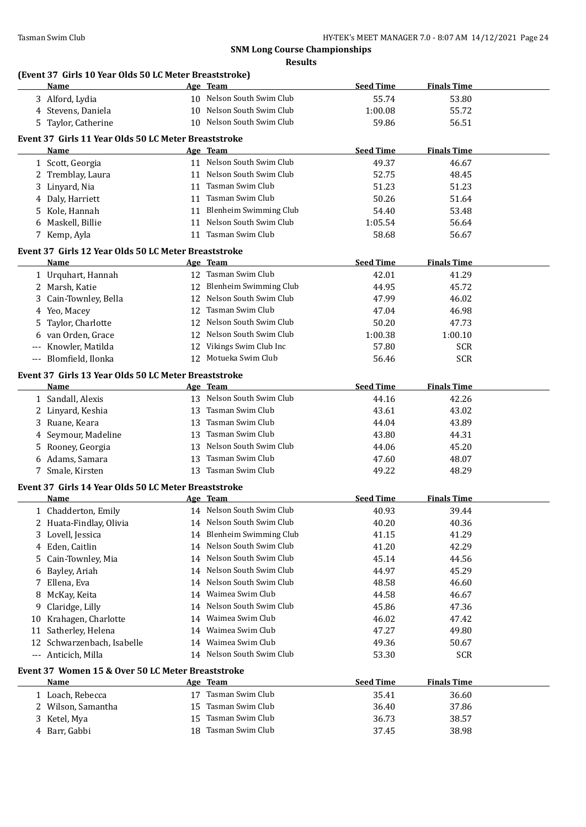### **(Event 37 Girls 10 Year Olds 50 LC Meter Breaststroke)**

|        | Name                                                 |    | Age Team                  | <b>Seed Time</b> | <b>Finals Time</b> |  |
|--------|------------------------------------------------------|----|---------------------------|------------------|--------------------|--|
|        | 3 Alford, Lydia                                      |    | 10 Nelson South Swim Club | 55.74            | 53.80              |  |
|        | 4 Stevens, Daniela                                   |    | 10 Nelson South Swim Club | 1:00.08          | 55.72              |  |
| 5.     | Taylor, Catherine                                    |    | 10 Nelson South Swim Club | 59.86            | 56.51              |  |
|        | Event 37 Girls 11 Year Olds 50 LC Meter Breaststroke |    |                           |                  |                    |  |
|        | Name                                                 |    | Age Team                  | <b>Seed Time</b> | <b>Finals Time</b> |  |
|        | 1 Scott, Georgia                                     |    | 11 Nelson South Swim Club | 49.37            | 46.67              |  |
|        | Tremblay, Laura                                      |    | 11 Nelson South Swim Club | 52.75            | 48.45              |  |
| 2<br>3 | Linyard, Nia                                         |    | 11 Tasman Swim Club       | 51.23            | 51.23              |  |
|        | Daly, Harriett                                       |    | 11 Tasman Swim Club       | 50.26            | 51.64              |  |
| 4      |                                                      |    | 11 Blenheim Swimming Club |                  |                    |  |
| 5      | Kole, Hannah<br>Maskell, Billie                      |    | 11 Nelson South Swim Club | 54.40            | 53.48              |  |
| 6      |                                                      |    | 11 Tasman Swim Club       | 1:05.54          | 56.64              |  |
|        | 7 Kemp, Ayla                                         |    |                           | 58.68            | 56.67              |  |
|        | Event 37 Girls 12 Year Olds 50 LC Meter Breaststroke |    |                           |                  |                    |  |
|        | <b>Name</b>                                          |    | Age Team                  | <b>Seed Time</b> | <b>Finals Time</b> |  |
|        | 1 Urquhart, Hannah                                   |    | 12 Tasman Swim Club       | 42.01            | 41.29              |  |
|        | 2 Marsh, Katie                                       |    | 12 Blenheim Swimming Club | 44.95            | 45.72              |  |
| 3      | Cain-Townley, Bella                                  |    | 12 Nelson South Swim Club | 47.99            | 46.02              |  |
| 4      | Yeo, Macey                                           | 12 | Tasman Swim Club          | 47.04            | 46.98              |  |
| 5      | Taylor, Charlotte                                    |    | 12 Nelson South Swim Club | 50.20            | 47.73              |  |
| 6      | van Orden, Grace                                     |    | 12 Nelson South Swim Club | 1:00.38          | 1:00.10            |  |
| ---    | Knowler, Matilda                                     |    | 12 Vikings Swim Club Inc  | 57.80            | <b>SCR</b>         |  |
| $---$  | Blomfield, Ilonka                                    |    | 12 Motueka Swim Club      | 56.46            | <b>SCR</b>         |  |
|        | Event 37 Girls 13 Year Olds 50 LC Meter Breaststroke |    |                           |                  |                    |  |
|        | Name                                                 |    | Age Team                  | <b>Seed Time</b> | <b>Finals Time</b> |  |
|        | 1 Sandall, Alexis                                    |    | 13 Nelson South Swim Club | 44.16            | 42.26              |  |
| 2      | Linyard, Keshia                                      | 13 | Tasman Swim Club          | 43.61            | 43.02              |  |
| 3      | Ruane, Keara                                         | 13 | Tasman Swim Club          | 44.04            | 43.89              |  |
|        | Seymour, Madeline                                    | 13 | Tasman Swim Club          | 43.80            | 44.31              |  |
| 4      |                                                      | 13 | Nelson South Swim Club    |                  |                    |  |
| 5      | Rooney, Georgia                                      |    | Tasman Swim Club          | 44.06            | 45.20              |  |
| 6      | Adams, Samara                                        | 13 | 13 Tasman Swim Club       | 47.60<br>49.22   | 48.07<br>48.29     |  |
|        | 7 Smale, Kirsten                                     |    |                           |                  |                    |  |
|        | Event 37 Girls 14 Year Olds 50 LC Meter Breaststroke |    |                           |                  |                    |  |
|        | Name                                                 |    | Age Team                  | <b>Seed Time</b> | <b>Finals Time</b> |  |
|        | 1 Chadderton, Emily                                  |    | 14 Nelson South Swim Club | 40.93            | 39.44              |  |
|        | 2 Huata-Findlay, Olivia                              |    | 14 Nelson South Swim Club | 40.20            | 40.36              |  |
| 3      | Lovell, Jessica                                      |    | 14 Blenheim Swimming Club | 41.15            | 41.29              |  |
| 4      | Eden, Caitlin                                        |    | 14 Nelson South Swim Club | 41.20            | 42.29              |  |
| 5      | Cain-Townley, Mia                                    |    | 14 Nelson South Swim Club | 45.14            | 44.56              |  |
| 6      | Bayley, Ariah                                        |    | 14 Nelson South Swim Club | 44.97            | 45.29              |  |
| 7      | Ellena, Eva                                          |    | 14 Nelson South Swim Club | 48.58            | 46.60              |  |
| 8      | McKay, Keita                                         |    | 14 Waimea Swim Club       | 44.58            | 46.67              |  |
| 9      | Claridge, Lilly                                      |    | 14 Nelson South Swim Club | 45.86            | 47.36              |  |
| 10     | Krahagen, Charlotte                                  |    | 14 Waimea Swim Club       | 46.02            | 47.42              |  |
| 11     | Satherley, Helena                                    |    | 14 Waimea Swim Club       | 47.27            | 49.80              |  |
| 12     | Schwarzenbach, Isabelle                              |    | 14 Waimea Swim Club       | 49.36            | 50.67              |  |
|        | --- Anticich, Milla                                  |    | 14 Nelson South Swim Club | 53.30            | <b>SCR</b>         |  |
|        | Event 37 Women 15 & Over 50 LC Meter Breaststroke    |    |                           |                  |                    |  |
|        | Name                                                 |    | Age Team                  | <b>Seed Time</b> | <b>Finals Time</b> |  |
|        | 1 Loach, Rebecca                                     |    | 17 Tasman Swim Club       | 35.41            | 36.60              |  |
|        | 2 Wilson, Samantha                                   |    | 15 Tasman Swim Club       | 36.40            | 37.86              |  |
|        |                                                      | 15 | Tasman Swim Club          |                  |                    |  |
|        | 3 Ketel, Mya                                         |    | 18 Tasman Swim Club       | 36.73            | 38.57              |  |
|        | 4 Barr, Gabbi                                        |    |                           | 37.45            | 38.98              |  |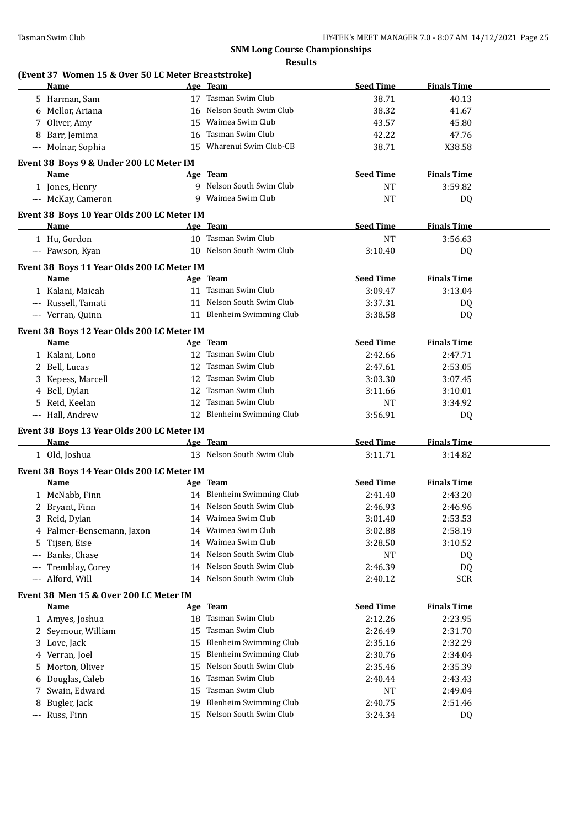|                      | (Event 37 Women 15 & Over 50 LC Meter Breaststroke)<br>Name |    | Age Team                      | <b>Seed Time</b> | <b>Finals Time</b> |  |
|----------------------|-------------------------------------------------------------|----|-------------------------------|------------------|--------------------|--|
|                      | 5 Harman, Sam                                               |    | 17 Tasman Swim Club           | 38.71            | 40.13              |  |
|                      | 6 Mellor, Ariana                                            |    | 16 Nelson South Swim Club     | 38.32            | 41.67              |  |
|                      | 7 Oliver, Amy                                               | 15 | Waimea Swim Club              | 43.57            | 45.80              |  |
|                      | 8 Barr, Jemima                                              | 16 | Tasman Swim Club              | 42.22            | 47.76              |  |
|                      | --- Molnar, Sophia                                          | 15 | Wharenui Swim Club-CB         | 38.71            | X38.58             |  |
|                      |                                                             |    |                               |                  |                    |  |
|                      | Event 38 Boys 9 & Under 200 LC Meter IM<br>Name             |    | Age Team                      | <b>Seed Time</b> | <b>Finals Time</b> |  |
|                      | 1 Jones, Henry                                              |    | 9 Nelson South Swim Club      | <b>NT</b>        | 3:59.82            |  |
|                      | --- McKay, Cameron                                          |    | 9 Waimea Swim Club            | <b>NT</b>        |                    |  |
|                      |                                                             |    |                               |                  | DQ                 |  |
|                      | Event 38 Boys 10 Year Olds 200 LC Meter IM                  |    |                               |                  |                    |  |
|                      | Name                                                        |    | Age Team                      | <b>Seed Time</b> | <b>Finals Time</b> |  |
|                      | 1 Hu, Gordon                                                |    | 10 Tasman Swim Club           | <b>NT</b>        | 3:56.63            |  |
|                      | --- Pawson, Kyan                                            |    | 10 Nelson South Swim Club     | 3:10.40          | DQ                 |  |
|                      | Event 38 Boys 11 Year Olds 200 LC Meter IM                  |    |                               |                  |                    |  |
|                      | Name                                                        |    | Age Team                      | <b>Seed Time</b> | <b>Finals Time</b> |  |
|                      | 1 Kalani, Maicah                                            |    | 11 Tasman Swim Club           | 3:09.47          | 3:13.04            |  |
|                      | --- Russell, Tamati                                         |    | 11 Nelson South Swim Club     | 3:37.31          | DQ                 |  |
|                      | --- Verran, Quinn                                           |    | 11 Blenheim Swimming Club     | 3:38.58          | DQ                 |  |
|                      | Event 38 Boys 12 Year Olds 200 LC Meter IM                  |    |                               |                  |                    |  |
|                      | Name                                                        |    | Age Team                      | <b>Seed Time</b> | <b>Finals Time</b> |  |
|                      | 1 Kalani, Lono                                              |    | 12 Tasman Swim Club           | 2:42.66          | 2:47.71            |  |
|                      | 2 Bell, Lucas                                               |    | 12 Tasman Swim Club           | 2:47.61          | 2:53.05            |  |
|                      | 3 Kepess, Marcell                                           |    | 12 Tasman Swim Club           | 3:03.30          | 3:07.45            |  |
|                      | 4 Bell, Dylan                                               |    | 12 Tasman Swim Club           | 3:11.66          | 3:10.01            |  |
|                      | 5 Reid, Keelan                                              |    | 12 Tasman Swim Club           | NT               | 3:34.92            |  |
|                      | --- Hall, Andrew                                            |    | 12 Blenheim Swimming Club     | 3:56.91          | DQ                 |  |
|                      |                                                             |    |                               |                  |                    |  |
|                      | Event 38 Boys 13 Year Olds 200 LC Meter IM<br>Name          |    | Age Team                      | <b>Seed Time</b> | <b>Finals Time</b> |  |
|                      |                                                             |    | 13 Nelson South Swim Club     | 3:11.71          | 3:14.82            |  |
|                      | 1 Old, Joshua                                               |    |                               |                  |                    |  |
|                      | Event 38 Boys 14 Year Olds 200 LC Meter IM                  |    |                               |                  |                    |  |
|                      | Name                                                        |    | Age Team                      | <b>Seed Time</b> | <b>Finals Time</b> |  |
|                      | 1 McNabb, Finn                                              |    | 14 Blenheim Swimming Club     | 2:41.40          | 2:43.20            |  |
| 2                    | Bryant, Finn                                                |    | 14 Nelson South Swim Club     | 2:46.93          | 2:46.96            |  |
|                      | 3 Reid, Dylan                                               |    | 14 Waimea Swim Club           | 3:01.40          | 2:53.53            |  |
| 4                    | Palmer-Bensemann, Jaxon                                     | 14 | Waimea Swim Club              | 3:02.88          | 2:58.19            |  |
| 5                    | Tijsen, Eise                                                | 14 | Waimea Swim Club              | 3:28.50          | 3:10.52            |  |
| $---$                | Banks, Chase                                                | 14 | Nelson South Swim Club        | NT               | DQ                 |  |
| $---$                | Tremblay, Corey                                             | 14 | Nelson South Swim Club        | 2:46.39          | DQ                 |  |
| $\scriptstyle\cdots$ | Alford, Will                                                |    | 14 Nelson South Swim Club     | 2:40.12          | <b>SCR</b>         |  |
|                      | Event 38 Men 15 & Over 200 LC Meter IM                      |    |                               |                  |                    |  |
|                      | <b>Name</b>                                                 |    | Age Team                      | <b>Seed Time</b> | <b>Finals Time</b> |  |
|                      | 1 Amyes, Joshua                                             | 18 | Tasman Swim Club              | 2:12.26          | 2:23.95            |  |
| 2                    | Seymour, William                                            | 15 | Tasman Swim Club              | 2:26.49          | 2:31.70            |  |
| 3                    | Love, Jack                                                  | 15 | <b>Blenheim Swimming Club</b> | 2:35.16          | 2:32.29            |  |
| 4                    | Verran, Joel                                                | 15 | <b>Blenheim Swimming Club</b> | 2:30.76          | 2:34.04            |  |
| 5                    | Morton, Oliver                                              | 15 | Nelson South Swim Club        | 2:35.46          | 2:35.39            |  |
| 6                    | Douglas, Caleb                                              | 16 | Tasman Swim Club              | 2:40.44          | 2:43.43            |  |
| 7                    | Swain, Edward                                               | 15 | Tasman Swim Club              | NT               | 2:49.04            |  |
|                      |                                                             |    |                               |                  |                    |  |
| 8                    | Bugler, Jack                                                | 19 | <b>Blenheim Swimming Club</b> | 2:40.75          | 2:51.46            |  |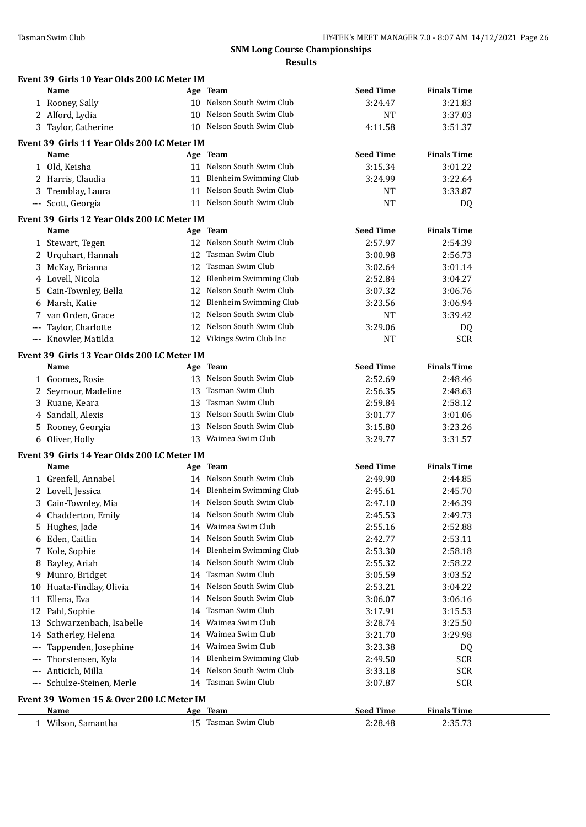|             | Event 39 Girls 10 Year Olds 200 LC Meter IM<br>Name |    | Age Team                                               | <b>Seed Time</b>            | <b>Finals Time</b>            |  |
|-------------|-----------------------------------------------------|----|--------------------------------------------------------|-----------------------------|-------------------------------|--|
|             | 1 Rooney, Sally                                     |    | 10 Nelson South Swim Club                              | 3:24.47                     | 3:21.83                       |  |
|             | 2 Alford, Lydia                                     |    | 10 Nelson South Swim Club                              | NT                          | 3:37.03                       |  |
|             | 3 Taylor, Catherine                                 |    | 10 Nelson South Swim Club                              | 4:11.58                     | 3:51.37                       |  |
|             |                                                     |    |                                                        |                             |                               |  |
|             | Event 39 Girls 11 Year Olds 200 LC Meter IM         |    |                                                        |                             |                               |  |
|             | <b>Name</b>                                         |    | Age Team<br>11 Nelson South Swim Club                  | <b>Seed Time</b>            | <b>Finals Time</b>            |  |
|             | 1 Old, Keisha                                       |    | 11 Blenheim Swimming Club                              | 3:15.34                     | 3:01.22                       |  |
|             | 2 Harris, Claudia                                   |    |                                                        | 3:24.99                     | 3:22.64                       |  |
| 3           | Tremblay, Laura                                     |    | 11 Nelson South Swim Club<br>11 Nelson South Swim Club | NT                          | 3:33.87                       |  |
| $---$       | Scott, Georgia                                      |    |                                                        | <b>NT</b>                   | DQ                            |  |
|             | Event 39 Girls 12 Year Olds 200 LC Meter IM         |    |                                                        |                             |                               |  |
|             | Name                                                |    | Age Team                                               | <b>Seed Time</b>            | <b>Finals Time</b>            |  |
|             | 1 Stewart, Tegen                                    |    | 12 Nelson South Swim Club                              | 2:57.97                     | 2:54.39                       |  |
|             | 2 Urquhart, Hannah                                  |    | 12 Tasman Swim Club                                    | 3:00.98                     | 2:56.73                       |  |
|             | 3 McKay, Brianna                                    |    | 12 Tasman Swim Club                                    | 3:02.64                     | 3:01.14                       |  |
|             | 4 Lovell, Nicola                                    |    | 12 Blenheim Swimming Club                              | 2:52.84                     | 3:04.27                       |  |
| 5           | Cain-Townley, Bella                                 |    | 12 Nelson South Swim Club                              | 3:07.32                     | 3:06.76                       |  |
| 6           | Marsh, Katie                                        |    | 12 Blenheim Swimming Club                              | 3:23.56                     | 3:06.94                       |  |
| 7           | van Orden, Grace                                    |    | 12 Nelson South Swim Club                              | NT                          | 3:39.42                       |  |
| $---$       | Taylor, Charlotte                                   |    | 12 Nelson South Swim Club                              | 3:29.06                     | DQ                            |  |
|             | --- Knowler, Matilda                                |    | 12 Vikings Swim Club Inc                               | NT                          | <b>SCR</b>                    |  |
|             | Event 39 Girls 13 Year Olds 200 LC Meter IM         |    |                                                        |                             |                               |  |
|             | Name                                                |    | Age Team                                               | <b>Seed Time</b>            | <b>Finals Time</b>            |  |
|             | 1 Goomes, Rosie                                     |    | 13 Nelson South Swim Club                              | 2:52.69                     | 2:48.46                       |  |
|             | 2 Seymour, Madeline                                 |    | 13 Tasman Swim Club                                    | 2:56.35                     | 2:48.63                       |  |
| 3           | Ruane, Keara                                        | 13 | Tasman Swim Club                                       | 2:59.84                     | 2:58.12                       |  |
| 4           | Sandall, Alexis                                     |    | 13 Nelson South Swim Club                              | 3:01.77                     | 3:01.06                       |  |
| 5           | Rooney, Georgia                                     | 13 | Nelson South Swim Club                                 | 3:15.80                     | 3:23.26                       |  |
|             | 6 Oliver, Holly                                     |    | 13 Waimea Swim Club                                    | 3:29.77                     | 3:31.57                       |  |
|             | Event 39 Girls 14 Year Olds 200 LC Meter IM         |    |                                                        |                             |                               |  |
|             | Name                                                |    | Age Team                                               | <b>Seed Time</b>            | <b>Finals Time</b>            |  |
|             | 1 Grenfell, Annabel                                 |    | 14 Nelson South Swim Club                              | 2:49.90                     | 2:44.85                       |  |
|             | 2 Lovell, Jessica                                   |    | 14 Blenheim Swimming Club                              | 2:45.61                     | 2:45.70                       |  |
|             | 3 Cain-Townley, Mia                                 |    | 14 Nelson South Swim Club                              | 2:47.10                     | 2:46.39                       |  |
| 4           | Chadderton, Emily                                   |    | 14 Nelson South Swim Club                              | 2:45.53                     | 2:49.73                       |  |
| 5           | Hughes, Jade                                        |    | 14 Waimea Swim Club                                    | 2:55.16                     | 2:52.88                       |  |
| 6           | Eden, Caitlin                                       |    | 14 Nelson South Swim Club                              | 2:42.77                     | 2:53.11                       |  |
| 7           | Kole, Sophie                                        |    | 14 Blenheim Swimming Club                              | 2:53.30                     | 2:58.18                       |  |
| 8           | Bayley, Ariah                                       | 14 | Nelson South Swim Club                                 | 2:55.32                     | 2:58.22                       |  |
| 9           | Munro, Bridget                                      | 14 | Tasman Swim Club                                       | 3:05.59                     | 3:03.52                       |  |
| 10          | Huata-Findlay, Olivia                               | 14 | Nelson South Swim Club                                 | 2:53.21                     | 3:04.22                       |  |
| 11          | Ellena, Eva                                         |    | 14 Nelson South Swim Club                              | 3:06.07                     | 3:06.16                       |  |
| 12          | Pahl, Sophie                                        | 14 | Tasman Swim Club                                       | 3:17.91                     | 3:15.53                       |  |
| 13          | Schwarzenbach, Isabelle                             | 14 | Waimea Swim Club                                       | 3:28.74                     | 3:25.50                       |  |
|             | Satherley, Helena                                   | 14 | Waimea Swim Club                                       | 3:21.70                     | 3:29.98                       |  |
|             |                                                     |    |                                                        | 3:23.38                     | DQ                            |  |
| 14<br>$---$ |                                                     | 14 | Waimea Swim Club                                       |                             |                               |  |
| $---$       | Tappenden, Josephine                                | 14 |                                                        |                             |                               |  |
|             | Thorstensen, Kyla                                   | 14 | <b>Blenheim Swimming Club</b>                          | 2:49.50                     | SCR                           |  |
| $---$       | Anticich, Milla                                     |    | Nelson South Swim Club                                 | 3:33.18                     | SCR                           |  |
| $---$       | Schulze-Steinen, Merle                              |    | 14 Tasman Swim Club                                    | 3:07.87                     | <b>SCR</b>                    |  |
|             | Event 39 Women 15 & Over 200 LC Meter IM            |    |                                                        |                             |                               |  |
|             | Name<br>1 Wilson, Samantha                          |    | Age Team<br>15 Tasman Swim Club                        | <b>Seed Time</b><br>2:28.48 | <b>Finals Time</b><br>2:35.73 |  |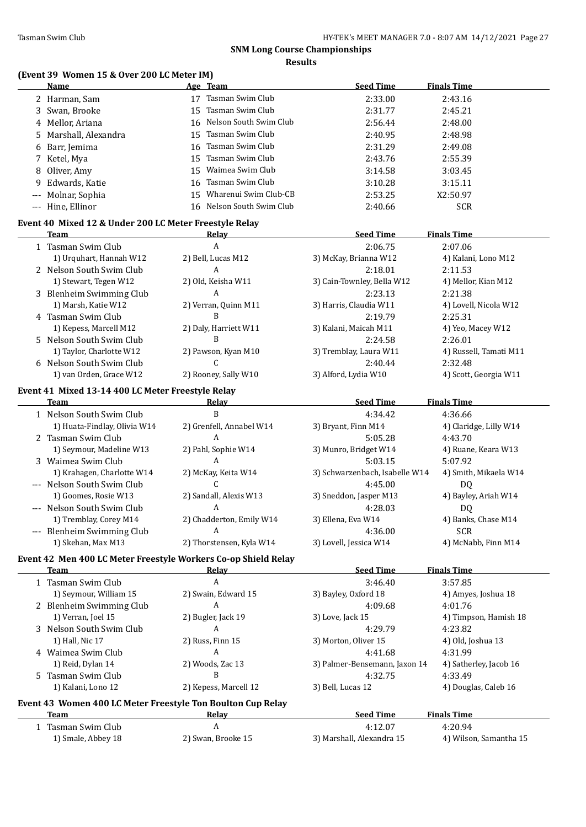$\overline{a}$ 

# **SNM Long Course Championships**

**Results**

# **(Event 39 Women 15 & Over 200 LC Meter IM)**

| <b>Name</b>           | Age Team                  | <b>Seed Time</b> | <b>Finals Time</b> |
|-----------------------|---------------------------|------------------|--------------------|
| 2 Harman, Sam         | Tasman Swim Club          | 2:33.00          | 2:43.16            |
| 3 Swan, Brooke        | 15 Tasman Swim Club       | 2:31.77          | 2:45.21            |
| 4 Mellor, Ariana      | 16 Nelson South Swim Club | 2:56.44          | 2:48.00            |
| 5 Marshall, Alexandra | 15 Tasman Swim Club       | 2:40.95          | 2:48.98            |
| 6 Barr, Jemima        | 16 Tasman Swim Club       | 2:31.29          | 2:49.08            |
| 7 Ketel, Mya          | 15 Tasman Swim Club       | 2:43.76          | 2:55.39            |
| 8 Oliver, Amy         | 15 Waimea Swim Club       | 3:14.58          | 3:03.45            |
| 9 Edwards, Katie      | 16 Tasman Swim Club       | 3:10.28          | 3:15.11            |
| --- Molnar, Sophia    | 15 Wharenui Swim Club-CB  | 2:53.25          | X2:50.97           |
| --- Hine, Ellinor     | 16 Nelson South Swim Club | 2:40.66          | <b>SCR</b>         |

### **Event 40 Mixed 12 & Under 200 LC Meter Freestyle Relay**

| Team                     | Relav                 | <b>Seed Time</b>           | <b>Finals Time</b>     |
|--------------------------|-----------------------|----------------------------|------------------------|
| 1 Tasman Swim Club       | A                     | 2:06.75                    | 2:07.06                |
| 1) Urguhart, Hannah W12  | 2) Bell, Lucas M12    | 3) McKay, Brianna W12      | 4) Kalani, Lono M12    |
| 2 Nelson South Swim Club | A                     | 2:18.01                    | 2:11.53                |
| 1) Stewart, Tegen W12    | 2) Old, Keisha W11    | 3) Cain-Townley, Bella W12 | 4) Mellor, Kian M12    |
| 3 Blenheim Swimming Club | A                     | 2:23.13                    | 2:21.38                |
| 1) Marsh, Katie W12      | 2) Verran, Quinn M11  | 3) Harris, Claudia W11     | 4) Lovell, Nicola W12  |
| 4 Tasman Swim Club       | B                     | 2:19.79                    | 2:25.31                |
| 1) Kepess, Marcell M12   | 2) Daly, Harriett W11 | 3) Kalani, Maicah M11      | 4) Yeo, Macey W12      |
| 5 Nelson South Swim Club | В                     | 2:24.58                    | 2:26.01                |
| 1) Taylor, Charlotte W12 | 2) Pawson, Kyan M10   | 3) Tremblay, Laura W11     | 4) Russell, Tamati M11 |
| 6 Nelson South Swim Club |                       | 2:40.44                    | 2:32.48                |
| 1) van Orden, Grace W12  | 2) Rooney, Sally W10  | 3) Alford, Lydia W10       | 4) Scott, Georgia W11  |

### **Event 41 Mixed 13-14 400 LC Meter Freestyle Relay**

| Team                         | Relav                    | <b>Seed Time</b>               | <b>Finals Time</b>     |  |
|------------------------------|--------------------------|--------------------------------|------------------------|--|
| 1 Nelson South Swim Club     | B                        | 4:34.42                        | 4:36.66                |  |
| 1) Huata-Findlay, Olivia W14 | 2) Grenfell, Annabel W14 | 3) Bryant, Finn M14            | 4) Claridge, Lilly W14 |  |
| 2 Tasman Swim Club           | A                        | 5:05.28                        | 4:43.70                |  |
| 1) Seymour, Madeline W13     | 2) Pahl, Sophie W14      | 3) Munro, Bridget W14          | 4) Ruane, Keara W13    |  |
| 3 Waimea Swim Club           | A                        | 5:03.15                        | 5:07.92                |  |
| 1) Krahagen, Charlotte W14   | 2) McKay, Keita W14      | 3) Schwarzenbach, Isabelle W14 | 4) Smith, Mikaela W14  |  |
| --- Nelson South Swim Club   |                          | 4:45.00                        | DO.                    |  |
| 1) Goomes, Rosie W13         | 2) Sandall, Alexis W13   | 3) Sneddon, Jasper M13         | 4) Bayley, Ariah W14   |  |
| --- Nelson South Swim Club   | A                        | 4:28.03                        | DO.                    |  |
| 1) Tremblay, Corey M14       | 2) Chadderton, Emily W14 | 3) Ellena, Eva W14             | 4) Banks, Chase M14    |  |
| --- Blenheim Swimming Club   | A                        | 4:36.00                        | <b>SCR</b>             |  |
| 1) Skehan, Max M13           | 2) Thorstensen, Kyla W14 | 3) Lovell, Jessica W14         | 4) McNabb, Finn M14    |  |

### **Event 42 Men 400 LC Meter Freestyle Workers Co-op Shield Relay**

| Team                                                               | Relay                 | <b>Seed Time</b>              | <b>Finals Time</b>     |
|--------------------------------------------------------------------|-----------------------|-------------------------------|------------------------|
| 1 Tasman Swim Club                                                 | A                     | 3:46.40                       | 3:57.85                |
| 1) Seymour, William 15                                             | 2) Swain, Edward 15   | 3) Bayley, Oxford 18          | 4) Amyes, Joshua 18    |
| 2 Blenheim Swimming Club                                           | А                     | 4:09.68                       | 4:01.76                |
| 1) Verran, Joel 15                                                 | 2) Bugler, Jack 19    | 3) Love, Jack 15              | 4) Timpson, Hamish 18  |
| 3 Nelson South Swim Club                                           | A                     | 4:29.79                       | 4:23.82                |
| 1) Hall, Nic 17                                                    | 2) Russ, Finn 15      | 3) Morton, Oliver 15          | 4) Old, Joshua 13      |
| 4 Waimea Swim Club                                                 | A                     | 4:41.68                       | 4:31.99                |
| 1) Reid, Dylan 14                                                  | 2) Woods, Zac 13      | 3) Palmer-Bensemann, Jaxon 14 | 4) Satherley, Jacob 16 |
| 5 Tasman Swim Club                                                 | B                     | 4:32.75                       | 4:33.49                |
| 1) Kalani, Lono 12                                                 | 2) Kepess, Marcell 12 | 3) Bell, Lucas 12             | 4) Douglas, Caleb 16   |
| <b>Event 43 Women 400 LC Meter Freestyle Ton Boulton Cup Relay</b> |                       |                               |                        |

| Team               | Relav              | Seed Time                 | <b>Finals Time</b>     |  |
|--------------------|--------------------|---------------------------|------------------------|--|
| Tasman Swim Club   |                    | 4:12.07                   | 4:20.94                |  |
| 1) Smale, Abbey 18 | 2) Swan, Brooke 15 | 3) Marshall, Alexandra 15 | 4) Wilson, Samantha 15 |  |